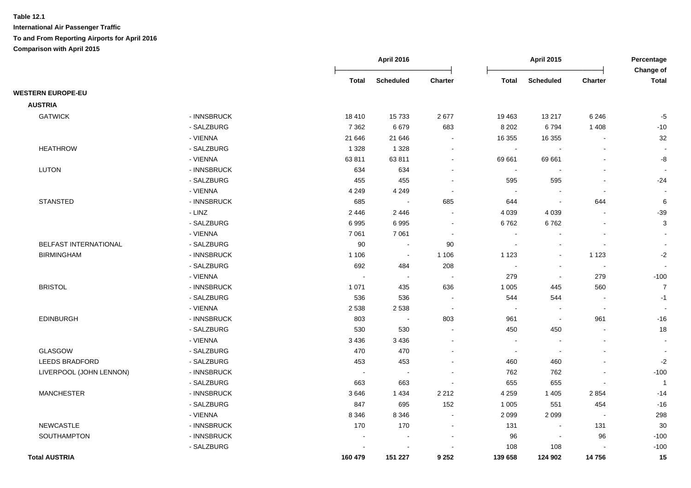|                          |             |              | April 2016       |                          |                          | <b>April 2015</b>        |                          | Percentage<br>Change of  |
|--------------------------|-------------|--------------|------------------|--------------------------|--------------------------|--------------------------|--------------------------|--------------------------|
|                          |             | <b>Total</b> | <b>Scheduled</b> | <b>Charter</b>           | <b>Total</b>             | <b>Scheduled</b>         | <b>Charter</b>           | <b>Total</b>             |
| <b>WESTERN EUROPE-EU</b> |             |              |                  |                          |                          |                          |                          |                          |
| <b>AUSTRIA</b>           |             |              |                  |                          |                          |                          |                          |                          |
| <b>GATWICK</b>           | - INNSBRUCK | 18 4 10      | 15733            | 2677                     | 19 4 63                  | 13 217                   | 6 2 4 6                  | $-5$                     |
|                          | - SALZBURG  | 7 3 6 2      | 6679             | 683                      | 8 2 0 2                  | 6794                     | 1 4 0 8                  | $-10$                    |
|                          | - VIENNA    | 21 646       | 21 646           |                          | 16 355                   | 16 355                   |                          | 32                       |
| <b>HEATHROW</b>          | - SALZBURG  | 1 3 2 8      | 1 3 2 8          | $\sim$                   | $\blacksquare$           |                          | L,                       |                          |
|                          | - VIENNA    | 63811        | 63811            |                          | 69 661                   | 69 661                   |                          | -8                       |
| <b>LUTON</b>             | - INNSBRUCK | 634          | 634              |                          | $\sim$                   | $\sim$                   |                          |                          |
|                          | - SALZBURG  | 455          | 455              |                          | 595                      | 595                      | $\overline{a}$           | $-24$                    |
|                          | - VIENNA    | 4 2 4 9      | 4 2 4 9          | $\sim$                   | $\sim$                   | $\sim$                   | $\sim$                   |                          |
| <b>STANSTED</b>          | - INNSBRUCK | 685          | $\sim$           | 685                      | 644                      | $\sim$                   | 644                      | $\,6\,$                  |
|                          | - LINZ      | 2 4 4 6      | 2 4 4 6          | $\blacksquare$           | 4 0 3 9                  | 4 0 3 9                  | $\blacksquare$           | $-39$                    |
|                          | - SALZBURG  | 6995         | 6995             |                          | 6762                     | 6762                     | $\overline{a}$           | $\sqrt{3}$               |
|                          | - VIENNA    | 7 0 61       | 7 0 61           | $\blacksquare$           | $\sim$                   |                          | $\blacksquare$           | $\sim$                   |
| BELFAST INTERNATIONAL    | - SALZBURG  | 90           | $\blacksquare$   | 90                       | $\sim$                   | $\overline{\phantom{a}}$ | $\blacksquare$           | $\overline{\phantom{a}}$ |
| <b>BIRMINGHAM</b>        | - INNSBRUCK | 1 1 0 6      | $\sim$           | 1 1 0 6                  | 1 1 2 3                  | $\sim$                   | 1 1 2 3                  | $-2$                     |
|                          | - SALZBURG  | 692          | 484              | 208                      | $\sim$                   | $\sim$                   | $\sim$                   | $\sim$                   |
|                          | - VIENNA    |              | $\sim$           | $\overline{\phantom{a}}$ | 279                      | $\overline{\phantom{a}}$ | 279                      | $-100$                   |
| <b>BRISTOL</b>           | - INNSBRUCK | 1 0 7 1      | 435              | 636                      | 1 0 0 5                  | 445                      | 560                      | $\overline{7}$           |
|                          | - SALZBURG  | 536          | 536              |                          | 544                      | 544                      |                          | $-1$                     |
|                          | - VIENNA    | 2 5 3 8      | 2 5 3 8          | $\sim$                   | $\sim$                   | $\sim$                   | $\blacksquare$           |                          |
| EDINBURGH                | - INNSBRUCK | 803          | $\blacksquare$   | 803                      | 961                      | $\overline{\phantom{a}}$ | 961                      | $-16$                    |
|                          | - SALZBURG  | 530          | 530              |                          | 450                      | 450                      | $\overline{a}$           | 18                       |
|                          | - VIENNA    | 3 4 3 6      | 3 4 3 6          |                          | $\sim$                   |                          | $\blacksquare$           | $\overline{\phantom{a}}$ |
| <b>GLASGOW</b>           | - SALZBURG  | 470          | 470              |                          | $\overline{\phantom{a}}$ | $\overline{\phantom{a}}$ |                          |                          |
| <b>LEEDS BRADFORD</b>    | - SALZBURG  | 453          | 453              |                          | 460                      | 460                      |                          | $-2$                     |
| LIVERPOOL (JOHN LENNON)  | - INNSBRUCK | $\sim$       | $\sim$           | $\sim$                   | 762                      | 762                      | $\blacksquare$           | $-100$                   |
|                          | - SALZBURG  | 663          | 663              |                          | 655                      | 655                      | $\overline{a}$           | $\overline{1}$           |
| <b>MANCHESTER</b>        | - INNSBRUCK | 3646         | 1 4 3 4          | 2 2 1 2                  | 4 2 5 9                  | 1 4 0 5                  | 2854                     | $-14$                    |
|                          | - SALZBURG  | 847          | 695              | 152                      | 1 0 0 5                  | 551                      | 454                      | $-16$                    |
|                          | - VIENNA    | 8 3 4 6      | 8 3 4 6          | $\blacksquare$           | 2 0 9 9                  | 2 0 9 9                  | $\overline{\phantom{a}}$ | 298                      |
| <b>NEWCASTLE</b>         | - INNSBRUCK | 170          | 170              | $\blacksquare$           | 131                      | $\blacksquare$           | 131                      | 30                       |
| SOUTHAMPTON              | - INNSBRUCK |              |                  |                          | 96                       | $\overline{\phantom{a}}$ | 96                       | $-100$                   |
|                          | - SALZBURG  |              |                  |                          | 108                      | 108                      |                          | $-100$                   |
| <b>Total AUSTRIA</b>     |             | 160 479      | 151 227          | 9 2 5 2                  | 139 658                  | 124 902                  | 14756                    | 15                       |
|                          |             |              |                  |                          |                          |                          |                          |                          |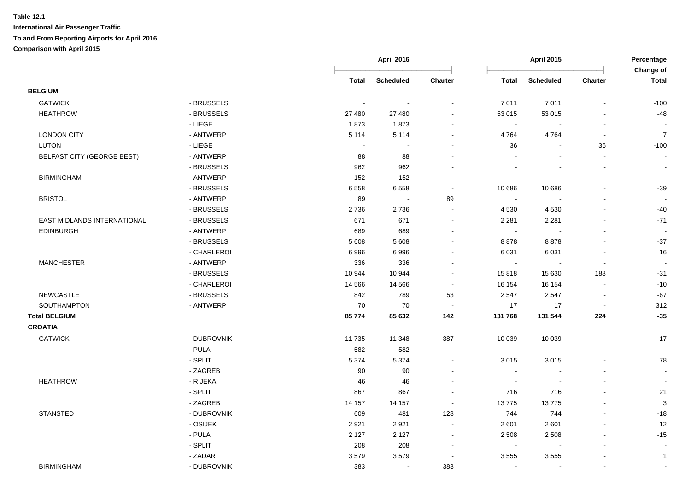|                             |             |                | <b>April 2016</b> |                          |                | <b>April 2015</b>        |                          | Percentage<br>Change of |  |
|-----------------------------|-------------|----------------|-------------------|--------------------------|----------------|--------------------------|--------------------------|-------------------------|--|
|                             |             | Total          | <b>Scheduled</b>  | Charter                  | <b>Total</b>   | <b>Scheduled</b>         | Charter                  | <b>Total</b>            |  |
| <b>BELGIUM</b>              |             |                |                   |                          |                |                          |                          |                         |  |
| <b>GATWICK</b>              | - BRUSSELS  |                |                   |                          | 7011           | 7011                     |                          | $-100$                  |  |
| <b>HEATHROW</b>             | - BRUSSELS  | 27 480         | 27 480            |                          | 53 015         | 53 015                   | $\blacksquare$           | $-48$                   |  |
|                             | - LIEGE     | 1873           | 1873              |                          | $\sim$         | $\overline{\phantom{a}}$ | $\blacksquare$           |                         |  |
| <b>LONDON CITY</b>          | - ANTWERP   | 5 1 1 4        | 5 1 1 4           |                          | 4764           | 4764                     | $\blacksquare$           | $\overline{7}$          |  |
| <b>LUTON</b>                | - LIEGE     | $\blacksquare$ | $\blacksquare$    |                          | 36             | $\blacksquare$           | 36                       | $-100$                  |  |
| BELFAST CITY (GEORGE BEST)  | - ANTWERP   | 88             | 88                |                          |                | $\blacksquare$           | $\blacksquare$           | $\blacksquare$          |  |
|                             | - BRUSSELS  | 962            | 962               |                          |                |                          | $\blacksquare$           | $\blacksquare$          |  |
| <b>BIRMINGHAM</b>           | - ANTWERP   | 152            | 152               |                          |                |                          | ä,                       | $\sim$                  |  |
|                             | - BRUSSELS  | 6558           | 6558              | $\sim$                   | 10 686         | 10 686                   | $\blacksquare$           | $-39$                   |  |
| <b>BRISTOL</b>              | - ANTWERP   | 89             | $\sim$            | 89                       | $\sim$         |                          | $\blacksquare$           |                         |  |
|                             | - BRUSSELS  | 2736           | 2736              | $\sim$                   | 4 5 3 0        | 4 5 3 0                  | $\blacksquare$           | $-40$                   |  |
| EAST MIDLANDS INTERNATIONAL | - BRUSSELS  | 671            | 671               |                          | 2 2 8 1        | 2 2 8 1                  | $\blacksquare$           | $-71$                   |  |
| <b>EDINBURGH</b>            | - ANTWERP   | 689            | 689               |                          | $\sim$         |                          |                          |                         |  |
|                             | - BRUSSELS  | 5 6 0 8        | 5 6 0 8           |                          | 8878           | 8878                     | $\overline{a}$           | $-37$                   |  |
|                             | - CHARLEROI | 6996           | 6996              |                          | 6 0 31         | 6031                     | $\blacksquare$           | 16                      |  |
| <b>MANCHESTER</b>           | - ANTWERP   | 336            | 336               |                          | $\blacksquare$ | $\sim$                   | $\overline{\phantom{a}}$ |                         |  |
|                             | - BRUSSELS  | 10 944         | 10 944            | $\sim$                   | 15818          | 15 630                   | 188                      | $-31$                   |  |
|                             | - CHARLEROI | 14 5 66        | 14 5 66           | $\sim$                   | 16 154         | 16 154                   | $\blacksquare$           | $-10$                   |  |
| <b>NEWCASTLE</b>            | - BRUSSELS  | 842            | 789               | 53                       | 2 5 4 7        | 2547                     | $\blacksquare$           | $-67$                   |  |
| SOUTHAMPTON                 | - ANTWERP   | 70             | 70                | $\sim$                   | 17             | 17                       | $\overline{\phantom{a}}$ | 312                     |  |
| <b>Total BELGIUM</b>        |             | 85 774         | 85 632            | 142                      | 131 768        | 131 544                  | 224                      | $-35$                   |  |
| <b>CROATIA</b>              |             |                |                   |                          |                |                          |                          |                         |  |
| <b>GATWICK</b>              | - DUBROVNIK | 11 7 35        | 11 348            | 387                      | 10 039         | 10 039                   | $\sim$                   | 17                      |  |
|                             | - PULA      | 582            | 582               | $\sim$                   | $\bullet$      | $\sim$                   | $\blacksquare$           | $\bullet$               |  |
|                             | - SPLIT     | 5 3 7 4        | 5 3 7 4           | $\blacksquare$           | 3 0 1 5        | 3015                     | L.                       | 78                      |  |
|                             | - ZAGREB    | 90             | 90                |                          | $\blacksquare$ |                          | ä,                       | $\blacksquare$          |  |
| <b>HEATHROW</b>             | - RIJEKA    | 46             | 46                |                          | $\blacksquare$ |                          |                          |                         |  |
|                             | - SPLIT     | 867            | 867               |                          | 716            | 716                      | $\blacksquare$           | 21                      |  |
|                             | - ZAGREB    | 14 157         | 14 157            | $\sim$                   | 13775          | 13775                    | $\blacksquare$           | 3                       |  |
| <b>STANSTED</b>             | - DUBROVNIK | 609            | 481               | 128                      | 744            | 744                      | ä,                       | $-18$                   |  |
|                             | - OSIJEK    | 2921           | 2921              | $\blacksquare$           | 2 601          | 2601                     | ä,                       | 12                      |  |
|                             | - PULA      | 2 1 2 7        | 2 1 2 7           | $\sim$                   | 2 5 0 8        | 2 5 0 8                  | $\blacksquare$           | $-15$                   |  |
|                             | $-SPLIT$    | 208            | 208               | $\overline{\phantom{a}}$ |                |                          |                          |                         |  |
|                             | - ZADAR     | 3579           | 3579              | $\overline{\phantom{a}}$ | 3555           | 3555                     |                          | $\mathbf{1}$            |  |
| <b>BIRMINGHAM</b>           | - DUBROVNIK | 383            | $\sim$            | 383                      | $\sim$         | $\sim$                   | $\blacksquare$           |                         |  |
|                             |             |                |                   |                          |                |                          |                          |                         |  |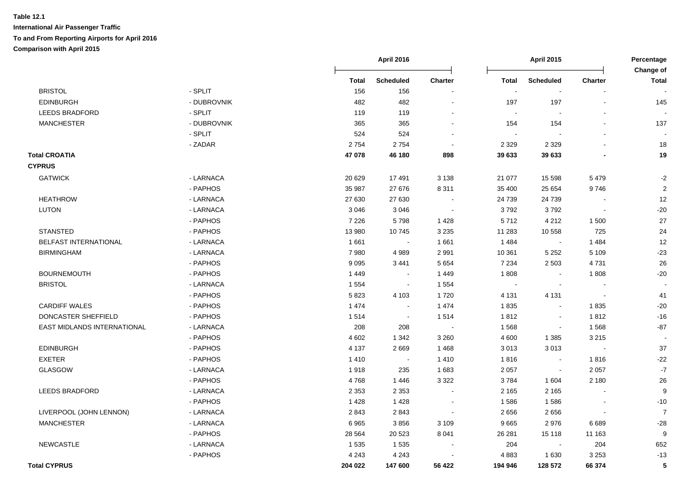|                             |             |              | <b>April 2016</b> |                          |                          | <b>April 2015</b> |                          | Percentage<br>Change of |
|-----------------------------|-------------|--------------|-------------------|--------------------------|--------------------------|-------------------|--------------------------|-------------------------|
|                             |             | <b>Total</b> | <b>Scheduled</b>  | <b>Charter</b>           | <b>Total</b>             | <b>Scheduled</b>  | <b>Charter</b>           | <b>Total</b>            |
| <b>BRISTOL</b>              | - SPLIT     | 156          | 156               |                          | $\overline{\phantom{a}}$ | $\blacksquare$    |                          |                         |
| <b>EDINBURGH</b>            | - DUBROVNIK | 482          | 482               | $\blacksquare$           | 197                      | 197               |                          | 145                     |
| <b>LEEDS BRADFORD</b>       | - SPLIT     | 119          | 119               | $\blacksquare$           | $\sim$                   | $\sim$            |                          |                         |
| <b>MANCHESTER</b>           | - DUBROVNIK | 365          | 365               | $\blacksquare$           | 154                      | 154               |                          | 137                     |
|                             | - SPLIT     | 524          | 524               | $\sim$                   | $\sim$                   |                   |                          |                         |
|                             | - ZADAR     | 2754         | 2754              | $\blacksquare$           | 2 3 2 9                  | 2 3 2 9           |                          | 18                      |
| <b>Total CROATIA</b>        |             | 47 078       | 46 180            | 898                      | 39 633                   | 39 633            |                          | 19                      |
| <b>CYPRUS</b>               |             |              |                   |                          |                          |                   |                          |                         |
| <b>GATWICK</b>              | - LARNACA   | 20 6 29      | 17491             | 3 1 3 8                  | 21 077                   | 15 5 98           | 5479                     | $-2$                    |
|                             | - PAPHOS    | 35 987       | 27 676            | 8 3 1 1                  | 35 400                   | 25 654            | 9746                     | $\overline{2}$          |
| <b>HEATHROW</b>             | - LARNACA   | 27 630       | 27 630            | $\sim$                   | 24 739                   | 24 739            |                          | 12                      |
| <b>LUTON</b>                | - LARNACA   | 3 0 4 6      | 3 0 4 6           | $\sim$                   | 3792                     | 3792              | $\sim$                   | $-20$                   |
|                             | - PAPHOS    | 7 2 2 6      | 5798              | 1428                     | 5712                     | 4 2 1 2           | 1 500                    | 27                      |
| <b>STANSTED</b>             | - PAPHOS    | 13 980       | 10745             | 3 2 3 5                  | 11 283                   | 10 558            | 725                      | 24                      |
| BELFAST INTERNATIONAL       | - LARNACA   | 1661         | $\sim$            | 1 6 6 1                  | 1484                     | $\sim$            | 1484                     | 12                      |
| <b>BIRMINGHAM</b>           | - LARNACA   | 7980         | 4989              | 2 9 9 1                  | 10 361                   | 5 2 5 2           | 5 1 0 9                  | $-23$                   |
|                             | - PAPHOS    | 9 0 9 5      | 3441              | 5 6 5 4                  | 7 2 3 4                  | 2 5 0 3           | 4731                     | 26                      |
| <b>BOURNEMOUTH</b>          | - PAPHOS    | 1 4 4 9      | $\sim$            | 1449                     | 1808                     |                   | 1808                     | $-20$                   |
| <b>BRISTOL</b>              | - LARNACA   | 1 5 5 4      | $\blacksquare$    | 1 5 5 4                  | $\sim$                   |                   |                          |                         |
|                             | - PAPHOS    | 5823         | 4 1 0 3           | 1720                     | 4 1 3 1                  | 4 1 3 1           | $\sim$                   | 41                      |
| <b>CARDIFF WALES</b>        | - PAPHOS    | 1 4 7 4      | $\sim$            | 1 4 7 4                  | 1835                     | $\sim$            | 1835                     | $-20$                   |
| DONCASTER SHEFFIELD         | - PAPHOS    | 1514         | $\sim$            | 1514                     | 1812                     | $\sim$            | 1812                     | $-16$                   |
| EAST MIDLANDS INTERNATIONAL | - LARNACA   | 208          | 208               | $\sim$                   | 1568                     | $\sim$            | 1568                     | $-87$                   |
|                             | - PAPHOS    | 4 6 0 2      | 1 3 4 2           | 3 2 6 0                  | 4 600                    | 1 3 8 5           | 3 2 1 5                  |                         |
| <b>EDINBURGH</b>            | - PAPHOS    | 4 1 3 7      | 2669              | 1468                     | 3013                     | 3013              | $\overline{\phantom{a}}$ | 37                      |
| <b>EXETER</b>               | - PAPHOS    | 1410         | $\sim$            | 1410                     | 1816                     | $\blacksquare$    | 1816                     | $-22$                   |
| GLASGOW                     | - LARNACA   | 1918         | 235               | 1683                     | 2 0 5 7                  | $\sim$            | 2 0 5 7                  | $-7$                    |
|                             | - PAPHOS    | 4768         | 1446              | 3 3 2 2                  | 3784                     | 1 604             | 2 1 8 0                  | 26                      |
| <b>LEEDS BRADFORD</b>       | - LARNACA   | 2 3 5 3      | 2 3 5 3           | $\sim$                   | 2 1 6 5                  | 2 1 6 5           |                          | 9                       |
|                             | - PAPHOS    | 1 4 2 8      | 1 4 2 8           |                          | 1586                     | 1586              |                          | $-10$                   |
| LIVERPOOL (JOHN LENNON)     | - LARNACA   | 2843         | 2843              |                          | 2656                     | 2656              |                          | $\overline{7}$          |
| <b>MANCHESTER</b>           | - LARNACA   | 6965         | 3856              | 3 1 0 9                  | 9665                     | 2976              | 6689                     | $-28$                   |
|                             | - PAPHOS    | 28 5 64      | 20 5 23           | 8 0 4 1                  | 26 281                   | 15 118            | 11 163                   | 9                       |
| NEWCASTLE                   | - LARNACA   | 1 5 3 5      | 1 5 3 5           | $\overline{\phantom{a}}$ | 204                      | $\blacksquare$    | 204                      | 652                     |
|                             | - PAPHOS    | 4 2 4 3      | 4 2 4 3           |                          | 4883                     | 1 6 3 0           | 3 2 5 3                  | $-13$                   |
| <b>Total CYPRUS</b>         |             | 204 022      | 147 600           | 56 422                   | 194 946                  | 128 572           | 66 374                   | 5                       |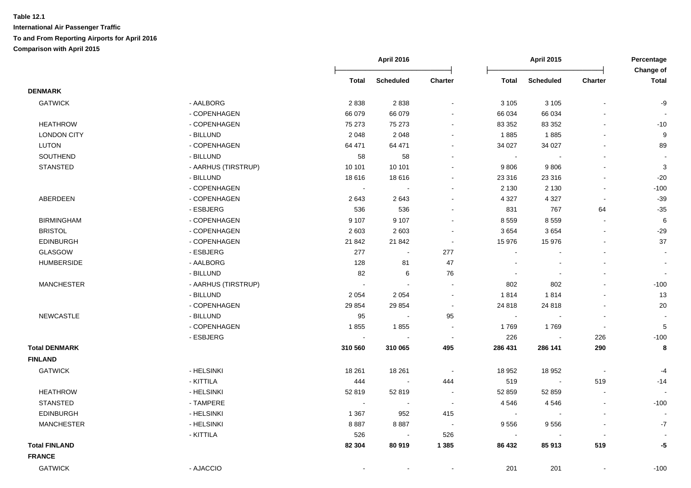|                      |                     |                          | <b>April 2016</b>        |                          |              | April 2015       |                          | Percentage                |
|----------------------|---------------------|--------------------------|--------------------------|--------------------------|--------------|------------------|--------------------------|---------------------------|
|                      |                     | Total                    | <b>Scheduled</b>         | Charter                  | <b>Total</b> | <b>Scheduled</b> | <b>Charter</b>           | Change of<br><b>Total</b> |
| <b>DENMARK</b>       |                     |                          |                          |                          |              |                  |                          |                           |
| <b>GATWICK</b>       | - AALBORG           | 2838                     | 2838                     |                          | 3 1 0 5      | 3 1 0 5          | $\overline{a}$           | -9                        |
|                      | - COPENHAGEN        | 66 079                   | 66 079                   |                          | 66 034       | 66 034           |                          |                           |
| <b>HEATHROW</b>      | - COPENHAGEN        | 75 273                   | 75 273                   | $\overline{\phantom{a}}$ | 83 352       | 83 352           |                          | $-10$                     |
| <b>LONDON CITY</b>   | - BILLUND           | 2 0 4 8                  | 2 0 4 8                  |                          | 1885         | 1885             | ÷.                       | 9                         |
| <b>LUTON</b>         | - COPENHAGEN        | 64 471                   | 64 471                   |                          | 34 027       | 34 027           | $\blacksquare$           | 89                        |
| SOUTHEND             | - BILLUND           | 58                       | 58                       |                          | $\sim$       |                  |                          |                           |
| <b>STANSTED</b>      | - AARHUS (TIRSTRUP) | 10 101                   | 10 101                   | $\sim$                   | 9806         | 9806             |                          | $\ensuremath{\mathsf{3}}$ |
|                      | - BILLUND           | 18 6 16                  | 18616                    | $\overline{\phantom{a}}$ | 23 316       | 23 316           |                          | $-20$                     |
|                      | - COPENHAGEN        | $\sim$                   |                          |                          | 2 1 3 0      | 2 1 3 0          | $\blacksquare$           | $-100$                    |
| ABERDEEN             | - COPENHAGEN        | 2643                     | 2643                     | $\sim$                   | 4 3 2 7      | 4 3 2 7          | $\overline{\phantom{a}}$ | $-39$                     |
|                      | - ESBJERG           | 536                      | 536                      |                          | 831          | 767              | 64                       | $-35$                     |
| <b>BIRMINGHAM</b>    | - COPENHAGEN        | 9 1 0 7                  | 9 1 0 7                  |                          | 8 5 5 9      | 8559             | $\sim$                   | $\,6\,$                   |
| <b>BRISTOL</b>       | - COPENHAGEN        | 2 6 0 3                  | 2 6 0 3                  |                          | 3 6 5 4      | 3654             | $\overline{\phantom{a}}$ | $-29$                     |
| <b>EDINBURGH</b>     | - COPENHAGEN        | 21 842                   | 21 842                   | $\sim$                   | 15 976       | 15 976           | $\overline{a}$           | 37                        |
| GLASGOW              | - ESBJERG           | 277                      | $\sim$                   | 277                      | $\sim$       |                  | $\blacksquare$           | $\sim$                    |
| <b>HUMBERSIDE</b>    | - AALBORG           | 128                      | 81                       | 47                       |              |                  |                          |                           |
|                      | - BILLUND           | 82                       | 6                        | 76                       | $\sim$       |                  |                          | $\sim$                    |
| <b>MANCHESTER</b>    | - AARHUS (TIRSTRUP) | $\sim$                   | $\overline{\phantom{a}}$ | $\sim$                   | 802          | 802              |                          | $-100$                    |
|                      | - BILLUND           | 2 0 5 4                  | 2 0 5 4                  | $\sim$                   | 1814         | 1814             | ÷.                       | 13                        |
|                      | - COPENHAGEN        | 29 8 54                  | 29 8 54                  | $\blacksquare$           | 24 818       | 24 818           | $\overline{a}$           | 20                        |
| <b>NEWCASTLE</b>     | - BILLUND           | 95                       | $\sim$                   | 95                       | $\sim$       |                  | $\overline{\phantom{a}}$ |                           |
|                      | - COPENHAGEN        | 1855                     | 1855                     |                          | 1769         | 1769             |                          | 5                         |
|                      | - ESBJERG           | $\overline{\phantom{a}}$ |                          | $\blacksquare$           | 226          |                  | 226                      | $-100$                    |
| <b>Total DENMARK</b> |                     | 310 560                  | 310 065                  | 495                      | 286 431      | 286 141          | 290                      | 8                         |
| <b>FINLAND</b>       |                     |                          |                          |                          |              |                  |                          |                           |
| <b>GATWICK</b>       | - HELSINKI          | 18 261                   | 18 261                   | $\blacksquare$           | 18 952       | 18 952           | $\blacksquare$           | -4                        |
|                      | - KITTILA           | 444                      | $\sim$                   | 444                      | 519          | $\sim$           | 519                      | $-14$                     |
| <b>HEATHROW</b>      | - HELSINKI          | 52 819                   | 52 819                   | $\sim$                   | 52 859       | 52 859           | $\blacksquare$           |                           |
| <b>STANSTED</b>      | - TAMPERE           | $\sim$                   | $\sim$                   | $\sim$                   | 4546         | 4546             | $\blacksquare$           | $-100$                    |
| <b>EDINBURGH</b>     | - HELSINKI          | 1 3 6 7                  | 952                      | 415                      | $\sim$       |                  | $\sim$                   |                           |
| <b>MANCHESTER</b>    | - HELSINKI          | 8887                     | 8887                     | $\sim$                   | 9556         | 9556             | $\blacksquare$           | $-7$                      |
|                      | - KITTILA           | 526                      | $\sim$                   | 526                      | $\sim$       |                  | $\blacksquare$           |                           |
| <b>Total FINLAND</b> |                     | 82 304                   | 80 919                   | 1 3 8 5                  | 86 432       | 85913            | 519                      | -5                        |
| <b>FRANCE</b>        |                     |                          |                          |                          |              |                  |                          |                           |
| <b>GATWICK</b>       | - AJACCIO           |                          |                          |                          | 201          | 201              |                          | $-100$                    |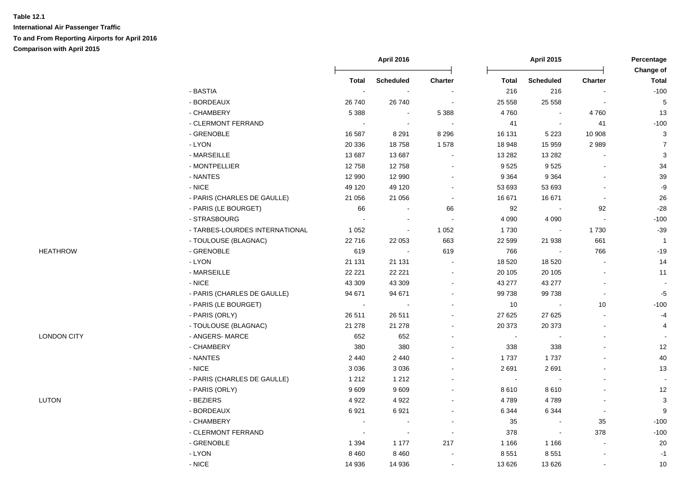|                    |                                |                | <b>April 2016</b> |                          |                | <b>April 2015</b> |                          | Percentage                |
|--------------------|--------------------------------|----------------|-------------------|--------------------------|----------------|-------------------|--------------------------|---------------------------|
|                    |                                | <b>Total</b>   | <b>Scheduled</b>  | <b>Charter</b>           | <b>Total</b>   | <b>Scheduled</b>  | <b>Charter</b>           | Change of<br><b>Total</b> |
|                    | - BASTIA                       | $\sim$         |                   |                          | 216            | 216               |                          | $-100$                    |
|                    | - BORDEAUX                     | 26 740         | 26 740            |                          | 25 558         | 25 558            |                          | $\sqrt{5}$                |
|                    | - CHAMBERY                     | 5 3 8 8        |                   | 5 3 8 8                  | 4760           |                   | 4760                     | 13                        |
|                    | - CLERMONT FERRAND             | $\sim$         | $\sim$            | $\sim$                   | 41             |                   | 41                       | $-100$                    |
|                    | - GRENOBLE                     | 16 587         | 8 2 9 1           | 8 2 9 6                  | 16 131         | 5 2 2 3           | 10 908                   | $\mathbf{3}$              |
|                    | - LYON                         | 20 336         | 18758             | 1578                     | 18 948         | 15 959            | 2989                     | $\overline{7}$            |
|                    | - MARSEILLE                    | 13 687         | 13 687            | $\blacksquare$           | 13 282         | 13 28 2           |                          | 3                         |
|                    | - MONTPELLIER                  | 12758          | 12758             | $\overline{\phantom{a}}$ | 9525           | 9525              |                          | 34                        |
|                    | - NANTES                       | 12 990         | 12 990            |                          | 9 3 6 4        | 9 3 6 4           |                          | 39                        |
|                    | - NICE                         | 49 120         | 49 120            |                          | 53 693         | 53 693            |                          | $-9$                      |
|                    | - PARIS (CHARLES DE GAULLE)    | 21 056         | 21 056            | $\sim$                   | 16 671         | 16 671            | $\overline{\phantom{a}}$ | 26                        |
|                    | - PARIS (LE BOURGET)           | 66             | $\sim$            | 66                       | 92             | $\sim$            | 92                       | $-28$                     |
|                    | - STRASBOURG                   | $\sim$         | $\sim$            |                          | 4 0 9 0        | 4 0 9 0           | $\Delta$                 | $-100$                    |
|                    | - TARBES-LOURDES INTERNATIONAL | 1 0 5 2        | $\sim$            | 1 0 5 2                  | 1730           |                   | 1730                     | $-39$                     |
|                    | - TOULOUSE (BLAGNAC)           | 22716          | 22 053            | 663                      | 22 599         | 21 938            | 661                      | $\overline{1}$            |
|                    | - GRENOBLE                     | 619            | $\sim$            | 619                      | 766            |                   | 766                      | $-19$                     |
| <b>HEATHROW</b>    | $-LYON$                        | 21 131         | 21 131            | $\sim$                   | 18 5 20        | 18 5 20           |                          | 14                        |
|                    | - MARSEILLE                    | 22 2 2 1       | 22 2 2 1          | $\sim$                   | 20 105         | 20 10 5           |                          | 11                        |
|                    | $-$ NICE                       | 43 309         | 43 309            | $\sim$                   | 43 277         | 43 277            |                          |                           |
|                    | - PARIS (CHARLES DE GAULLE)    | 94 671         | 94 671            | $\overline{\phantom{a}}$ | 99 738         | 99738             | $\sim$                   | $-5$                      |
|                    | - PARIS (LE BOURGET)           | $\blacksquare$ |                   |                          | 10             |                   | 10                       | $-100$                    |
|                    | - PARIS (ORLY)                 | 26 511         | 26 511            |                          | 27 625         | 27 6 25           |                          | $-4$                      |
|                    | - TOULOUSE (BLAGNAC)           | 21 278         | 21 278            |                          | 20 373         | 20 373            |                          | 4                         |
| <b>LONDON CITY</b> | - ANGERS- MARCE                | 652            | 652               |                          | $\blacksquare$ |                   |                          |                           |
|                    | - CHAMBERY                     | 380            | 380               |                          | 338            | 338               |                          | 12                        |
|                    | - NANTES                       | 2 4 4 0        | 2 4 4 0           |                          | 1737           | 1737              |                          | 40                        |
|                    | - NICE                         | 3 0 3 6        | 3 0 3 6           |                          | 2691           | 2691              |                          | 13                        |
|                    | - PARIS (CHARLES DE GAULLE)    | 1 2 1 2        | 1 2 1 2           |                          | $\blacksquare$ |                   |                          |                           |
|                    | - PARIS (ORLY)                 | 9609           | 9609              |                          | 8610           | 8610              |                          | 12                        |
| LUTON              | - BEZIERS                      | 4 9 2 2        | 4922              | $\sim$                   | 4789           | 4789              |                          | $\mathbf{3}$              |
|                    | - BORDEAUX                     | 6921           | 6921              | $\sim$                   | 6 3 4 4        | 6 3 4 4           |                          | 9                         |
|                    | - CHAMBERY                     | $\sim$         | $\blacksquare$    | $\blacksquare$           | 35             | $\blacksquare$    | 35                       | $-100$                    |
|                    | - CLERMONT FERRAND             | $\sim$         | $\sim$            | $\overline{\phantom{a}}$ | 378            | $\sim$            | 378                      | $-100$                    |
|                    | - GRENOBLE                     | 1 3 9 4        | 1 1 7 7           | 217                      | 1 1 6 6        | 1 1 6 6           |                          | 20                        |
|                    | - LYON                         | 8 4 6 0        | 8 4 6 0           | $\blacksquare$           | 8 5 5 1        | 8 5 5 1           |                          | $-1$                      |
|                    | $-$ NICE                       | 14 936         | 14 936            |                          | 13 6 26        | 13 6 26           |                          | 10                        |
|                    |                                |                |                   |                          |                |                   |                          |                           |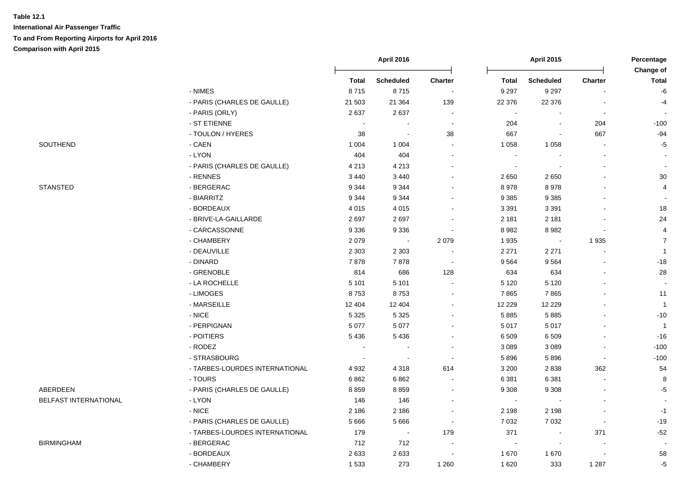**International Air Passenger Traffic To and From Reporting Airports for April 2016 Comparison with April 2015**

|                       |                                |         | April 2016                 |                          |                | <b>April 2015</b> |                | Percentage<br>Change of |
|-----------------------|--------------------------------|---------|----------------------------|--------------------------|----------------|-------------------|----------------|-------------------------|
|                       |                                | Total   | <b>Scheduled</b>           | <b>Charter</b>           | <b>Total</b>   | <b>Scheduled</b>  | Charter        | <b>Total</b>            |
|                       | - NIMES                        | 8715    | 8715                       |                          | 9 2 9 7        | 9 2 9 7           |                | -6                      |
|                       | - PARIS (CHARLES DE GAULLE)    | 21 503  | 21 3 64                    | 139                      | 22 376         | 22 376            |                | $-4$                    |
|                       | - PARIS (ORLY)                 | 2637    | 2637                       |                          | $\blacksquare$ |                   |                |                         |
|                       | - ST ETIENNE                   |         | $\overline{\phantom{a}}$   | $\blacksquare$           | 204            | $\blacksquare$    | 204            | $-100$                  |
|                       | - TOULON / HYERES              | 38      | $\sim$                     | 38                       | 667            | $\blacksquare$    | 667            | $-94$                   |
| SOUTHEND              | - CAEN                         | 1 0 0 4 | 1 0 0 4                    | $\sim$                   | 1 0 5 8        | 1 0 5 8           | $\sim$         | $-5$                    |
|                       | - LYON                         | 404     | 404                        | $\blacksquare$           | $\blacksquare$ | $\blacksquare$    |                |                         |
|                       | - PARIS (CHARLES DE GAULLE)    | 4 2 1 3 | 4 2 1 3                    | $\blacksquare$           | $\blacksquare$ |                   |                | $\sim$                  |
|                       | - RENNES                       | 3 4 4 0 | 3 4 4 0                    | $\sim$                   | 2650           | 2650              |                | $30\,$                  |
| <b>STANSTED</b>       | - BERGERAC                     | 9 3 4 4 | 9 3 4 4                    | $\sim$                   | 8978           | 8978              |                | 4                       |
|                       | - BIARRITZ                     | 9 3 4 4 | 9 3 4 4                    | $\blacksquare$           | 9 3 8 5        | 9 3 8 5           |                |                         |
|                       | - BORDEAUX                     | 4 0 1 5 | 4 0 1 5                    | $\blacksquare$           | 3 3 9 1        | 3 3 9 1           |                | $18$                    |
|                       | - BRIVE-LA-GAILLARDE           | 2697    | 2697                       | $\blacksquare$           | 2 1 8 1        | 2 1 8 1           |                | 24                      |
|                       | - CARCASSONNE                  | 9 3 3 6 | 9 3 3 6                    | $\overline{\phantom{a}}$ | 8982           | 8982              | $\blacksquare$ | $\overline{4}$          |
|                       | - CHAMBERY                     | 2079    | $\mathcal{L}_{\mathbf{r}}$ | 2 0 7 9                  | 1935           | $\sim 100$        | 1935           | $\overline{7}$          |
|                       | - DEAUVILLE                    | 2 3 0 3 | 2 3 0 3                    |                          | 2 2 7 1        | 2 2 7 1           |                | $\mathbf{1}$            |
|                       | - DINARD                       | 7878    | 7878                       | $\sim$                   | 9564           | 9564              |                | $-18$                   |
|                       | - GRENOBLE                     | 814     | 686                        | 128                      | 634            | 634               |                | $28\,$                  |
|                       | - LA ROCHELLE                  | 5 1 0 1 | 5 1 0 1                    |                          | 5 1 2 0        | 5 1 2 0           |                |                         |
|                       | - LIMOGES                      | 8753    | 8753                       |                          | 7865           | 7865              |                | 11                      |
|                       | - MARSEILLE                    | 12 4 04 | 12 404                     | $\overline{a}$           | 12 2 2 9       | 12 2 2 9          |                | $\overline{1}$          |
|                       | $-NICE$                        | 5 3 2 5 | 5 3 2 5                    | $\blacksquare$           | 5885           | 5885              |                | $-10$                   |
|                       | - PERPIGNAN                    | 5 0 7 7 | 5 0 7 7                    | ÷                        | 5 0 1 7        | 5 0 1 7           |                | $\overline{1}$          |
|                       | - POITIERS                     | 5 4 3 6 | 5 4 3 6                    | $\blacksquare$           | 6 5 0 9        | 6509              |                | $-16$                   |
|                       | - RODEZ                        |         |                            |                          | 3 0 8 9        | 3 0 8 9           | $\blacksquare$ | $-100$                  |
|                       | - STRASBOURG                   |         | $\sim$                     | $\sim$                   | 5896           | 5896              | $\blacksquare$ | $-100$                  |
|                       | - TARBES-LOURDES INTERNATIONAL | 4932    | 4 3 1 8                    | 614                      | 3 2 0 0        | 2838              | 362            | 54                      |
|                       | - TOURS                        | 6862    | 6862                       | $\blacksquare$           | 6 3 8 1        | 6 3 8 1           |                | 8                       |
| <b>ABERDEEN</b>       | - PARIS (CHARLES DE GAULLE)    | 8859    | 8859                       | $\blacksquare$           | 9 3 0 8        | 9 3 0 8           |                | $-5$                    |
| BELFAST INTERNATIONAL | - LYON                         | 146     | 146                        | $\overline{a}$           | $\sim$         |                   |                | $\sim$                  |
|                       | - NICE                         | 2 186   | 2 1 8 6                    | $\sim$                   | 2 1 9 8        | 2 1 9 8           |                | $-1$                    |
|                       | - PARIS (CHARLES DE GAULLE)    | 5 6 6 6 | 5 6 6 6                    | $\sim$                   | 7 0 3 2        | 7 0 3 2           | $\blacksquare$ | $-19$                   |
|                       | - TARBES-LOURDES INTERNATIONAL | 179     | $\blacksquare$             | 179                      | 371            | $\mathbf{r}$      | 371            | $-52$                   |
| <b>BIRMINGHAM</b>     | - BERGERAC                     | 712     | 712                        |                          | $\sim$         |                   |                |                         |
|                       | - BORDEAUX                     | 2633    | 2633                       |                          | 1670           | 1670              |                | 58                      |
|                       | - CHAMBERY                     | 1533    | 273                        | 1 2 6 0                  | 1 6 2 0        | 333               | 1 2 8 7        | $-5$                    |

| <b>SUUTHEIND</b> |  |  |  |
|------------------|--|--|--|
|                  |  |  |  |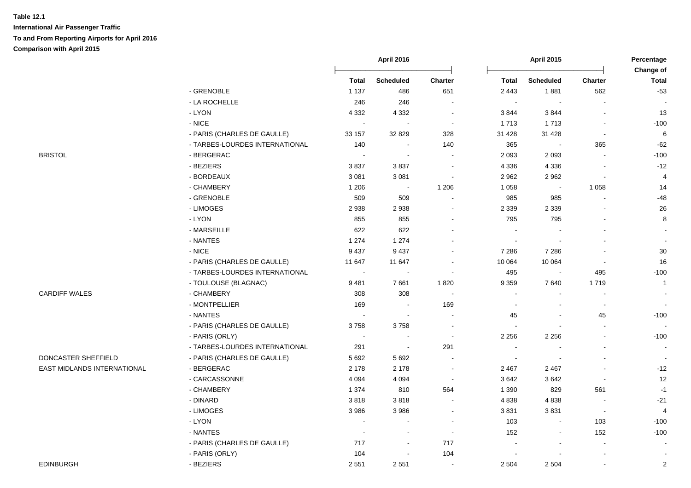**International Air Passenger Traffic To and From Reporting Airports for April 2016**

**Comparison with April 2015**

|                             |                                |              | <b>April 2016</b> |                             |              | <b>April 2015</b> |                          | Percentage<br>Change of  |
|-----------------------------|--------------------------------|--------------|-------------------|-----------------------------|--------------|-------------------|--------------------------|--------------------------|
|                             |                                | <b>Total</b> | <b>Scheduled</b>  | <b>Charter</b>              | <b>Total</b> | <b>Scheduled</b>  | <b>Charter</b>           | <b>Total</b>             |
|                             | - GRENOBLE                     | 1 1 3 7      | 486               | 651                         | 2 4 4 3      | 1881              | 562                      | $-53$                    |
|                             | - LA ROCHELLE                  | 246          | 246               | $\sim$                      | $\sim$       | $\sim$            | $\blacksquare$           |                          |
|                             | - LYON                         | 4 3 3 2      | 4 3 3 2           | $\sim$                      | 3844         | 3844              | $\blacksquare$           | 13                       |
|                             | - NICE                         | $\sim$       |                   | $\sim$                      | 1713         | 1713              | $\sim$                   | $-100$                   |
|                             | - PARIS (CHARLES DE GAULLE)    | 33 157       | 32 829            | 328                         | 31 4 28      | 31 4 28           | $\sim$                   | 6                        |
|                             | - TARBES-LOURDES INTERNATIONAL | 140          | $\sim$            | 140                         | 365          |                   | 365                      | $-62$                    |
| <b>BRISTOL</b>              | - BERGERAC                     | $\sim$       | $\sim$            | $\blacksquare$              | 2 0 9 3      | 2 0 9 3           | $\sim$                   | $-100$                   |
|                             | - BEZIERS                      | 3837         | 3837              | $\sim$                      | 4 3 3 6      | 4 3 3 6           | $\blacksquare$           | $-12$                    |
|                             | - BORDEAUX                     | 3 0 8 1      | 3 0 8 1           | $\mathcal{L}_{\mathcal{A}}$ | 2 9 6 2      | 2 9 6 2           | $\blacksquare$           | $\overline{4}$           |
|                             | - CHAMBERY                     | 1 2 0 6      | $\blacksquare$    | 1 2 0 6                     | 1 0 5 8      | $\blacksquare$    | 1 0 5 8                  | 14                       |
|                             | - GRENOBLE                     | 509          | 509               | $\blacksquare$              | 985          | 985               | $\blacksquare$           | $-48$                    |
|                             | - LIMOGES                      | 2938         | 2938              | $\blacksquare$              | 2 3 3 9      | 2 3 3 9           |                          | 26                       |
|                             | - LYON                         | 855          | 855               | $\overline{\phantom{a}}$    | 795          | 795               | $\overline{a}$           | 8                        |
|                             | - MARSEILLE                    | 622          | 622               | $\blacksquare$              |              |                   | $\blacksquare$           |                          |
|                             | - NANTES                       | 1 2 7 4      | 1 2 7 4           | $\overline{\phantom{a}}$    |              |                   |                          | $\sim$                   |
|                             | - NICE                         | 9437         | 9437              |                             | 7 2 8 6      | 7 2 8 6           |                          | 30                       |
|                             | - PARIS (CHARLES DE GAULLE)    | 11 647       | 11 647            | $\sim$                      | 10 064       | 10 064            |                          | 16                       |
|                             | - TARBES-LOURDES INTERNATIONAL | $\sim$       |                   | $\sim$                      | 495          |                   | 495                      | $-100$                   |
|                             | - TOULOUSE (BLAGNAC)           | 9481         | 7661              | 1820                        | 9 3 5 9      | 7640              | 1719                     | $\overline{1}$           |
| <b>CARDIFF WALES</b>        | - CHAMBERY                     | 308          | 308               | $\sim$                      |              |                   |                          |                          |
|                             | - MONTPELLIER                  | 169          | $\sim$            | 169                         |              |                   | $\overline{\phantom{a}}$ | $\sim$                   |
|                             | - NANTES                       | $\sim$       | $\sim$            | $\blacksquare$              | 45           |                   | 45                       | $-100$                   |
|                             | - PARIS (CHARLES DE GAULLE)    | 3758         | 3758              | $\sim$                      |              |                   | L,                       | $\sim$                   |
|                             | - PARIS (ORLY)                 | $\sim$       | $\sim$            | $\mathcal{L}_{\mathcal{A}}$ | 2 2 5 6      | 2 2 5 6           | $\overline{a}$           | $-100$                   |
|                             | - TARBES-LOURDES INTERNATIONAL | 291          | $\sim$            | 291                         | $\sim$       |                   | ÷.                       | $\sim$                   |
| DONCASTER SHEFFIELD         | - PARIS (CHARLES DE GAULLE)    | 5 6 9 2      | 5692              | $\sim$                      | $\sim$       |                   | $\overline{a}$           | $\overline{\phantom{a}}$ |
| EAST MIDLANDS INTERNATIONAL | - BERGERAC                     | 2 1 7 8      | 2 1 7 8           | $\sim$                      | 2 4 6 7      | 2 4 6 7           | $\blacksquare$           | $-12$                    |
|                             | - CARCASSONNE                  | 4 0 9 4      | 4 0 9 4           | $\sim$                      | 3642         | 3642              | $\overline{\phantom{a}}$ | 12                       |
|                             | - CHAMBERY                     | 1 3 7 4      | 810               | 564                         | 1 3 9 0      | 829               | 561                      | $-1$                     |
|                             | - DINARD                       | 3818         | 3818              | $\sim$                      | 4 8 3 8      | 4838              |                          | $-21$                    |
|                             | - LIMOGES                      | 3986         | 3986              | $\blacksquare$              | 3831         | 3831              | $\overline{\phantom{a}}$ | $\overline{4}$           |
|                             | - LYON                         |              | $\sim$            | $\sim$                      | 103          |                   | 103                      | $-100$                   |
|                             | - NANTES                       | $\sim$       | $\sim$            | $\mathcal{L}_{\mathcal{A}}$ | 152          |                   | 152                      | $-100$                   |
|                             | - PARIS (CHARLES DE GAULLE)    | 717          | $\blacksquare$    | 717                         |              |                   | $\blacksquare$           |                          |
|                             | - PARIS (ORLY)                 | 104          | $\sim$            | 104                         |              |                   | $\sim$                   |                          |
| <b>EDINBURGH</b>            | - BEZIERS                      | 2 5 5 1      | 2551              | $\mathcal{L}_{\mathcal{A}}$ | 2 5 0 4      | 2 5 0 4           | $\sim$                   | $\overline{2}$           |
|                             |                                |              |                   |                             |              |                   |                          |                          |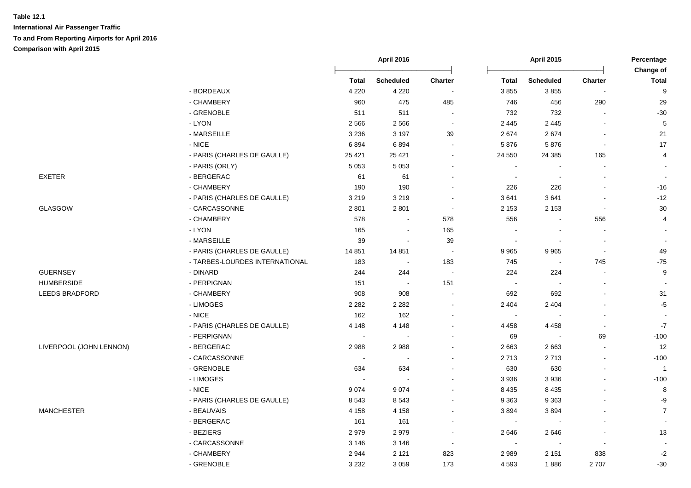|                         |                                |                          | <b>April 2016</b> |                          |                          | <b>April 2015</b>        |                | Percentage<br>Change of |
|-------------------------|--------------------------------|--------------------------|-------------------|--------------------------|--------------------------|--------------------------|----------------|-------------------------|
|                         |                                | <b>Total</b>             | <b>Scheduled</b>  | <b>Charter</b>           | <b>Total</b>             | <b>Scheduled</b>         | Charter        | <b>Total</b>            |
|                         | - BORDEAUX                     | 4 2 2 0                  | 4 2 2 0           | $\overline{\phantom{a}}$ | 3855                     | 3855                     |                | 9                       |
|                         | - CHAMBERY                     | 960                      | 475               | 485                      | 746                      | 456                      | 290            | 29                      |
|                         | - GRENOBLE                     | 511                      | 511               | $\sim$                   | 732                      | 732                      |                | $-30$                   |
|                         | - LYON                         | 2566                     | 2566              | $\sim$                   | 2 4 4 5                  | 2 4 4 5                  |                | $\sqrt{5}$              |
|                         | - MARSEILLE                    | 3 2 3 6                  | 3 1 9 7           | 39                       | 2674                     | 2674                     |                | 21                      |
|                         | - NICE                         | 6894                     | 6894              | $\sim$                   | 5876                     | 5876                     | $\blacksquare$ | 17                      |
|                         | - PARIS (CHARLES DE GAULLE)    | 25 4 21                  | 25 4 21           |                          | 24 550                   | 24 3 85                  | 165            | $\overline{4}$          |
|                         | - PARIS (ORLY)                 | 5 0 5 3                  | 5 0 5 3           |                          | $\sim$                   |                          |                | $\sim$                  |
| EXETER                  | - BERGERAC                     | 61                       | 61                |                          | $\sim$                   | $\overline{\phantom{a}}$ | $\blacksquare$ | $\sim$                  |
|                         | - CHAMBERY                     | 190                      | 190               |                          | 226                      | 226                      |                | $-16$                   |
|                         | - PARIS (CHARLES DE GAULLE)    | 3 2 1 9                  | 3 2 1 9           |                          | 3641                     | 3641                     |                | $-12$                   |
| <b>GLASGOW</b>          | - CARCASSONNE                  | 2 8 0 1                  | 2 8 0 1           | $\sim$                   | 2 1 5 3                  | 2 1 5 3                  |                | 30                      |
|                         | - CHAMBERY                     | 578                      |                   | 578                      | 556                      |                          | 556            | $\overline{4}$          |
|                         | - LYON                         | 165                      | $\blacksquare$    | 165                      | $\sim$                   | $\overline{\phantom{a}}$ |                |                         |
|                         | - MARSEILLE                    | 39                       | $\sim$            | 39                       | $\overline{\phantom{a}}$ | $\overline{\phantom{a}}$ |                |                         |
|                         | - PARIS (CHARLES DE GAULLE)    | 14 8 51                  | 14 8 51           | $\sim$                   | 9 9 6 5                  | 9965                     | $\blacksquare$ | 49                      |
|                         | - TARBES-LOURDES INTERNATIONAL | 183                      | $\blacksquare$    | 183                      | 745                      | $\sim$                   | 745            | $-75$                   |
| <b>GUERNSEY</b>         | - DINARD                       | 244                      | 244               | $\bullet$                | 224                      | 224                      |                | 9                       |
| <b>HUMBERSIDE</b>       | - PERPIGNAN                    | 151                      | $\sim$            | 151                      | $\sim$                   |                          |                |                         |
| <b>LEEDS BRADFORD</b>   | - CHAMBERY                     | 908                      | 908               | $\sim$                   | 692                      | 692                      |                | 31                      |
|                         | - LIMOGES                      | 2 2 8 2                  | 2 2 8 2           |                          | 2 4 0 4                  | 2 4 0 4                  |                | $-5$                    |
|                         | $\text{-}\,\text{NICE}$        | 162                      | 162               |                          | $\sim$                   |                          |                |                         |
|                         | - PARIS (CHARLES DE GAULLE)    | 4 1 4 8                  | 4 1 4 8           |                          | 4 4 5 8                  | 4 4 5 8                  | $\blacksquare$ | $-7$                    |
|                         | - PERPIGNAN                    | $\sim$                   | $\blacksquare$    |                          | 69                       |                          | 69             | $-100$                  |
| LIVERPOOL (JOHN LENNON) | - BERGERAC                     | 2988                     | 2988              |                          | 2 6 6 3                  | 2663                     |                | 12                      |
|                         | - CARCASSONNE                  | $\overline{\phantom{a}}$ |                   |                          | 2713                     | 2713                     |                | $-100$                  |
|                         | - GRENOBLE                     | 634                      | 634               |                          | 630                      | 630                      |                | $\overline{1}$          |
|                         | - LIMOGES                      | $\sim$                   | $\sim$            |                          | 3 9 3 6                  | 3936                     |                | $-100$                  |
|                         | $-NICE$                        | 9074                     | 9074              |                          | 8 4 3 5                  | 8 4 3 5                  |                | 8                       |
|                         | - PARIS (CHARLES DE GAULLE)    | 8543                     | 8543              |                          | 9 3 6 3                  | 9 3 6 3                  |                | $-9$                    |
| <b>MANCHESTER</b>       | - BEAUVAIS                     | 4 1 5 8                  | 4 1 5 8           |                          | 3894                     | 3894                     |                | $\overline{7}$          |
|                         | - BERGERAC                     | 161                      | 161               |                          | $\blacksquare$           |                          |                |                         |
|                         | - BEZIERS                      | 2979                     | 2979              |                          | 2646                     | 2646                     |                | 13                      |
|                         | - CARCASSONNE                  | 3 1 4 6                  | 3 1 4 6           | $\sim$                   | $\sim$                   |                          | $\blacksquare$ |                         |
|                         | - CHAMBERY                     | 2944                     | 2 1 2 1           | 823                      | 2989                     | 2 1 5 1                  | 838            | $-2$                    |
|                         |                                |                          |                   |                          |                          |                          |                |                         |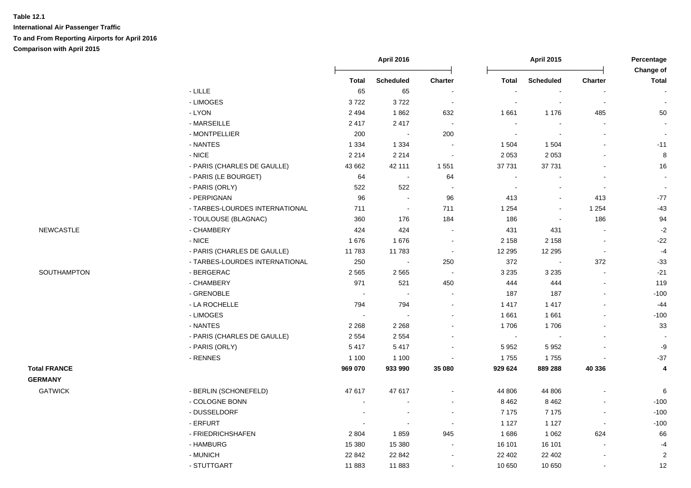**International Air Passenger Traffic To and From Reporting Airports for April 2016 Comparison with April 2015**

|                     |                                |                          | <b>April 2016</b> |                          |                          | <b>April 2015</b> |                | Percentage<br>Change of  |
|---------------------|--------------------------------|--------------------------|-------------------|--------------------------|--------------------------|-------------------|----------------|--------------------------|
|                     |                                | <b>Total</b>             | <b>Scheduled</b>  | <b>Charter</b>           | <b>Total</b>             | <b>Scheduled</b>  | Charter        | Total                    |
|                     | $-LILLE$                       | 65                       | 65                |                          | $\overline{\phantom{a}}$ |                   |                | $\blacksquare$           |
|                     | - LIMOGES                      | 3722                     | 3722              | $\sim$                   |                          |                   | $\blacksquare$ | $\sim$                   |
|                     | - LYON                         | 2 4 9 4                  | 1862              | 632                      | 1661                     | 1 1 7 6           | 485            | 50                       |
|                     | - MARSEILLE                    | 2417                     | 2417              | $\sim$                   | $\blacksquare$           |                   |                |                          |
|                     | - MONTPELLIER                  | 200                      | $\sim$            | 200                      | $\blacksquare$           |                   |                |                          |
|                     | - NANTES                       | 1 3 3 4                  | 1 3 3 4           |                          | 1 504                    | 1 5 0 4           |                | $-11$                    |
|                     | $-NICE$                        | 2 2 1 4                  | 2 2 1 4           | $\sim$                   | 2 0 5 3                  | 2 0 5 3           |                | $\bf{8}$                 |
|                     | - PARIS (CHARLES DE GAULLE)    | 43 662                   | 42 111            | 1 5 5 1                  | 37 731                   | 37 731            |                | 16                       |
|                     | - PARIS (LE BOURGET)           | 64                       | $\sim$            | 64                       | $\overline{a}$           |                   |                | $\sim$                   |
|                     | - PARIS (ORLY)                 | 522                      | 522               | $\sim$                   | $\blacksquare$           | $\overline{a}$    | $\blacksquare$ | $\sim$                   |
|                     | - PERPIGNAN                    | 96                       | $\sim$            | 96                       | 413                      | $\blacksquare$    | 413            | $-77$                    |
|                     | - TARBES-LOURDES INTERNATIONAL | 711                      | $\sim$            | 711                      | 1 2 5 4                  | $\sim$            | 1 2 5 4        | $-43$                    |
|                     | - TOULOUSE (BLAGNAC)           | 360                      | 176               | 184                      | 186                      | $\sim$            | 186            | 94                       |
| <b>NEWCASTLE</b>    | - CHAMBERY                     | 424                      | 424               | $\sim$                   | 431                      | 431               | $\sim$         | $-2$                     |
|                     | - NICE                         | 1676                     | 1676              | $\blacksquare$           | 2 1 5 8                  | 2 1 5 8           | $\blacksquare$ | $-22$                    |
|                     | - PARIS (CHARLES DE GAULLE)    | 11783                    | 11 783            | $\sim$                   | 12 2 9 5                 | 12 2 9 5          | $\blacksquare$ | $-4$                     |
|                     | - TARBES-LOURDES INTERNATIONAL | 250                      |                   | 250                      | 372                      |                   | 372            | $-33$                    |
| SOUTHAMPTON         | - BERGERAC                     | 2 5 6 5                  | 2 5 6 5           | $\sim$                   | 3 2 3 5                  | 3 2 3 5           | $\sim$         | $-21$                    |
|                     | - CHAMBERY                     | 971                      | 521               | 450                      | 444                      | 444               |                | 119                      |
|                     | - GRENOBLE                     | $\sim$                   | $\sim$            | $\sim$                   | 187                      | 187               |                | $-100$                   |
|                     | - LA ROCHELLE                  | 794                      | 794               | $\blacksquare$           | 1 4 1 7                  | 1 4 1 7           |                | $-44$                    |
|                     | - LIMOGES                      |                          | $\sim$            |                          | 1661                     | 1661              | $\sim$         | $-100$                   |
|                     | - NANTES                       | 2 2 6 8                  | 2 2 6 8           |                          | 1706                     | 1706              |                | 33                       |
|                     | - PARIS (CHARLES DE GAULLE)    | 2 5 5 4                  | 2 5 5 4           |                          | $\blacksquare$           |                   |                | $\overline{\phantom{a}}$ |
|                     | - PARIS (ORLY)                 | 5417                     | 5417              |                          | 5 9 5 2                  | 5 9 5 2           |                | -9                       |
|                     | - RENNES                       | 1 100                    | 1 1 0 0           |                          | 1755                     | 1755              |                | $-37$                    |
| <b>Total FRANCE</b> |                                | 969 070                  | 933 990           | 35 080                   | 929 624                  | 889 288           | 40 336         | 4                        |
| <b>GERMANY</b>      |                                |                          |                   |                          |                          |                   |                |                          |
| <b>GATWICK</b>      | - BERLIN (SCHONEFELD)          | 47 617                   | 47 617            |                          | 44 806                   | 44 806            |                | 6                        |
|                     | - COLOGNE BONN                 | $\overline{\phantom{a}}$ |                   |                          | 8 4 6 2                  | 8 4 6 2           |                | $-100$                   |
|                     | - DUSSELDORF                   |                          |                   | $\overline{\phantom{a}}$ | 7 1 7 5                  | 7 1 7 5           | $\blacksquare$ | $-100$                   |
|                     | - ERFURT                       | $\blacksquare$           | $\sim$            | $\overline{\phantom{a}}$ | 1 1 2 7                  | 1 1 2 7           | $\blacksquare$ | $-100$                   |
|                     | - FRIEDRICHSHAFEN              | 2 8 0 4                  | 1859              | 945                      | 1686                     | 1 0 6 2           | 624            | 66                       |
|                     | - HAMBURG                      | 15 380                   | 15 380            | $\blacksquare$           | 16 101                   | 16 101            | $\blacksquare$ | $-4$                     |
|                     | - MUNICH                       | 22 842                   | 22 842            |                          | 22 402                   | 22 402            | $\blacksquare$ | $\sqrt{2}$               |
|                     | - STUTTGART                    | 11 883                   | 11883             |                          | 10 650                   | 10 650            | $\blacksquare$ | 12                       |
|                     |                                |                          |                   |                          |                          |                   |                |                          |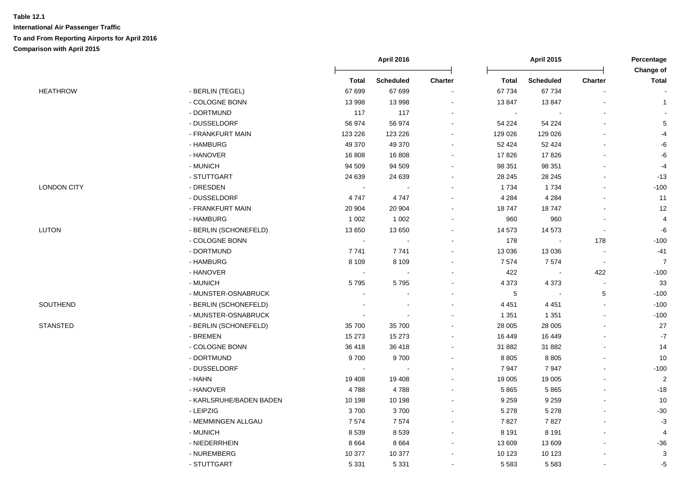|                    |                         |                | <b>April 2016</b> |                          |              | <b>April 2015</b>        |                          | Percentage<br>Change of |
|--------------------|-------------------------|----------------|-------------------|--------------------------|--------------|--------------------------|--------------------------|-------------------------|
|                    |                         | <b>Total</b>   | Scheduled         | Charter                  | <b>Total</b> | <b>Scheduled</b>         | <b>Charter</b>           | Total                   |
| <b>HEATHROW</b>    | - BERLIN (TEGEL)        | 67 699         | 67 699            |                          | 67 734       | 67 734                   |                          |                         |
|                    | - COLOGNE BONN          | 13 998         | 13 998            | $\overline{\phantom{a}}$ | 13847        | 13847                    |                          | $\mathbf{1}$            |
|                    | - DORTMUND              | 117            | 117               | $\sim$                   | $\sim$       |                          |                          |                         |
|                    | - DUSSELDORF            | 56 974         | 56 974            | $\overline{a}$           | 54 224       | 54 224                   | $\overline{\phantom{a}}$ | $5\phantom{.0}$         |
|                    | - FRANKFURT MAIN        | 123 226        | 123 226           | $\blacksquare$           | 129 026      | 129 026                  | $\overline{a}$           | -4                      |
|                    | - HAMBURG               | 49 370         | 49 370            | $\sim$                   | 52 4 24      | 52 4 24                  | $\sim$                   | -6                      |
|                    | - HANOVER               | 16 808         | 16 808            | $\sim$                   | 17826        | 17826                    | L,                       | -6                      |
|                    | - MUNICH                | 94 509         | 94 509            |                          | 98 351       | 98 351                   |                          | $-4$                    |
|                    | - STUTTGART             | 24 639         | 24 639            | $\overline{\phantom{a}}$ | 28 245       | 28 245                   | $\blacksquare$           | $-13$                   |
| <b>LONDON CITY</b> | - DRESDEN               | $\sim$         |                   | $\overline{\phantom{a}}$ | 1 7 3 4      | 1734                     | $\blacksquare$           | $-100$                  |
|                    | - DUSSELDORF            | 4747           | 4747              |                          | 4 2 8 4      | 4 2 8 4                  | $\overline{a}$           | 11                      |
|                    | - FRANKFURT MAIN        | 20 904         | 20 904            | $\blacksquare$           | 18747        | 18747                    | $\overline{a}$           | 12                      |
|                    | - HAMBURG               | 1 0 0 2        | 1 0 0 2           |                          | 960          | 960                      | $\overline{a}$           | $\overline{4}$          |
| <b>LUTON</b>       | - BERLIN (SCHONEFELD)   | 13 650         | 13 650            |                          | 14 573       | 14 573                   | $\blacksquare$           | -6                      |
|                    | - COLOGNE BONN          | $\blacksquare$ |                   |                          | 178          | $\overline{\phantom{a}}$ | 178                      | $-100$                  |
|                    | - DORTMUND              | 7741           | 7741              |                          | 13 0 36      | 13 0 36                  | $\sim$                   | $-41$                   |
|                    | - HAMBURG               | 8 1 0 9        | 8 1 0 9           | $\overline{a}$           | 7574         | 7574                     | $\sim$                   | $\overline{7}$          |
|                    | - HANOVER               | $\sim$         | $\blacksquare$    | $\ddot{\phantom{0}}$     | 422          | $\blacksquare$           | 422                      | $-100$                  |
|                    | - MUNICH                | 5795           | 5795              | ÷                        | 4 3 7 3      | 4 3 7 3                  | $\sim$                   | 33                      |
|                    | - MUNSTER-OSNABRUCK     |                |                   |                          | $\,$ 5 $\,$  | $\overline{\phantom{a}}$ | $\,$ 5 $\,$              | $-100$                  |
| SOUTHEND           | - BERLIN (SCHONEFELD)   |                |                   |                          | 4 4 5 1      | 4 4 5 1                  | $\overline{a}$           | $-100$                  |
|                    | - MUNSTER-OSNABRUCK     | $\blacksquare$ |                   |                          | 1 3 5 1      | 1 3 5 1                  | $\overline{a}$           | $-100$                  |
| <b>STANSTED</b>    | - BERLIN (SCHONEFELD)   | 35 700         | 35 700            | $\overline{\phantom{a}}$ | 28 005       | 28 005                   | $\overline{a}$           | $27\,$                  |
|                    | - BREMEN                | 15 273         | 15 273            |                          | 16 449       | 16 449                   |                          | $\mathbf{-7}$           |
|                    | - COLOGNE BONN          | 36 418         | 36 418            | $\blacksquare$           | 31 882       | 31 882                   | $\overline{a}$           | 14                      |
|                    | - DORTMUND              | 9700           | 9700              |                          | 8 8 0 5      | 8805                     | L,                       | 10                      |
|                    | - DUSSELDORF            | $\sim$         |                   |                          | 7947         | 7947                     |                          | $-100$                  |
|                    | - HAHN                  | 19 408         | 19 408            |                          | 19 005       | 19 005                   | $\blacksquare$           | $\overline{2}$          |
|                    | - HANOVER               | 4788           | 4788              | $\ddot{\phantom{a}}$     | 5865         | 5865                     | $\blacksquare$           | $-18$                   |
|                    | - KARLSRUHE/BADEN BADEN | 10 198         | 10 198            | $\overline{a}$           | 9 2 5 9      | 9 2 5 9                  | $\sim$                   | 10                      |
|                    | - LEIPZIG               | 3700           | 3700              | $\blacksquare$           | 5 2 7 8      | 5 2 7 8                  | $\overline{\phantom{a}}$ | $-30$                   |
|                    | - MEMMINGEN ALLGAU      | 7574           | 7574              | $\blacksquare$           | 7827         | 7827                     |                          | $-3$                    |
|                    | - MUNICH                | 8539           | 8539              | $\overline{\phantom{a}}$ | 8 1 9 1      | 8 1 9 1                  | $\overline{a}$           | 4                       |
|                    | - NIEDERRHEIN           | 8664           | 8 6 6 4           |                          | 13 609       | 13 609                   | $\overline{a}$           | $-36$                   |
|                    | - NUREMBERG             | 10 377         | 10 377            |                          | 10 123       | 10 123                   |                          | $\mathbf{3}$            |
|                    | - STUTTGART             | 5 3 3 1        | 5 3 3 1           | $\blacksquare$           | 5 5 8 3      | 5 5 8 3                  | $\overline{a}$           | $-5$                    |
|                    |                         |                |                   |                          |              |                          |                          |                         |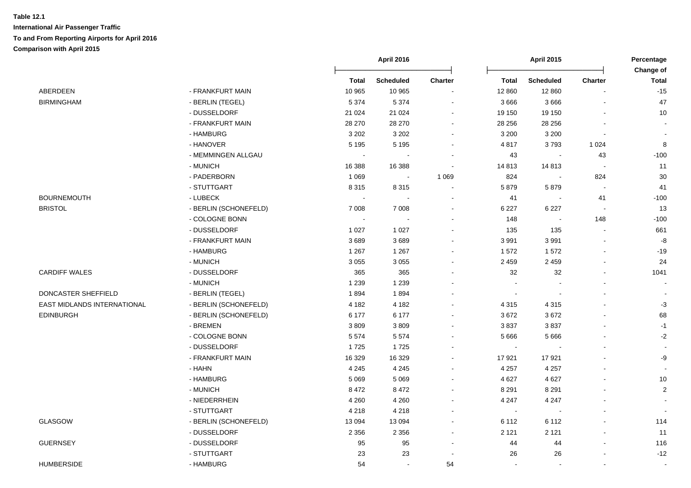|                             |                       |                | <b>April 2016</b> |                |              | <b>April 2015</b> |                          | Percentage                |
|-----------------------------|-----------------------|----------------|-------------------|----------------|--------------|-------------------|--------------------------|---------------------------|
|                             |                       | <b>Total</b>   | <b>Scheduled</b>  | Charter        | <b>Total</b> | <b>Scheduled</b>  | <b>Charter</b>           | Change of<br><b>Total</b> |
| ABERDEEN                    | - FRANKFURT MAIN      | 10 965         | 10 965            |                | 12 860       | 12 860            |                          | $-15$                     |
| <b>BIRMINGHAM</b>           | - BERLIN (TEGEL)      | 5 3 7 4        | 5 3 7 4           |                | 3 6 6 6      | 3666              | $\blacksquare$           | 47                        |
|                             | - DUSSELDORF          | 21 0 24        | 21 0 24           | $\overline{a}$ | 19 150       | 19 150            |                          | 10                        |
|                             | - FRANKFURT MAIN      | 28 270         | 28 270            | $\blacksquare$ | 28 25 6      | 28 25 6           | $\blacksquare$           | $\overline{\phantom{a}}$  |
|                             | - HAMBURG             | 3 2 0 2        | 3 2 0 2           | $\sim$         | 3 2 0 0      | 3 2 0 0           | $\blacksquare$           | $\sim$                    |
|                             | - HANOVER             | 5 1 9 5        | 5 1 9 5           | $\sim$         | 4817         | 3793              | 1 0 2 4                  | 8                         |
|                             | - MEMMINGEN ALLGAU    |                |                   |                | 43           | $\sim$            | 43                       | $-100$                    |
|                             | - MUNICH              | 16 388         | 16 388            | $\sim$         | 14 813       | 14813             | $\overline{\phantom{a}}$ | 11                        |
|                             | - PADERBORN           | 1 0 6 9        | $\sim$            | 1 0 6 9        | 824          | $\blacksquare$    | 824                      | $30\,$                    |
|                             | - STUTTGART           | 8 3 1 5        | 8 3 1 5           |                | 5879         | 5879              | $\sim$                   | 41                        |
| <b>BOURNEMOUTH</b>          | - LUBECK              | $\blacksquare$ |                   |                | 41           |                   | 41                       | $-100$                    |
| <b>BRISTOL</b>              | - BERLIN (SCHONEFELD) | 7 0 0 8        | 7 0 0 8           |                | 6 2 2 7      | 6 2 2 7           | $\overline{\phantom{a}}$ | 13                        |
|                             | - COLOGNE BONN        |                |                   |                | 148          |                   | 148                      | $-100$                    |
|                             | - DUSSELDORF          | 1 0 2 7        | 1 0 2 7           |                | 135          | 135               | $\sim$                   | 661                       |
|                             | - FRANKFURT MAIN      | 3689           | 3689              |                | 3 9 9 1      | 3991              | $\blacksquare$           | -8                        |
|                             | - HAMBURG             | 1 2 6 7        | 1 2 6 7           | ä,             | 1572         | 1572              | L.                       | $-19$                     |
|                             | - MUNICH              | 3 0 5 5        | 3 0 5 5           |                | 2 4 5 9      | 2 4 5 9           |                          | 24                        |
| <b>CARDIFF WALES</b>        | - DUSSELDORF          | 365            | 365               |                | 32           | 32                | $\blacksquare$           | 1041                      |
|                             | - MUNICH              | 1 2 3 9        | 1 2 3 9           |                |              |                   |                          | $\sim$                    |
| DONCASTER SHEFFIELD         | - BERLIN (TEGEL)      | 1894           | 1894              |                |              |                   |                          | $\sim$                    |
| EAST MIDLANDS INTERNATIONAL | - BERLIN (SCHONEFELD) | 4 1 8 2        | 4 1 8 2           |                | 4 3 1 5      | 4 3 1 5           |                          | $-3$                      |
| <b>EDINBURGH</b>            | - BERLIN (SCHONEFELD) | 6 177          | 6 177             | $\sim$         | 3672         | 3672              | $\blacksquare$           | 68                        |
|                             | - BREMEN              | 3809           | 3809              |                | 3837         | 3837              |                          | $-1$                      |
|                             | - COLOGNE BONN        | 5574           | 5574              |                | 5 6 6 6      | 5 6 6 6           |                          | $-2$                      |
|                             | - DUSSELDORF          | 1725           | 1725              |                |              |                   |                          | $\sim$                    |
|                             | - FRANKFURT MAIN      | 16 3 29        | 16 3 29           |                | 17921        | 17921             |                          | -9                        |
|                             | - HAHN                | 4 2 4 5        | 4 2 4 5           | $\blacksquare$ | 4 2 5 7      | 4 2 5 7           | $\blacksquare$           | $\overline{\phantom{a}}$  |
|                             | - HAMBURG             | 5 0 6 9        | 5 0 6 9           | $\overline{a}$ | 4 6 27       | 4 6 27            | $\blacksquare$           | 10                        |
|                             | - MUNICH              | 8 4 7 2        | 8 4 7 2           | $\sim$         | 8 2 9 1      | 8 2 9 1           | L.                       | $\overline{c}$            |
|                             | - NIEDERRHEIN         | 4 2 6 0        | 4 2 6 0           | $\sim$         | 4 2 4 7      | 4 2 4 7           |                          | $\sim$                    |
|                             | - STUTTGART           | 4 2 1 8        | 4 2 1 8           | $\overline{a}$ | $\sim$       | $\sim$            | $\blacksquare$           |                           |
| GLASGOW                     | - BERLIN (SCHONEFELD) | 13 0 94        | 13 0 94           | $\sim$         | 6 1 1 2      | 6 1 1 2           |                          | 114                       |
|                             | - DUSSELDORF          | 2 3 5 6        | 2 3 5 6           | ä,             | 2 1 2 1      | 2 1 2 1           |                          | 11                        |
| <b>GUERNSEY</b>             | - DUSSELDORF          | 95             | 95                | $\blacksquare$ | 44           | 44                | $\blacksquare$           | 116                       |
|                             | - STUTTGART           | 23             | 23                | $\sim$         | 26           | 26                |                          | $-12$                     |
| <b>HUMBERSIDE</b>           | - HAMBURG             | 54             | $\sim$            | 54             |              |                   |                          | $\sim$                    |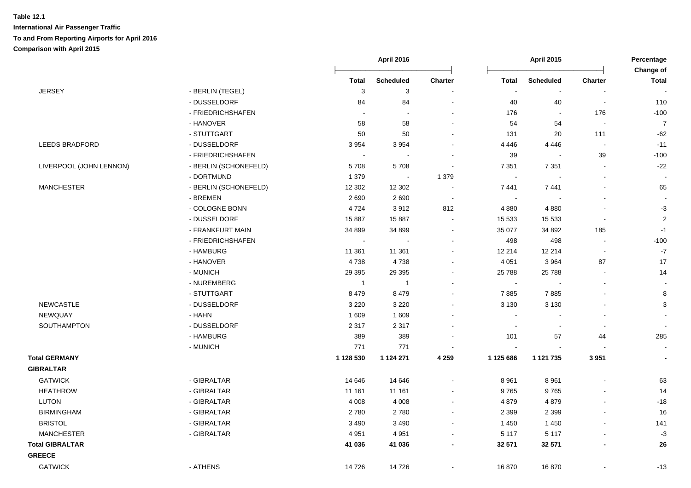|                         |                       |                | <b>April 2016</b> |                          |                          | <b>April 2015</b> |                          | Percentage<br><b>Change of</b> |
|-------------------------|-----------------------|----------------|-------------------|--------------------------|--------------------------|-------------------|--------------------------|--------------------------------|
|                         |                       | <b>Total</b>   | <b>Scheduled</b>  | Charter                  | <b>Total</b>             | <b>Scheduled</b>  | Charter                  | <b>Total</b>                   |
| <b>JERSEY</b>           | - BERLIN (TEGEL)      | 3              | 3                 |                          | ÷,                       |                   |                          |                                |
|                         | - DUSSELDORF          | 84             | 84                |                          | 40                       | 40                | $\blacksquare$           | 110                            |
|                         | - FRIEDRICHSHAFEN     |                |                   |                          | 176                      | $\sim$            | 176                      | $-100$                         |
|                         | - HANOVER             | 58             | 58                | $\blacksquare$           | 54                       | 54                | $\blacksquare$           | $\overline{7}$                 |
|                         | - STUTTGART           | 50             | 50                | $\overline{\phantom{a}}$ | 131                      | 20                | 111                      | $-62$                          |
| <b>LEEDS BRADFORD</b>   | - DUSSELDORF          | 3 9 5 4        | 3954              | $\overline{\phantom{a}}$ | 4 4 4 6                  | 4 4 4 6           | $\sim$                   | $-11$                          |
|                         | - FRIEDRICHSHAFEN     | $\sim$         |                   |                          | 39                       |                   | 39                       | $-100$                         |
| LIVERPOOL (JOHN LENNON) | - BERLIN (SCHONEFELD) | 5708           | 5708              | $\blacksquare$           | 7 3 5 1                  | 7 3 5 1           | $\blacksquare$           | $-22$                          |
|                         | - DORTMUND            | 1 3 7 9        | $\sim$            | 1 3 7 9                  | $\sim$                   |                   | $\blacksquare$           |                                |
| <b>MANCHESTER</b>       | - BERLIN (SCHONEFELD) | 12 302         | 12 302            | $\blacksquare$           | 7441                     | 7441              | $\blacksquare$           | 65                             |
|                         | - BREMEN              | 2690           | 2690              | $\sim$                   | $\overline{\phantom{a}}$ |                   |                          |                                |
|                         | - COLOGNE BONN        | 4724           | 3912              | 812                      | 4 8 8 0                  | 4 8 8 0           | $\overline{\phantom{a}}$ | $-3$                           |
|                         | - DUSSELDORF          | 15 887         | 15 887            |                          | 15 5 33                  | 15 5 33           | $\overline{\phantom{a}}$ | $\sqrt{2}$                     |
|                         | - FRANKFURT MAIN      | 34 899         | 34 899            | $\sim$                   | 35 077                   | 34 892            | 185                      | $-1$                           |
|                         | - FRIEDRICHSHAFEN     | $\sim$         |                   |                          | 498                      | 498               | $\blacksquare$           | $-100$                         |
|                         | - HAMBURG             | 11 361         | 11 361            | $\sim$                   | 12 214                   | 12 214            | $\blacksquare$           | $\mathbf{-7}$                  |
|                         | - HANOVER             | 4738           | 4738              | $\overline{\phantom{a}}$ | 4 0 5 1                  | 3 9 6 4           | 87                       | 17                             |
|                         | - MUNICH              | 29 3 9 5       | 29 3 95           | $\overline{\phantom{a}}$ | 25 788                   | 25 788            | $\blacksquare$           | 14                             |
|                         | - NUREMBERG           | $\overline{1}$ | $\overline{1}$    |                          | $\blacksquare$           |                   | $\blacksquare$           | $\sim$                         |
|                         | - STUTTGART           | 8 4 7 9        | 8 4 7 9           | $\sim$                   | 7885                     | 7885              | $\blacksquare$           | 8                              |
| <b>NEWCASTLE</b>        | - DUSSELDORF          | 3 2 2 0        | 3 2 2 0           |                          | 3 1 3 0                  | 3 1 3 0           |                          | 3                              |
| NEWQUAY                 | - HAHN                | 1 609          | 1 609             |                          | $\sim$                   |                   | $\blacksquare$           | $\overline{\phantom{a}}$       |
| SOUTHAMPTON             | - DUSSELDORF          | 2 3 1 7        | 2 3 1 7           |                          | $\sim$                   |                   | $\overline{\phantom{a}}$ |                                |
|                         | - HAMBURG             | 389            | 389               |                          | 101                      | 57                | 44                       | 285                            |
|                         | - MUNICH              | 771            | 771               |                          | $\sim$                   |                   |                          | $\overline{\phantom{a}}$       |
| <b>Total GERMANY</b>    |                       | 1 128 530      | 1 1 2 4 2 7 1     | 4 2 5 9                  | 1 125 686                | 1 121 735         | 3 9 5 1                  | $\overline{\phantom{a}}$       |
| <b>GIBRALTAR</b>        |                       |                |                   |                          |                          |                   |                          |                                |
| <b>GATWICK</b>          | - GIBRALTAR           | 14 646         | 14 646            |                          | 8 9 61                   | 8 9 6 1           |                          | 63                             |
| <b>HEATHROW</b>         | - GIBRALTAR           | 11 161         | 11 161            | $\sim$                   | 9765                     | 9765              | $\mathbf{r}$             | 14                             |
| <b>LUTON</b>            | - GIBRALTAR           | 4 0 0 8        | 4 0 0 8           | $\blacksquare$           | 4879                     | 4879              | $\overline{a}$           | $-18$                          |
| <b>BIRMINGHAM</b>       | - GIBRALTAR           | 2780           | 2780              | $\sim$                   | 2 3 9 9                  | 2 3 9 9           | $\blacksquare$           | 16                             |
| <b>BRISTOL</b>          | - GIBRALTAR           | 3 4 9 0        | 3 4 9 0           | $\blacksquare$           | 1 4 5 0                  | 1 4 5 0           |                          | 141                            |
| <b>MANCHESTER</b>       | - GIBRALTAR           | 4 9 5 1        | 4 9 5 1           | $\blacksquare$           | 5 1 1 7                  | 5 1 1 7           | $\overline{\phantom{a}}$ | $-3$                           |
| <b>Total GIBRALTAR</b>  |                       | 41 036         | 41 036            | $\blacksquare$           | 32 571                   | 32 571            | $\overline{\phantom{a}}$ | 26                             |
| <b>GREECE</b>           |                       |                |                   |                          |                          |                   |                          |                                |
| <b>GATWICK</b>          | - ATHENS              | 14 726         | 14726             |                          | 16870                    | 16870             | $\overline{a}$           | $-13$                          |
|                         |                       |                |                   |                          |                          |                   |                          |                                |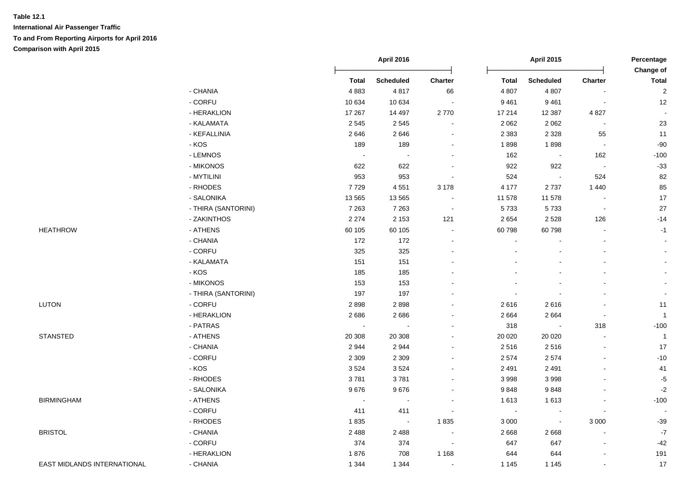|                             |                     |                          | <b>April 2016</b>        |                |                | <b>April 2015</b> |                          | Percentage<br>Change of |  |
|-----------------------------|---------------------|--------------------------|--------------------------|----------------|----------------|-------------------|--------------------------|-------------------------|--|
|                             |                     | <b>Total</b>             | Scheduled                | Charter        | <b>Total</b>   | <b>Scheduled</b>  | <b>Charter</b>           | <b>Total</b>            |  |
|                             | - CHANIA            | 4883                     | 4817                     | 66             | 4 8 0 7        | 4 8 0 7           |                          | $\mathbf 2$             |  |
|                             | - CORFU             | 10 634                   | 10 634                   |                | 9461           | 9461              |                          | 12                      |  |
|                             | - HERAKLION         | 17 267                   | 14 497                   | 2770           | 17 214         | 12 3 87           | 4 8 27                   | $\sim$                  |  |
|                             | - KALAMATA          | 2 5 4 5                  | 2545                     |                | 2 0 6 2        | 2 0 6 2           |                          | 23                      |  |
|                             | - KEFALLINIA        | 2646                     | 2646                     |                | 2 3 8 3        | 2 3 2 8           | 55                       | 11                      |  |
|                             | - KOS               | 189                      | 189                      |                | 1898           | 1898              | $\blacksquare$           | $-90$                   |  |
|                             | - LEMNOS            | $\sim$                   |                          |                | 162            | $\sim$            | 162                      | $-100$                  |  |
|                             | - MIKONOS           | 622                      | 622                      |                | 922            | 922               | $\sim$                   | $-33$                   |  |
|                             | - MYTILINI          | 953                      | 953                      | $\blacksquare$ | 524            | $\bullet$         | 524                      | 82                      |  |
|                             | - RHODES            | 7729                     | 4551                     | 3 1 7 8        | 4 177          | 2737              | 1 4 4 0                  | 85                      |  |
|                             | - SALONIKA          | 13 5 65                  | 13 5 65                  | $\sim$         | 11 578         | 11 578            | $\blacksquare$           | 17                      |  |
|                             | - THIRA (SANTORINI) | 7 2 6 3                  | 7 2 6 3                  | $\sim$         | 5733           | 5733              | $\blacksquare$           | 27                      |  |
|                             | - ZAKINTHOS         | 2 2 7 4                  | 2 1 5 3                  | 121            | 2 6 5 4        | 2528              | 126                      | $-14$                   |  |
| <b>HEATHROW</b>             | - ATHENS            | 60 105                   | 60 105                   | $\blacksquare$ | 60798          | 60798             | $\overline{a}$           | $-1$                    |  |
|                             | - CHANIA            | 172                      | 172                      |                | $\blacksquare$ |                   | $\sim$                   | $\sim$                  |  |
|                             | - CORFU             | 325                      | 325                      |                |                |                   | $\mathbf{r}$             |                         |  |
|                             | - KALAMATA          | 151                      | 151                      |                |                |                   | $\blacksquare$           |                         |  |
|                             | $-KOS$              | 185                      | 185                      |                |                |                   |                          |                         |  |
|                             | - MIKONOS           | 153                      | 153                      |                |                |                   |                          |                         |  |
|                             | - THIRA (SANTORINI) | 197                      | 197                      |                | $\sim$         |                   |                          |                         |  |
| <b>LUTON</b>                | - CORFU             | 2898                     | 2898                     |                | 2616           | 2616              | $\overline{\phantom{a}}$ | 11                      |  |
|                             | - HERAKLION         | 2686                     | 2686                     |                | 2 6 6 4        | 2664              | $\tilde{\phantom{a}}$    | $\overline{1}$          |  |
|                             | - PATRAS            | $\overline{\phantom{a}}$ | $\overline{\phantom{a}}$ |                | 318            | $\blacksquare$    | 318                      | $-100$                  |  |
| <b>STANSTED</b>             | - ATHENS            | 20 308                   | 20 308                   |                | 20 0 20        | 20 0 20           | $\blacksquare$           | $\overline{1}$          |  |
|                             | - CHANIA            | 2944                     | 2944                     |                | 2516           | 2516              | $\blacksquare$           | 17                      |  |
|                             | - CORFU             | 2 3 0 9                  | 2 3 0 9                  |                | 2 5 7 4        | 2574              | $\overline{a}$           | $-10$                   |  |
|                             | $-KOS$              | 3524                     | 3524                     |                | 2 4 9 1        | 2 4 9 1           |                          | 41                      |  |
|                             | - RHODES            | 3781                     | 3781                     |                | 3 9 9 8        | 3 9 9 8           | $\blacksquare$           | $-5$                    |  |
|                             | - SALONIKA          | 9676                     | 9676                     |                | 9848           | 9848              | $\blacksquare$           | $-2$                    |  |
| <b>BIRMINGHAM</b>           | - ATHENS            | $\overline{\phantom{a}}$ |                          |                | 1613           | 1613              |                          | $-100$                  |  |
|                             | - CORFU             | 411                      | 411                      |                | $\sim$         |                   |                          |                         |  |
|                             | - RHODES            | 1835                     | $\sim$                   | 1835           | 3 0 0 0        | $\sim$            | 3 0 0 0                  | $-39$                   |  |
| <b>BRISTOL</b>              | - CHANIA            | 2 4 8 8                  | 2 4 8 8                  | $\sim$         | 2 6 6 8        | 2668              | $\overline{a}$           | $\mathbf{-7}$           |  |
|                             | - CORFU             | 374                      | 374                      | $\blacksquare$ | 647            | 647               | $\blacksquare$           | $-42$                   |  |
|                             | - HERAKLION         | 1876                     | 708                      | 1 1 6 8        | 644            | 644               |                          | 191                     |  |
| EAST MIDLANDS INTERNATIONAL | - CHANIA            | 1 3 4 4                  | 1 3 4 4                  | $\blacksquare$ | 1 1 4 5        | 1 1 4 5           | $\blacksquare$           | 17                      |  |
|                             |                     |                          |                          |                |                |                   |                          |                         |  |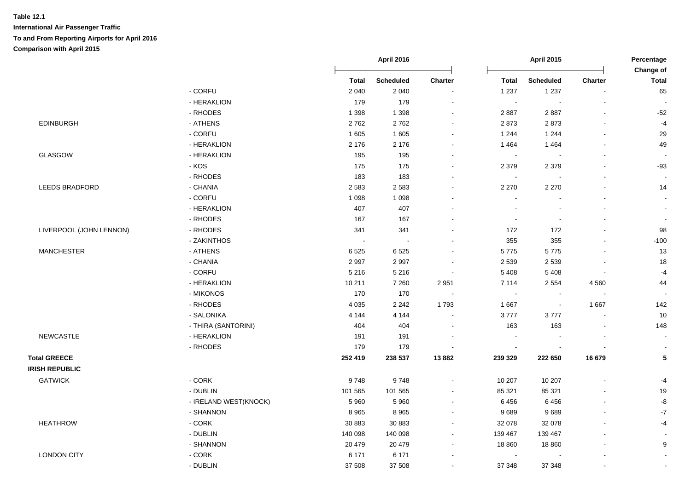|                         |                       |              | <b>April 2016</b> |                | <b>April 2015</b> |                  |                | Percentage<br>Change of  |  |
|-------------------------|-----------------------|--------------|-------------------|----------------|-------------------|------------------|----------------|--------------------------|--|
|                         |                       | <b>Total</b> | <b>Scheduled</b>  | <b>Charter</b> | <b>Total</b>      | <b>Scheduled</b> | <b>Charter</b> | <b>Total</b>             |  |
|                         | - CORFU               | 2 0 4 0      | 2 0 4 0           |                | 1 2 3 7           | 1 2 3 7          |                | 65                       |  |
|                         | - HERAKLION           | 179          | 179               |                | $\sim$            | $\sim$           |                |                          |  |
|                         | - RHODES              | 1 3 9 8      | 1 3 9 8           | $\sim$         | 2887              | 2887             |                | $-52$                    |  |
| <b>EDINBURGH</b>        | - ATHENS              | 2762         | 2762              | $\blacksquare$ | 2873              | 2873             |                | $-4$                     |  |
|                         | - CORFU               | 1 605        | 1 605             | $\blacksquare$ | 1 2 4 4           | 1 2 4 4          |                | 29                       |  |
|                         | - HERAKLION           | 2 1 7 6      | 2 1 7 6           | $\sim$         | 1464              | 1 4 6 4          |                | 49                       |  |
| GLASGOW                 | - HERAKLION           | 195          | 195               | $\blacksquare$ | $\sim$            |                  |                | $\blacksquare$           |  |
|                         | - KOS                 | 175          | 175               | $\sim$         | 2 3 7 9           | 2 3 7 9          |                | $-93$                    |  |
|                         | - RHODES              | 183          | 183               |                | $\blacksquare$    |                  |                | $\blacksquare$           |  |
| LEEDS BRADFORD          | - CHANIA              | 2 5 8 3      | 2 5 8 3           |                | 2 2 7 0           | 2 2 7 0          |                | 14                       |  |
|                         | - CORFU               | 1 0 9 8      | 1 0 9 8           |                |                   |                  |                | $\blacksquare$           |  |
|                         | - HERAKLION           | 407          | 407               |                |                   |                  |                |                          |  |
|                         | - RHODES              | 167          | 167               |                | $\sim$            |                  |                | $\overline{\phantom{a}}$ |  |
| LIVERPOOL (JOHN LENNON) | - RHODES              | 341          | 341               |                | 172               | 172              |                | 98                       |  |
|                         | - ZAKINTHOS           | $\sim$       | $\sim$            |                | 355               | 355              |                | $-100$                   |  |
| <b>MANCHESTER</b>       | - ATHENS              | 6525         | 6525              | $\blacksquare$ | 5775              | 5775             |                | 13                       |  |
|                         | - CHANIA              | 2997         | 2997              | $\sim$         | 2 5 3 9           | 2 5 3 9          |                | 18                       |  |
|                         | - CORFU               | 5 2 1 6      | 5 2 1 6           | $\sim$         | 5 4 0 8           | 5 4 0 8          |                | $-4$                     |  |
|                         | - HERAKLION           | 10 211       | 7 2 6 0           | 2 9 5 1        | 7 1 1 4           | 2 5 5 4          | 4 5 6 0        | 44                       |  |
|                         | - MIKONOS             | 170          | 170               |                | $\blacksquare$    | $\sim$           |                | $\blacksquare$           |  |
|                         | - RHODES              | 4 0 3 5      | 2 2 4 2           | 1793           | 1 6 6 7           | $\sim$           | 1667           | 142                      |  |
|                         | - SALONIKA            | 4 1 4 4      | 4 1 4 4           | $\blacksquare$ | 3777              | 3777             | $\sim$         | 10                       |  |
|                         | - THIRA (SANTORINI)   | 404          | 404               |                | 163               | 163              |                | 148                      |  |
| NEWCASTLE               | - HERAKLION           | 191          | 191               |                |                   |                  |                | $\overline{\phantom{a}}$ |  |
|                         | - RHODES              | 179          | 179               |                | $\blacksquare$    |                  |                | $\overline{\phantom{a}}$ |  |
| <b>Total GREECE</b>     |                       | 252 419      | 238 537           | 13882          | 239 329           | 222 650          | 16 679         | ${\bf 5}$                |  |
| <b>IRISH REPUBLIC</b>   |                       |              |                   |                |                   |                  |                |                          |  |
| <b>GATWICK</b>          | - CORK                | 9748         | 9748              |                | 10 207            | 10 207           |                | $-4$                     |  |
|                         | - DUBLIN              | 101 565      | 101 565           | $\sim$         | 85 321            | 85 321           |                | 19                       |  |
|                         | - IRELAND WEST(KNOCK) | 5 9 6 0      | 5 9 6 0           | $\blacksquare$ | 6 4 5 6           | 6456             |                | $-8$                     |  |
|                         | - SHANNON             | 8965         | 8 9 6 5           | $\blacksquare$ | 9689              | 9689             |                | $\textnormal{-}7$        |  |
| <b>HEATHROW</b>         | $-CORK$               | 30 883       | 30 883            | $\sim$         | 32 078            | 32 078           |                | $-4$                     |  |
|                         | - DUBLIN              | 140 098      | 140 098           | $\blacksquare$ | 139 467           | 139 467          |                | $\sim$                   |  |
|                         | - SHANNON             | 20 479       | 20 479            | $\sim$         | 18 860            | 18 8 60          |                | 9                        |  |
| <b>LONDON CITY</b>      | - CORK                | 6 1 7 1      | 6 1 7 1           |                | $\blacksquare$    |                  |                | $\sim$                   |  |
|                         |                       |              |                   |                |                   |                  |                |                          |  |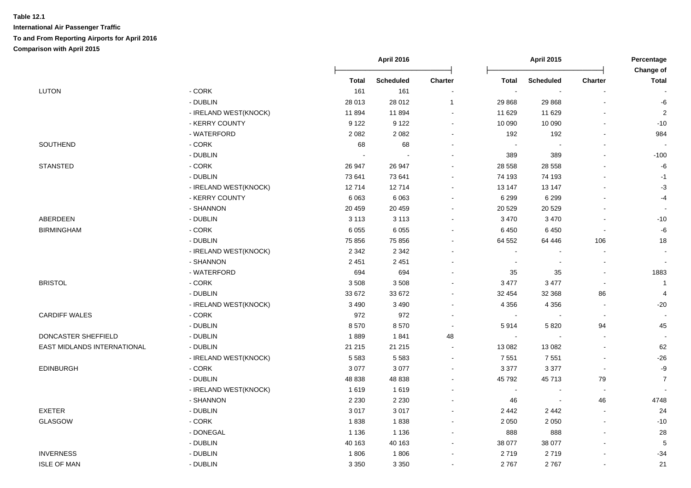|                             |                         |              | <b>April 2016</b> |                |              | <b>April 2015</b>        |                | Percentage<br>Change of  |
|-----------------------------|-------------------------|--------------|-------------------|----------------|--------------|--------------------------|----------------|--------------------------|
|                             |                         | <b>Total</b> | <b>Scheduled</b>  | Charter        | <b>Total</b> | <b>Scheduled</b>         | <b>Charter</b> | <b>Total</b>             |
| <b>LUTON</b>                | - CORK                  | 161          | 161               |                | $\sim$       | $\sim$                   |                |                          |
|                             | - DUBLIN                | 28 013       | 28 012            | $\mathbf{1}$   | 29 8 68      | 29 8 68                  |                | -6                       |
|                             | - IRELAND WEST(KNOCK)   | 11894        | 11894             | $\overline{a}$ | 11 629       | 11 629                   | $\blacksquare$ | $\overline{2}$           |
|                             | - KERRY COUNTY          | 9 1 2 2      | 9 1 2 2           | $\blacksquare$ | 10 090       | 10 090                   | $\blacksquare$ | $-10$                    |
|                             | - WATERFORD             | 2082         | 2 0 8 2           | $\sim$         | 192          | 192                      | $\blacksquare$ | 984                      |
| SOUTHEND                    | - CORK                  | 68           | 68                | $\sim$         | $\sim$       | $\blacksquare$           | $\blacksquare$ |                          |
|                             | - DUBLIN                |              |                   |                | 389          | 389                      |                | $-100$                   |
| <b>STANSTED</b>             | - CORK                  | 26 947       | 26 947            |                | 28 5 58      | 28 5 58                  | $\overline{a}$ | $-6$                     |
|                             | - DUBLIN                | 73 641       | 73 641            | $\sim$         | 74 193       | 74 193                   | $\sim$         | $-1$                     |
|                             | - IRELAND WEST(KNOCK)   | 12714        | 12714             | $\sim$         | 13 147       | 13 147                   | $\blacksquare$ | $-3$                     |
|                             | - KERRY COUNTY          | 6 0 63       | 6 0 6 3           |                | 6 2 9 9      | 6 2 9 9                  |                | $-4$                     |
|                             | - SHANNON               | 20 459       | 20 459            |                | 20 5 29      | 20 5 29                  |                |                          |
| ABERDEEN                    | - DUBLIN                | 3 1 1 3      | 3 1 1 3           |                | 3 4 7 0      | 3 4 7 0                  |                | $-10$                    |
| <b>BIRMINGHAM</b>           | $-CORK$                 | 6 0 5 5      | 6 0 5 5           |                | 6 4 5 0      | 6 4 5 0                  | $\blacksquare$ | $\textnormal{-}6$        |
|                             | - DUBLIN                | 75 856       | 75 856            |                | 64 552       | 64 44 6                  | 106            | 18                       |
|                             | - IRELAND WEST(KNOCK)   | 2 3 4 2      | 2 3 4 2           |                |              | $\ddot{\phantom{a}}$     | $\overline{a}$ | $\sim$                   |
|                             | - SHANNON               | 2 4 5 1      | 2 4 5 1           |                |              | $\blacksquare$           | $\blacksquare$ | $\overline{\phantom{a}}$ |
|                             | - WATERFORD             | 694          | 694               |                | 35           | 35                       | $\sim$         | 1883                     |
| <b>BRISTOL</b>              | - CORK                  | 3508         | 3508              |                | 3 4 7 7      | 3 4 7 7                  | $\blacksquare$ | $\mathbf{1}$             |
|                             | - DUBLIN                | 33 672       | 33 672            | ÷.             | 32 454       | 32 368                   | 86             | $\overline{\mathbf{4}}$  |
|                             | - IRELAND WEST(KNOCK)   | 3 4 9 0      | 3 4 9 0           |                | 4 3 5 6      | 4 3 5 6                  | $\blacksquare$ | $-20$                    |
| <b>CARDIFF WALES</b>        | $-CORK$                 | 972          | 972               | $\sim$         | $\sim$       | $\blacksquare$           | $\blacksquare$ | $\overline{\phantom{a}}$ |
|                             | - DUBLIN                | 8570         | 8570              | $\sim$         | 5914         | 5 8 20                   | 94             | 45                       |
| DONCASTER SHEFFIELD         | - DUBLIN                | 1889         | 1841              | 48             | $\sim$       |                          |                | $\overline{\phantom{a}}$ |
| EAST MIDLANDS INTERNATIONAL | - DUBLIN                | 21 215       | 21 215            |                | 13 082       | 13 082                   | $\overline{a}$ | 62                       |
|                             | - IRELAND WEST(KNOCK)   | 5583         | 5583              |                | 7 5 5 1      | 7 5 5 1                  |                | $-26$                    |
| <b>EDINBURGH</b>            | $\text{-}\mathsf{CORK}$ | 3 0 7 7      | 3 0 7 7           |                | 3 3 7 7      | 3 3 7 7                  |                | $-9$                     |
|                             | - DUBLIN                | 48 838       | 48 838            |                | 45 792       | 45713                    | 79             | $\overline{7}$           |
|                             | - IRELAND WEST(KNOCK)   | 1619         | 1619              | $\overline{a}$ | $\sim$       | $\overline{\phantom{a}}$ | $\sim$         |                          |
|                             | - SHANNON               | 2 2 3 0      | 2 2 3 0           | $\blacksquare$ | 46           | $\blacksquare$           | 46             | 4748                     |
| <b>EXETER</b>               | - DUBLIN                | 3017         | 3017              |                | 2 4 4 2      | 2 4 4 2                  | $\blacksquare$ | 24                       |
| <b>GLASGOW</b>              | - CORK                  | 1838         | 1838              | $\sim$         | 2 0 5 0      | 2 0 5 0                  | $\sim$         | $-10$                    |
|                             | - DONEGAL               | 1 1 3 6      | 1 1 3 6           | $\blacksquare$ | 888          | 888                      | $\overline{a}$ | 28                       |
|                             | - DUBLIN                | 40 163       | 40 163            | $\sim$         | 38 077       | 38 077                   |                | $\sqrt{5}$               |
| <b>INVERNESS</b>            | - DUBLIN                | 1806         | 1806              |                | 2719         | 2719                     |                | $-34$                    |
| <b>ISLE OF MAN</b>          | - DUBLIN                | 3 3 5 0      | 3 3 5 0           |                | 2767         | 2767                     | $\sim$         | 21                       |
|                             |                         |              |                   |                |              |                          |                |                          |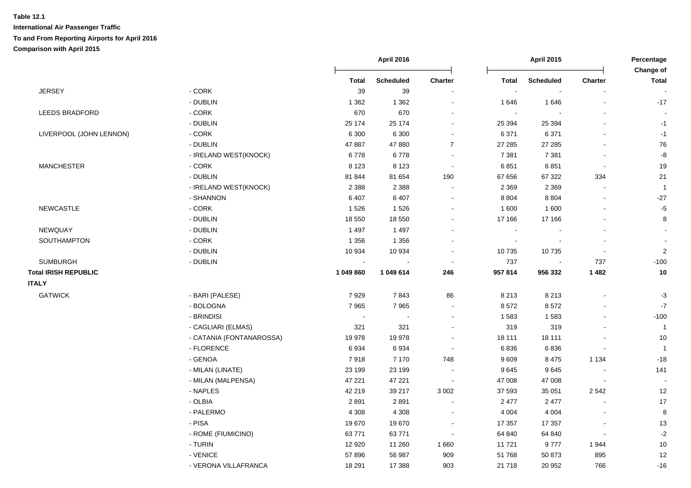|                             |                          |                          | <b>April 2016</b> |                          |              | <b>April 2015</b> |                          |                           |
|-----------------------------|--------------------------|--------------------------|-------------------|--------------------------|--------------|-------------------|--------------------------|---------------------------|
|                             |                          | <b>Total</b>             | <b>Scheduled</b>  | Charter                  | <b>Total</b> | <b>Scheduled</b>  | <b>Charter</b>           | Change of<br><b>Total</b> |
| <b>JERSEY</b>               | - CORK                   | 39                       | 39                |                          |              |                   |                          |                           |
|                             | - DUBLIN                 | 1 3 6 2                  | 1 3 6 2           | $\blacksquare$           | 1646         | 1646              |                          | $-17$                     |
| <b>LEEDS BRADFORD</b>       | $-CORK$                  | 670                      | 670               | $\overline{\phantom{a}}$ | $\sim$       |                   |                          |                           |
|                             | - DUBLIN                 | 25 174                   | 25 174            | $\sim$                   | 25 394       | 25 394            | $\overline{\phantom{a}}$ | $-1$                      |
| LIVERPOOL (JOHN LENNON)     | - CORK                   | 6 3 0 0                  | 6 3 0 0           | $\blacksquare$           | 6 3 7 1      | 6 3 7 1           | $\overline{a}$           | $-1$                      |
|                             | - DUBLIN                 | 47 887                   | 47 880            | $\overline{7}$           | 27 285       | 27 28 5           | $\overline{a}$           | 76                        |
|                             | - IRELAND WEST(KNOCK)    | 6778                     | 6778              | $\blacksquare$           | 7 3 8 1      | 7 3 8 1           | $\overline{\phantom{a}}$ | -8                        |
| <b>MANCHESTER</b>           | $-CORK$                  | 8 1 2 3                  | 8 1 2 3           | $\sim$                   | 6851         | 6851              |                          | 19                        |
|                             | - DUBLIN                 | 81 844                   | 81 654            | 190                      | 67 656       | 67 322            | 334                      | 21                        |
|                             | - IRELAND WEST(KNOCK)    | 2 3 8 8                  | 2 3 8 8           | $\sim$                   | 2 3 6 9      | 2 3 6 9           |                          | $\overline{1}$            |
|                             | - SHANNON                | 6 4 0 7                  | 6 4 0 7           | $\overline{\phantom{a}}$ | 8 8 0 4      | 8 8 0 4           |                          | $-27$                     |
| <b>NEWCASTLE</b>            | $-CORK$                  | 1526                     | 1526              | $\blacksquare$           | 1 600        | 1 600             |                          | $-5$                      |
|                             | - DUBLIN                 | 18 550                   | 18 550            | $\blacksquare$           | 17 166       | 17 166            |                          | 8                         |
| NEWQUAY                     | - DUBLIN                 | 1 4 9 7                  | 1 4 9 7           |                          |              |                   |                          |                           |
| SOUTHAMPTON                 | $-CORK$                  | 1 3 5 6                  | 1 3 5 6           | $\blacksquare$           |              |                   |                          |                           |
|                             | - DUBLIN                 | 10 934                   | 10 934            | $\blacksquare$           | 10 735       | 10735             |                          | $\sqrt{2}$                |
| <b>SUMBURGH</b>             | - DUBLIN                 |                          |                   | $\sim$                   | 737          |                   | 737                      | $-100$                    |
| <b>Total IRISH REPUBLIC</b> |                          | 1 049 860                | 1 049 614         | 246                      | 957 814      | 956 332           | 1 4 8 2                  | $10$                      |
| <b>ITALY</b>                |                          |                          |                   |                          |              |                   |                          |                           |
| <b>GATWICK</b>              | - BARI (PALESE)          | 7929                     | 7843              | 86                       | 8 2 1 3      | 8 2 1 3           |                          | $-3$                      |
|                             | - BOLOGNA                | 7965                     | 7965              | $\blacksquare$           | 8572         | 8572              |                          | $-7$                      |
|                             | - BRINDISI               | $\overline{\phantom{a}}$ |                   | $\sim$                   | 1583         | 1583              |                          | $-100$                    |
|                             | - CAGLIARI (ELMAS)       | 321                      | 321               | $\blacksquare$           | 319          | 319               |                          | $\mathbf{1}$              |
|                             | - CATANIA (FONTANAROSSA) | 19 978                   | 19 978            | $\blacksquare$           | 18 111       | 18 111            |                          | 10                        |
|                             | - FLORENCE               | 6934                     | 6934              | $\sim$                   | 6836         | 6836              |                          | $\overline{1}$            |
|                             | - GENOA                  | 7918                     | 7 1 7 0           | 748                      | 9609         | 8 4 7 5           | 1 1 3 4                  | $-18$                     |
|                             | - MILAN (LINATE)         | 23 199                   | 23 199            | $\overline{\phantom{a}}$ | 9645         | 9645              |                          | 141                       |
|                             | - MILAN (MALPENSA)       | 47 221                   | 47 221            | $\sim$                   | 47 008       | 47 008            | $\overline{\phantom{a}}$ | $\sim$                    |
|                             | - NAPLES                 | 42 219                   | 39 217            | 3 0 0 2                  | 37 593       | 35 051            | 2 5 4 2                  | 12                        |
|                             | - OLBIA                  | 2891                     | 2891              | $\overline{\phantom{a}}$ | 2 4 7 7      | 2 4 7 7           |                          | $17$                      |
|                             | - PALERMO                | 4 3 0 8                  | 4 3 0 8           | $\blacksquare$           | 4 0 0 4      | 4 0 0 4           |                          | 8                         |
|                             | - PISA                   | 19670                    | 19670             |                          | 17 357       | 17 357            |                          | 13                        |
|                             | - ROME (FIUMICINO)       | 63771                    | 63771             | $\blacksquare$           | 64 840       | 64 840            |                          | $-2$                      |
|                             | - TURIN                  | 12 9 20                  | 11 260            | 1 6 6 0                  | 11 721       | 9777              | 1944                     | 10                        |
|                             | - VENICE                 | 57896                    | 56 987            | 909                      | 51 768       | 50 873            | 895                      | 12                        |
|                             | - VERONA VILLAFRANCA     | 18 291                   | 17 388            | 903                      | 21 718       | 20 952            | 766                      | $-16$                     |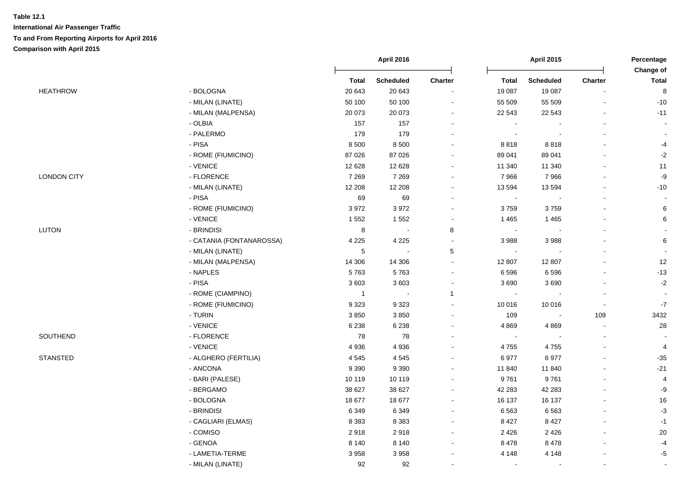|                    |                          |                | <b>April 2016</b> |                          |                | <b>April 2015</b>        |                          |                           |
|--------------------|--------------------------|----------------|-------------------|--------------------------|----------------|--------------------------|--------------------------|---------------------------|
|                    |                          | <b>Total</b>   | <b>Scheduled</b>  | Charter                  | <b>Total</b>   | <b>Scheduled</b>         | Charter                  | Change of<br><b>Total</b> |
| <b>HEATHROW</b>    | - BOLOGNA                | 20 643         | 20 643            |                          | 19 087         | 19 087                   |                          | $\bf 8$                   |
|                    | - MILAN (LINATE)         | 50 100         | 50 100            | $\blacksquare$           | 55 509         | 55 509                   |                          | $-10$                     |
|                    | - MILAN (MALPENSA)       | 20 073         | 20 073            | $\sim$                   | 22 543         | 22 543                   | $\overline{\phantom{a}}$ | $-11$                     |
|                    | - OLBIA                  | 157            | 157               | $\blacksquare$           |                |                          |                          |                           |
|                    | - PALERMO                | 179            | 179               | $\blacksquare$           | $\blacksquare$ | $\overline{\phantom{a}}$ |                          |                           |
|                    | - PISA                   | 8 5 0 0        | 8 500             | $\overline{\phantom{a}}$ | 8818           | 8818                     |                          | $-4$                      |
|                    | - ROME (FIUMICINO)       | 87 0 26        | 87 0 26           | $\blacksquare$           | 89 041         | 89 041                   |                          | $-2$                      |
|                    | - VENICE                 | 12 6 28        | 12 6 28           | $\blacksquare$           | 11 340         | 11 340                   |                          | 11                        |
| <b>LONDON CITY</b> | - FLORENCE               | 7 2 6 9        | 7 2 6 9           | $\sim$                   | 7966           | 7966                     | $\blacksquare$           | $\textnormal{-}9$         |
|                    | - MILAN (LINATE)         | 12 208         | 12 208            | $\blacksquare$           | 13 5 94        | 13 594                   |                          | $-10$                     |
|                    | - PISA                   | 69             | 69                | $\overline{\phantom{a}}$ | $\sim$         |                          |                          |                           |
|                    | - ROME (FIUMICINO)       | 3972           | 3972              | $\blacksquare$           | 3759           | 3759                     |                          | 6                         |
|                    | - VENICE                 | 1 5 5 2        | 1552              | $\blacksquare$           | 1 4 6 5        | 1 4 6 5                  |                          | 6                         |
| <b>LUTON</b>       | - BRINDISI               | $\bf 8$        | $\sim$            | 8                        | $\sim$         |                          |                          |                           |
|                    | - CATANIA (FONTANAROSSA) | 4 2 2 5        | 4 2 2 5           | $\sim$                   | 3988           | 3 9 8 8                  |                          | 6                         |
|                    | - MILAN (LINATE)         | $\sqrt{5}$     | $\blacksquare$    | $5\,$                    | $\sim$         |                          |                          |                           |
|                    | - MILAN (MALPENSA)       | 14 30 6        | 14 30 6           | $\blacksquare$           | 12 807         | 12 807                   |                          | 12                        |
|                    | - NAPLES                 | 5763           | 5763              | $\blacksquare$           | 6 5 9 6        | 6596                     |                          | $-13$                     |
|                    | - PISA                   | 3603           | 3603              | $\blacksquare$           | 3690           | 3690                     |                          | $-2$                      |
|                    | - ROME (CIAMPINO)        | $\overline{1}$ | $\sim$            | $\mathbf{1}$             | $\sim$         |                          | $\blacksquare$           |                           |
|                    | - ROME (FIUMICINO)       | 9323           | 9323              | $\blacksquare$           | 10 016         | 10 016                   | $\overline{\phantom{a}}$ | $-7$                      |
|                    | - TURIN                  | 3850           | 3850              | $\blacksquare$           | 109            | $\overline{\phantom{a}}$ | 109                      | 3432                      |
|                    | - VENICE                 | 6 2 3 8        | 6 2 3 8           | $\blacksquare$           | 4869           | 4869                     | $\blacksquare$           | 28                        |
| SOUTHEND           | - FLORENCE               | 78             | 78                | $\blacksquare$           | $\sim$         |                          |                          |                           |
|                    | - VENICE                 | 4936           | 4936              |                          | 4755           | 4755                     |                          | 4                         |
| <b>STANSTED</b>    | - ALGHERO (FERTILIA)     | 4545           | 4545              | $\blacksquare$           | 6977           | 6977                     | $\overline{\phantom{a}}$ | $-35$                     |
|                    | - ANCONA                 | 9 3 9 0        | 9 3 9 0           | $\overline{\phantom{a}}$ | 11 840         | 11 840                   |                          | $-21$                     |
|                    | - BARI (PALESE)          | 10 119         | 10 119            | $\sim$                   | 9761           | 9761                     | $\overline{\phantom{a}}$ | 4                         |
|                    | - BERGAMO                | 38 627         | 38 627            | $\blacksquare$           | 42 283         | 42 283                   | $\overline{a}$           | -9                        |
|                    | - BOLOGNA                | 18 677         | 18 677            | $\overline{\phantom{a}}$ | 16 137         | 16 137                   |                          | 16                        |
|                    | - BRINDISI               | 6 3 4 9        | 6 3 4 9           | $\overline{\phantom{a}}$ | 6563           | 6563                     |                          | $-3$                      |
|                    | - CAGLIARI (ELMAS)       | 8 3 8 3        | 8 3 8 3           | $\overline{\phantom{a}}$ | 8 4 2 7        | 8 4 2 7                  |                          | $-1$                      |
|                    | - COMISO                 | 2918           | 2918              | $\sim$                   | 2 4 2 6        | 2 4 2 6                  | $\blacksquare$           | 20                        |
|                    | - GENOA                  | 8 1 4 0        | 8 1 4 0           | $\overline{\phantom{a}}$ | 8478           | 8 4 7 8                  | $\blacksquare$           | $-4$                      |
|                    | - LAMETIA-TERME          | 3958           | 3958              |                          | 4 1 4 8        | 4 1 4 8                  |                          | $-5$                      |
|                    | - MILAN (LINATE)         | 92             | 92                |                          |                |                          |                          |                           |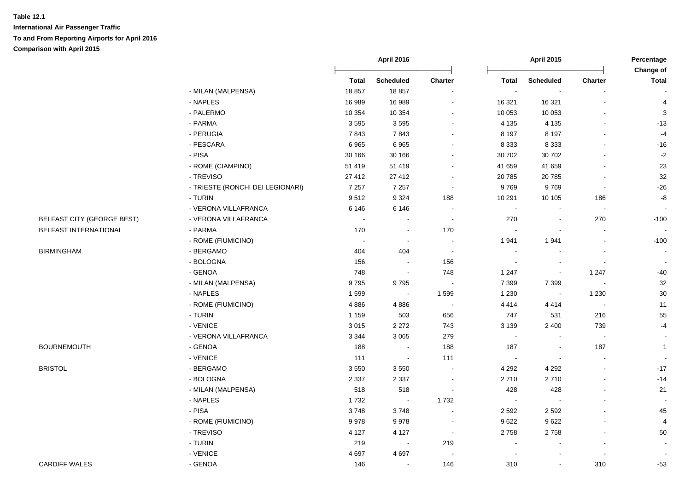|                                   |                                  | April 2016   |                  |                          | <b>April 2015</b>        |                  | Percentage     |                           |
|-----------------------------------|----------------------------------|--------------|------------------|--------------------------|--------------------------|------------------|----------------|---------------------------|
|                                   |                                  | <b>Total</b> | <b>Scheduled</b> | <b>Charter</b>           | <b>Total</b>             | <b>Scheduled</b> | Charter        | Change of<br><b>Total</b> |
|                                   | - MILAN (MALPENSA)               | 18857        | 18857            | $\blacksquare$           | $\sim$                   | $\blacksquare$   |                |                           |
|                                   | - NAPLES                         | 16 989       | 16 989           |                          | 16 321                   | 16 321           |                | $\overline{4}$            |
|                                   | - PALERMO                        | 10 354       | 10 354           | $\sim$                   | 10 053                   | 10 053           |                | $\mathbf{3}$              |
|                                   | - PARMA                          | 3595         | 3595             | $\overline{\phantom{a}}$ | 4 1 3 5                  | 4 1 3 5          |                | $-13$                     |
|                                   | - PERUGIA                        | 7843         | 7843             | $\sim$                   | 8 1 9 7                  | 8 1 9 7          |                | $-4$                      |
|                                   | - PESCARA                        | 6965         | 6965             | $\sim$                   | 8 3 3 3                  | 8 3 3 3          |                | $-16$                     |
|                                   | - PISA                           | 30 166       | 30 166           | $\blacksquare$           | 30 702                   | 30 702           |                | $-2$                      |
|                                   | - ROME (CIAMPINO)                | 51 419       | 51 419           | $\blacksquare$           | 41 659                   | 41 659           |                | 23                        |
|                                   | - TREVISO                        | 27 412       | 27 412           | $\blacksquare$           | 20 785                   | 20785            |                | $32\,$                    |
|                                   | - TRIESTE (RONCHI DEI LEGIONARI) | 7 2 5 7      | 7 2 5 7          | $\blacksquare$           | 9769                     | 9769             | $\blacksquare$ | $-26$                     |
|                                   | - TURIN                          | 9512         | 9 3 2 4          | 188                      | 10 291                   | 10 10 5          | 186            | $\mbox{-}8$               |
|                                   | - VERONA VILLAFRANCA             | 6 1 4 6      | 6 1 4 6          | $\overline{\phantom{a}}$ | $\blacksquare$           |                  | $\blacksquare$ |                           |
| <b>BELFAST CITY (GEORGE BEST)</b> | - VERONA VILLAFRANCA             | $\sim$       | $\sim$           | $\blacksquare$           | 270                      | $\blacksquare$   | 270            | $-100$                    |
| BELFAST INTERNATIONAL             | - PARMA                          | 170          | $\blacksquare$   | 170                      | $\sim$                   |                  |                |                           |
|                                   | - ROME (FIUMICINO)               | $\sim$       | $\sim$           | $\sim$                   | 1941                     | 1941             |                | $-100$                    |
| <b>BIRMINGHAM</b>                 | - BERGAMO                        | 404          | 404              | $\sim$                   | $\sim$                   |                  |                | $\sim$                    |
|                                   | - BOLOGNA                        | 156          |                  | 156                      |                          |                  |                |                           |
|                                   | - GENOA                          | 748          | $\sim$           | 748                      | 1 2 4 7                  | $\sim$           | 1 2 4 7        | $-40$                     |
|                                   | - MILAN (MALPENSA)               | 9795         | 9795             | $\overline{\phantom{a}}$ | 7 3 9 9                  | 7 3 9 9          | $\sim$         | 32                        |
|                                   | - NAPLES                         | 1599         | $\sim$           | 1599                     | 1 2 3 0                  | $\sim$           | 1 2 3 0        | $30\,$                    |
|                                   | - ROME (FIUMICINO)               | 4886         | 4886             | $\sim$                   | 4414                     | 4414             | $\sim$         | 11                        |
|                                   | - TURIN                          | 1 1 5 9      | 503              | 656                      | 747                      | 531              | 216            | 55                        |
|                                   | - VENICE                         | 3015         | 2 2 7 2          | 743                      | 3 1 3 9                  | 2 4 0 0          | 739            | $-4$                      |
|                                   | - VERONA VILLAFRANCA             | 3 3 4 4      | 3 0 6 5          | 279                      | $\blacksquare$           | $\blacksquare$   | $\blacksquare$ | $\blacksquare$            |
| <b>BOURNEMOUTH</b>                | - GENOA                          | 188          | $\sim$           | 188                      | 187                      | $\sim$           | 187            | $\mathbf{1}$              |
|                                   | - VENICE                         | 111          | $\bullet$        | 111                      | $\sim$                   | $\sim$           | $\sim$         |                           |
| <b>BRISTOL</b>                    | - BERGAMO                        | 3550         | 3550             | $\sim$                   | 4 2 9 2                  | 4 2 9 2          |                | $-17$                     |
|                                   | - BOLOGNA                        | 2 3 3 7      | 2 3 3 7          | $\blacksquare$           | 2710                     | 2710             |                | $-14$                     |
|                                   | - MILAN (MALPENSA)               | 518          | 518              |                          | 428                      | 428              |                | 21                        |
|                                   | - NAPLES                         | 1732         | $\sim$           | 1732                     | $\sim$                   |                  |                |                           |
|                                   | - PISA                           | 3748         | 3748             |                          | 2 5 9 2                  | 2 5 9 2          |                | 45                        |
|                                   | - ROME (FIUMICINO)               | 9978         | 9978             | $\sim$                   | 9622                     | 9622             |                | 4                         |
|                                   | - TREVISO                        | 4 1 2 7      | 4 1 2 7          | $\sim$                   | 2758                     | 2758             |                | 50                        |
|                                   | - TURIN                          | 219          | $\sim$           | 219                      | $\overline{\phantom{a}}$ |                  |                |                           |
|                                   | - VENICE                         | 4 6 9 7      | 4 6 9 7          | $\overline{\phantom{a}}$ |                          |                  |                |                           |
| <b>CARDIFF WALES</b>              | - GENOA                          | 146          | $\sim$           | 146                      | 310                      | $\blacksquare$   | 310            | $-53$                     |
|                                   |                                  |              |                  |                          |                          |                  |                |                           |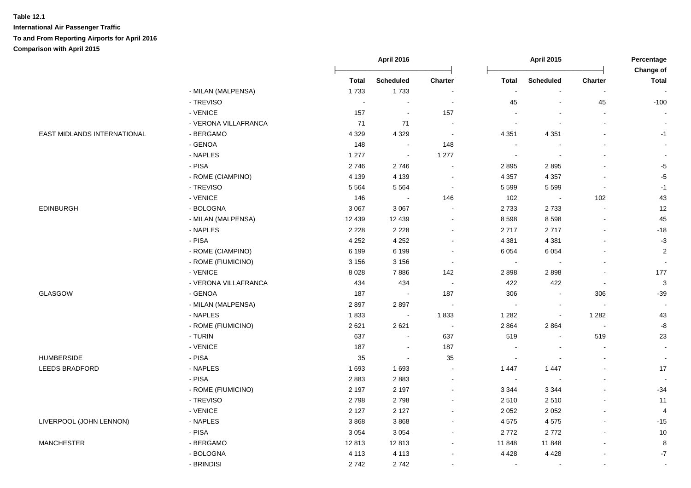|                             |                      |              | <b>April 2016</b>           |                          | <b>April 2015</b>    |                  | Percentage<br>Change of     |                          |
|-----------------------------|----------------------|--------------|-----------------------------|--------------------------|----------------------|------------------|-----------------------------|--------------------------|
|                             |                      | <b>Total</b> | <b>Scheduled</b>            | <b>Charter</b>           | <b>Total</b>         | <b>Scheduled</b> | Charter                     | <b>Total</b>             |
|                             | - MILAN (MALPENSA)   | 1733         | 1733                        | $\blacksquare$           | $\ddot{\phantom{a}}$ | $\sim$           | $\sim$                      | $\overline{\phantom{a}}$ |
|                             | - TREVISO            |              | $\blacksquare$              | $\blacksquare$           | 45                   | $\blacksquare$   | 45                          | $-100$                   |
|                             | - VENICE             | 157          | $\sim$                      | 157                      |                      |                  |                             |                          |
|                             | - VERONA VILLAFRANCA | 71           | 71                          | $\overline{\phantom{a}}$ | $\blacksquare$       |                  |                             | $\sim$                   |
| EAST MIDLANDS INTERNATIONAL | - BERGAMO            | 4 3 2 9      | 4 3 2 9                     | $\sim$                   | 4 3 5 1              | 4 3 5 1          |                             | $-1$                     |
|                             | - GENOA              | 148          | $\sim$                      | 148                      | $\sim$               | $\sim$           |                             | $\blacksquare$           |
|                             | - NAPLES             | 1 2 7 7      | $\mathcal{L}_{\mathcal{A}}$ | 1 277                    | $\blacksquare$       | $\blacksquare$   |                             | $\blacksquare$           |
|                             | - PISA               | 2746         | 2746                        | $\blacksquare$           | 2895                 | 2895             |                             | $-5$                     |
|                             | - ROME (CIAMPINO)    | 4 1 3 9      | 4 1 3 9                     | $\blacksquare$           | 4 3 5 7              | 4 3 5 7          | $\overline{\phantom{a}}$    | $-5$                     |
|                             | - TREVISO            | 5 5 6 4      | 5 5 6 4                     | $\sim$                   | 5 5 9 9              | 5 5 9 9          | $\blacksquare$              | $-1$                     |
|                             | - VENICE             | 146          | $\sim$                      | 146                      | 102                  | $\sim$           | 102                         | 43                       |
| <b>EDINBURGH</b>            | - BOLOGNA            | 3 0 6 7      | 3 0 6 7                     | $\blacksquare$           | 2 7 3 3              | 2733             | $\blacksquare$              | 12                       |
|                             | - MILAN (MALPENSA)   | 12 439       | 12 4 39                     | $\blacksquare$           | 8 5 9 8              | 8598             | $\blacksquare$              | 45                       |
|                             | - NAPLES             | 2 2 2 8      | 2 2 2 8                     | $\blacksquare$           | 2717                 | 2717             |                             | $-18$                    |
|                             | - PISA               | 4 2 5 2      | 4 2 5 2                     | $\sim$                   | 4 3 8 1              | 4 3 8 1          |                             | $-3$                     |
|                             | - ROME (CIAMPINO)    | 6 1 9 9      | 6 1 9 9                     | $\sim$                   | 6 0 5 4              | 6 0 5 4          |                             | $\sqrt{2}$               |
|                             | - ROME (FIUMICINO)   | 3 1 5 6      | 3 1 5 6                     | $\sim$                   | $\sim$               |                  |                             |                          |
|                             | - VENICE             | 8028         | 7886                        | 142                      | 2898                 | 2898             |                             | 177                      |
|                             | - VERONA VILLAFRANCA | 434          | 434                         | $\sim$                   | 422                  | 422              | $\overline{\phantom{a}}$    | $\mathbf{3}$             |
| GLASGOW                     | - GENOA              | 187          | $\blacksquare$              | 187                      | 306                  | $\blacksquare$   | 306                         | $-39$                    |
|                             | - MILAN (MALPENSA)   | 2897         | 2897                        | $\tilde{\phantom{a}}$    | $\blacksquare$       | $\blacksquare$   | $\mathcal{L}_{\mathcal{A}}$ | $\sim$                   |
|                             | - NAPLES             | 1833         | $\sim$                      | 1833                     | 1 2 8 2              | $\blacksquare$   | 1 2 8 2                     | 43                       |
|                             | - ROME (FIUMICINO)   | 2621         | 2621                        | $\sim$                   | 2 8 6 4              | 2864             | $\sim$                      | $\textnormal{-}8$        |
|                             | - TURIN              | 637          | $\blacksquare$              | 637                      | 519                  | $\blacksquare$   | 519                         | 23                       |
|                             | - VENICE             | 187          | $\sim$                      | 187                      | $\sim$               | $\sim$           | $\sim$                      | $\sim$                   |
| <b>HUMBERSIDE</b>           | - PISA               | 35           | $\sim$                      | 35                       | $\sim$               |                  | $\sim$                      | $\mathbf{r}$             |
| <b>LEEDS BRADFORD</b>       | - NAPLES             | 1693         | 1 6 9 3                     | $\blacksquare$           | 1 4 4 7              | 1 4 4 7          |                             | 17                       |
|                             | - PISA               | 2883         | 2883                        | $\blacksquare$           | $\sim$               |                  |                             | $\overline{a}$           |
|                             | - ROME (FIUMICINO)   | 2 1 9 7      | 2 1 9 7                     | $\overline{a}$           | 3 3 4 4              | 3 3 4 4          |                             | $-34$                    |
|                             | - TREVISO            | 2798         | 2798                        | $\blacksquare$           | 2510                 | 2510             |                             | 11                       |
|                             | - VENICE             | 2 1 2 7      | 2 1 2 7                     | $\mathbf{r}$             | 2 0 5 2              | 2 0 5 2          |                             | $\overline{4}$           |
| LIVERPOOL (JOHN LENNON)     | - NAPLES             | 3868         | 3868                        | $\blacksquare$           | 4575                 | 4575             | $\overline{\phantom{a}}$    | $-15$                    |
|                             | - PISA               | 3 0 5 4      | 3 0 5 4                     | $\blacksquare$           | 2772                 | 2772             |                             | 10                       |
| <b>MANCHESTER</b>           | - BERGAMO            | 12813        | 12813                       | $\sim$                   | 11 848               | 11848            |                             | 8                        |
|                             | - BOLOGNA            | 4 1 1 3      | 4 1 1 3                     | $\blacksquare$           | 4 4 2 8              | 4 4 2 8          |                             | $\mathbf{-7}$            |
|                             | - BRINDISI           | 2742         | 2742                        | $\sim$                   | $\sim$               | $\sim$           |                             | $\sim$                   |
|                             |                      |              |                             |                          |                      |                  |                             |                          |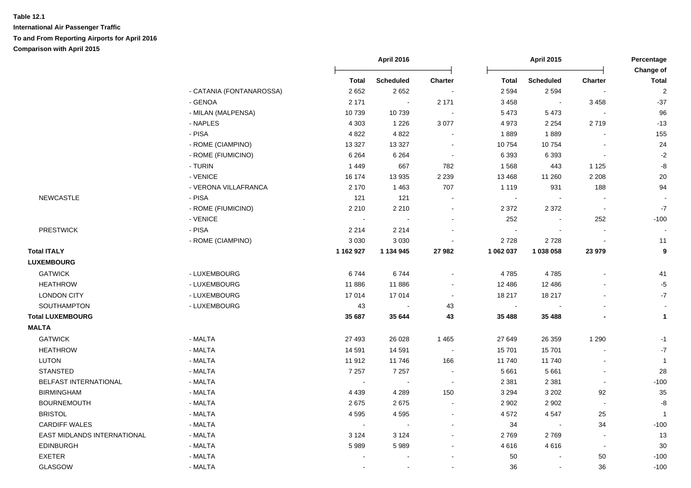|                             |                          | <b>April 2016</b> |                  |                | <b>April 2015</b> |                  | Percentage<br>Change of  |                |
|-----------------------------|--------------------------|-------------------|------------------|----------------|-------------------|------------------|--------------------------|----------------|
|                             |                          | <b>Total</b>      | <b>Scheduled</b> | Charter        | <b>Total</b>      | <b>Scheduled</b> | <b>Charter</b>           | <b>Total</b>   |
|                             | - CATANIA (FONTANAROSSA) | 2652              | 2652             |                | 2 5 9 4           | 2 5 9 4          |                          | $\overline{2}$ |
|                             | - GENOA                  | 2 1 7 1           | $\sim$           | 2 1 7 1        | 3 4 5 8           | $\sim$           | 3 4 5 8                  | $-37$          |
|                             | - MILAN (MALPENSA)       | 10739             | 10739            | $\sim$         | 5 4 7 3           | 5 4 7 3          |                          | 96             |
|                             | - NAPLES                 | 4 3 0 3           | 1 2 2 6          | 3 0 7 7        | 4 9 7 3           | 2 2 5 4          | 2719                     | $-13$          |
|                             | - PISA                   | 4 8 2 2           | 4 8 2 2          | $\sim$         | 1889              | 1889             |                          | 155            |
|                             | - ROME (CIAMPINO)        | 13 3 27           | 13 3 27          | $\sim$         | 10754             | 10754            | $\blacksquare$           | 24             |
|                             | - ROME (FIUMICINO)       | 6 2 6 4           | 6 2 6 4          | $\sim$         | 6 3 9 3           | 6 3 9 3          | $\blacksquare$           | $-2$           |
|                             | - TURIN                  | 1449              | 667              | 782            | 1568              | 443              | 1 1 2 5                  | -8             |
|                             | - VENICE                 | 16 174            | 13 9 35          | 2 2 3 9        | 13 4 68           | 11 260           | 2 2 0 8                  | $20\,$         |
|                             | - VERONA VILLAFRANCA     | 2 1 7 0           | 1 4 6 3          | 707            | 1 1 1 9           | 931              | 188                      | 94             |
| <b>NEWCASTLE</b>            | - PISA                   | 121               | 121              |                | $\sim$            |                  |                          |                |
|                             | - ROME (FIUMICINO)       | 2 2 1 0           | 2 2 1 0          | $\blacksquare$ | 2 3 7 2           | 2 3 7 2          | $\sim$                   | $-7$           |
|                             | - VENICE                 | $\sim$            |                  |                | 252               |                  | 252                      | $-100$         |
| <b>PRESTWICK</b>            | - PISA                   | 2 2 1 4           | 2 2 1 4          |                |                   |                  |                          |                |
|                             | - ROME (CIAMPINO)        | 3 0 3 0           | 3 0 3 0          |                | 2728              | 2728             |                          | 11             |
| <b>Total ITALY</b>          |                          | 1 162 927         | 1 134 945        | 27 982         | 1 062 037         | 1 038 058        | 23 979                   | 9              |
| <b>LUXEMBOURG</b>           |                          |                   |                  |                |                   |                  |                          |                |
| <b>GATWICK</b>              | - LUXEMBOURG             | 6744              | 6744             | $\sim$         | 4785              | 4785             |                          | 41             |
| <b>HEATHROW</b>             | - LUXEMBOURG             | 11886             | 11886            | $\blacksquare$ | 12 4 8 6          | 12 4 8 6         |                          | $-5$           |
| <b>LONDON CITY</b>          | - LUXEMBOURG             | 17014             | 17014            | $\sim$         | 18 217            | 18 217           |                          | $-7$           |
| SOUTHAMPTON                 | - LUXEMBOURG             | 43                | $\sim$           | 43             | $\sim$            |                  |                          | $\sim$         |
| <b>Total LUXEMBOURG</b>     |                          | 35 687            | 35 644           | 43             | 35 488            | 35 488           |                          | $\mathbf{1}$   |
| <b>MALTA</b>                |                          |                   |                  |                |                   |                  |                          |                |
| <b>GATWICK</b>              | - MALTA                  | 27 493            | 26 0 28          | 1 4 6 5        | 27 649            | 26 35 9          | 1 2 9 0                  | $-1$           |
| <b>HEATHROW</b>             | - MALTA                  | 14 591            | 14 591           | $\sim$         | 15 701            | 15 701           |                          | $-7$           |
| <b>LUTON</b>                | - MALTA                  | 11912             | 11746            | 166            | 11740             | 11740            |                          | $\overline{1}$ |
| <b>STANSTED</b>             | - MALTA                  | 7 2 5 7           | 7 2 5 7          | $\sim$         | 5 6 6 1           | 5 6 6 1          | $\blacksquare$           | 28             |
| BELFAST INTERNATIONAL       | - MALTA                  | $\sim$            | $\sim$           | $\sim$         | 2 3 8 1           | 2 3 8 1          | $\blacksquare$           | $-100$         |
| <b>BIRMINGHAM</b>           | - MALTA                  | 4 4 3 9           | 4 2 8 9          | 150            | 3 2 9 4           | 3 2 0 2          | 92                       | 35             |
| <b>BOURNEMOUTH</b>          | - MALTA                  | 2675              | 2675             | $\sim$         | 2 9 0 2           | 2 9 0 2          | $\overline{\phantom{a}}$ | -8             |
| <b>BRISTOL</b>              | - MALTA                  | 4595              | 4595             | $\sim$         | 4 5 7 2           | 4547             | 25                       | $\overline{1}$ |
| <b>CARDIFF WALES</b>        | - MALTA                  | $\sim$            | $\sim$           | $\sim$         | 34                |                  | 34                       | $-100$         |
| EAST MIDLANDS INTERNATIONAL | - MALTA                  | 3 1 2 4           | 3 1 2 4          |                | 2769              | 2769             | $\sim$                   | 13             |
| <b>EDINBURGH</b>            | - MALTA                  | 5989              | 5989             |                | 4616              | 4616             | $\blacksquare$           | 30             |
| <b>EXETER</b>               | - MALTA                  |                   |                  |                | 50                |                  | 50                       | $-100$         |
| GLASGOW                     | - MALTA                  |                   |                  |                | 36                |                  | 36                       | $-100$         |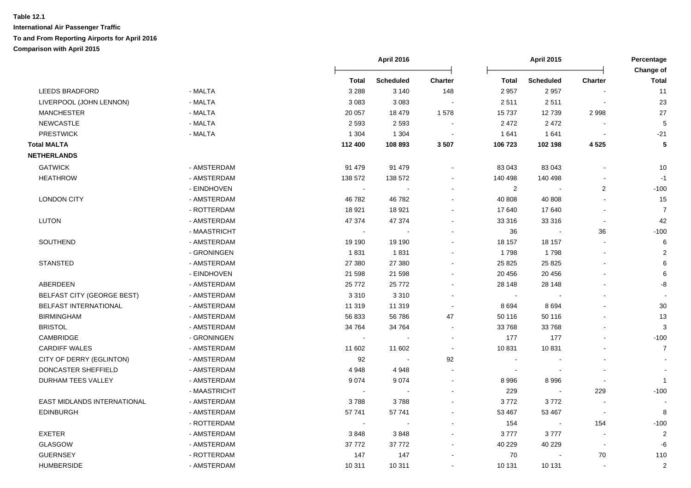|                                    |              |                | April 2016       |                          | <b>April 2015</b> |                  | Percentage               |                           |
|------------------------------------|--------------|----------------|------------------|--------------------------|-------------------|------------------|--------------------------|---------------------------|
|                                    |              | Total          | <b>Scheduled</b> | Charter                  | <b>Total</b>      | <b>Scheduled</b> | <b>Charter</b>           | Change of<br><b>Total</b> |
| <b>LEEDS BRADFORD</b>              | - MALTA      | 3 2 8 8        | 3 1 4 0          | 148                      | 2 9 5 7           | 2957             |                          | 11                        |
| LIVERPOOL (JOHN LENNON)            | - MALTA      | 3 0 8 3        | 3 0 8 3          |                          | 2511              | 2511             |                          | 23                        |
| <b>MANCHESTER</b>                  | - MALTA      | 20 057         | 18 479           | 1578                     | 15 7 37           | 12739            | 2998                     | 27                        |
| <b>NEWCASTLE</b>                   | - MALTA      | 2 5 9 3        | 2 5 9 3          |                          | 2 4 7 2           | 2472             |                          | 5                         |
| <b>PRESTWICK</b>                   | - MALTA      | 1 3 0 4        | 1 3 0 4          |                          | 1641              | 1641             |                          | $-21$                     |
| <b>Total MALTA</b>                 |              | 112 400        | 108 893          | 3 5 0 7                  | 106 723           | 102 198          | 4 5 2 5                  | 5                         |
| <b>NETHERLANDS</b>                 |              |                |                  |                          |                   |                  |                          |                           |
| <b>GATWICK</b>                     | - AMSTERDAM  | 91 479         | 91 479           |                          | 83 043            | 83 043           |                          | 10                        |
| <b>HEATHROW</b>                    | - AMSTERDAM  | 138 572        | 138 572          |                          | 140 498           | 140 498          |                          | $-1$                      |
|                                    | - EINDHOVEN  | $\blacksquare$ |                  |                          | $\overline{2}$    |                  | 2                        | $-100$                    |
| <b>LONDON CITY</b>                 | - AMSTERDAM  | 46782          | 46782            |                          | 40 808            | 40 808           | $\overline{a}$           | 15                        |
|                                    | - ROTTERDAM  | 18 9 21        | 18 9 21          |                          | 17 640            | 17640            | $\overline{\phantom{a}}$ | $\overline{7}$            |
| LUTON                              | - AMSTERDAM  | 47 374         | 47 374           |                          | 33 316            | 33 316           | $\sim$                   | 42                        |
|                                    | - MAASTRICHT |                |                  |                          | 36                |                  | 36                       | $-100$                    |
| SOUTHEND                           | - AMSTERDAM  | 19 190         | 19 190           |                          | 18 157            | 18 157           | $\sim$                   | 6                         |
|                                    | - GRONINGEN  | 1831           | 1831             |                          | 1798              | 1798             | $\blacksquare$           | $\overline{2}$            |
| <b>STANSTED</b>                    | - AMSTERDAM  | 27 380         | 27 380           |                          | 25 8 25           | 25 8 25          | $\blacksquare$           | 6                         |
|                                    | - EINDHOVEN  | 21 5 98        | 21 598           |                          | 20 45 6           | 20 45 6          |                          | 6                         |
| ABERDEEN                           | - AMSTERDAM  | 25 7 7 2       | 25 7 7 2         |                          | 28 148            | 28 148           |                          | -8                        |
| BELFAST CITY (GEORGE BEST)         | - AMSTERDAM  | 3 3 1 0        | 3310             |                          | $\sim$            |                  |                          |                           |
| <b>BELFAST INTERNATIONAL</b>       | - AMSTERDAM  | 11 319         | 11 319           | $\sim$                   | 8694              | 8694             |                          | 30                        |
| <b>BIRMINGHAM</b>                  | - AMSTERDAM  | 56 833         | 56 786           | 47                       | 50 116            | 50 116           |                          | 13                        |
| <b>BRISTOL</b>                     | - AMSTERDAM  | 34 764         | 34 764           | $\blacksquare$           | 33 768            | 33768            |                          | $\sqrt{3}$                |
| CAMBRIDGE                          | - GRONINGEN  | $\sim$         |                  | $\sim$                   | 177               | 177              | $\overline{a}$           | $-100$                    |
| <b>CARDIFF WALES</b>               | - AMSTERDAM  | 11 602         | 11 602           | $\sim$                   | 10 831            | 10831            |                          | $\overline{7}$            |
| CITY OF DERRY (EGLINTON)           | - AMSTERDAM  | 92             | $\sim$           | 92                       | $\sim$            |                  |                          |                           |
| DONCASTER SHEFFIELD                | - AMSTERDAM  | 4 9 4 8        | 4948             |                          | $\blacksquare$    |                  |                          |                           |
| DURHAM TEES VALLEY                 | - AMSTERDAM  | 9074           | 9074             | $\overline{\phantom{a}}$ | 8996              | 8996             | $\blacksquare$           | $\overline{1}$            |
|                                    | - MAASTRICHT |                |                  |                          | 229               |                  | 229                      | $-100$                    |
| <b>EAST MIDLANDS INTERNATIONAL</b> | - AMSTERDAM  | 3788           | 3788             |                          | 3772              | 3772             |                          |                           |
| <b>EDINBURGH</b>                   | - AMSTERDAM  | 57 741         | 57 741           |                          | 53 467            | 53 467           |                          | 8                         |
|                                    | - ROTTERDAM  |                |                  |                          | 154               |                  | 154                      | $-100$                    |
| <b>EXETER</b>                      | - AMSTERDAM  | 3848           | 3848             |                          | 3777              | 3777             |                          | $\sqrt{2}$                |
| GLASGOW                            | - AMSTERDAM  | 37 772         | 37 772           |                          | 40 229            | 40 229           | $\overline{\phantom{a}}$ | -6                        |
| <b>GUERNSEY</b>                    | - ROTTERDAM  | 147            | 147              |                          | 70                |                  | 70                       | 110                       |
| <b>HUMBERSIDE</b>                  | - AMSTERDAM  | 10 311         | 10 311           |                          | 10 131            | 10 131           | $\overline{a}$           | $\overline{2}$            |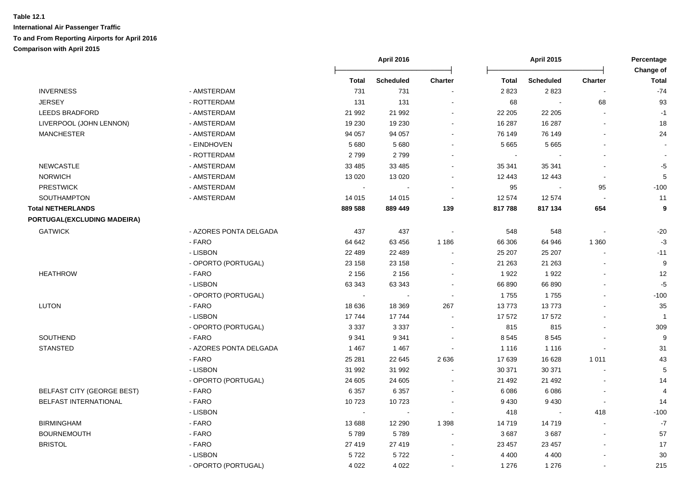|                                   |                        |              | <b>April 2016</b> |                          | <b>April 2015</b> |                  | Percentage<br><b>Change of</b> |                  |
|-----------------------------------|------------------------|--------------|-------------------|--------------------------|-------------------|------------------|--------------------------------|------------------|
|                                   |                        | <b>Total</b> | <b>Scheduled</b>  | <b>Charter</b>           | <b>Total</b>      | <b>Scheduled</b> | <b>Charter</b>                 | <b>Total</b>     |
| <b>INVERNESS</b>                  | - AMSTERDAM            | 731          | 731               |                          | 2823              | 2823             |                                | $-74$            |
| <b>JERSEY</b>                     | - ROTTERDAM            | 131          | 131               |                          | 68                | $\sim$           | 68                             | 93               |
| <b>LEEDS BRADFORD</b>             | - AMSTERDAM            | 21 992       | 21 992            |                          | 22 205            | 22 205           | $\overline{\phantom{a}}$       | $-1$             |
| LIVERPOOL (JOHN LENNON)           | - AMSTERDAM            | 19 230       | 19 230            | $\blacksquare$           | 16 287            | 16 287           |                                | 18               |
| <b>MANCHESTER</b>                 | - AMSTERDAM            | 94 057       | 94 057            | $\blacksquare$           | 76 149            | 76 149           |                                | 24               |
|                                   | - EINDHOVEN            | 5 6 8 0      | 5680              | $\sim$                   | 5 6 6 5           | 5 6 6 5          |                                |                  |
|                                   | - ROTTERDAM            | 2799         | 2799              | $\blacksquare$           | $\sim$            |                  |                                | $\sim$           |
| <b>NEWCASTLE</b>                  | - AMSTERDAM            | 33 4 85      | 33 4 85           | $\sim$                   | 35 341            | 35 341           |                                | $-5$             |
| <b>NORWICH</b>                    | - AMSTERDAM            | 13 0 20      | 13 0 20           | $\mathbf{r}$             | 12 443            | 12 443           | $\sim$                         | 5                |
| <b>PRESTWICK</b>                  | - AMSTERDAM            | $\sim$       |                   |                          | 95                |                  | 95                             | $-100$           |
| SOUTHAMPTON                       | - AMSTERDAM            | 14 015       | 14 015            | $\sim$                   | 12 574            | 12 574           | $\sim$                         | 11               |
| <b>Total NETHERLANDS</b>          |                        | 889 588      | 889 449           | 139                      | 817788            | 817 134          | 654                            | $\boldsymbol{9}$ |
| PORTUGAL(EXCLUDING MADEIRA)       |                        |              |                   |                          |                   |                  |                                |                  |
| <b>GATWICK</b>                    | - AZORES PONTA DELGADA | 437          | 437               |                          | 548               | 548              |                                | $-20$            |
|                                   | - FARO                 | 64 642       | 63 456            | 1 1 8 6                  | 66 30 6           | 64 946           | 1 3 6 0                        | $-3$             |
|                                   | - LISBON               | 22 489       | 22 489            |                          | 25 207            | 25 207           |                                | $-11$            |
|                                   | - OPORTO (PORTUGAL)    | 23 158       | 23 158            |                          | 21 263            | 21 263           |                                | 9                |
| <b>HEATHROW</b>                   | - FARO                 | 2 1 5 6      | 2 1 5 6           | ÷                        | 1922              | 1922             |                                | 12               |
|                                   | - LISBON               | 63 343       | 63 343            |                          | 66 890            | 66 890           |                                | $-5$             |
|                                   | - OPORTO (PORTUGAL)    | $\sim$       | $\sim$            | $\overline{\phantom{a}}$ | 1755              | 1755             |                                | $-100$           |
| <b>LUTON</b>                      | - FARO                 | 18 636       | 18 3 69           | 267                      | 13773             | 13773            |                                | 35               |
|                                   | - LISBON               | 17744        | 17744             | $\blacksquare$           | 17 572            | 17572            |                                | $\overline{1}$   |
|                                   | - OPORTO (PORTUGAL)    | 3 3 3 7      | 3 3 3 7           | $\blacksquare$           | 815               | 815              |                                | 309              |
| SOUTHEND                          | - FARO                 | 9 3 4 1      | 9 3 4 1           | $\blacksquare$           | 8 5 4 5           | 8 5 4 5          |                                | $\boldsymbol{9}$ |
| <b>STANSTED</b>                   | - AZORES PONTA DELGADA | 1 4 6 7      | 1 4 6 7           |                          | 1 1 1 6           | 1 1 1 6          |                                | 31               |
|                                   | - FARO                 | 25 281       | 22 645            | 2 6 3 6                  | 17 639            | 16 628           | 1 0 1 1                        | 43               |
|                                   | - LISBON               | 31 992       | 31 992            | $\blacksquare$           | 30 371            | 30 371           |                                | 5                |
|                                   | - OPORTO (PORTUGAL)    | 24 605       | 24 605            |                          | 21 492            | 21 492           |                                | 14               |
| <b>BELFAST CITY (GEORGE BEST)</b> | - FARO                 | 6 3 5 7      | 6 3 5 7           |                          | 6 0 8 6           | 6 0 8 6          |                                | $\overline{4}$   |
| BELFAST INTERNATIONAL             | - FARO                 | 10723        | 10723             |                          | 9 4 3 0           | 9 4 3 0          | $\overline{\phantom{a}}$       | 14               |
|                                   | - LISBON               | $\sim$       | $\sim$            | $\blacksquare$           | 418               | $\blacksquare$   | 418                            | $-100$           |
| <b>BIRMINGHAM</b>                 | - FARO                 | 13 688       | 12 290            | 1 3 9 8                  | 14719             | 14719            | $\sim$                         | $-7$             |
| <b>BOURNEMOUTH</b>                | - FARO                 | 5789         | 5789              | $\blacksquare$           | 3687              | 3687             | $\blacksquare$                 | 57               |
| <b>BRISTOL</b>                    | - FARO                 | 27 419       | 27 419            | $\sim$                   | 23 457            | 23 457           |                                | 17               |
|                                   | - LISBON               | 5722         | 5722              | $\sim$                   | 4 4 0 0           | 4 4 0 0          |                                | 30               |
|                                   | - OPORTO (PORTUGAL)    | 4 0 2 2      | 4 0 2 2           | $\blacksquare$           | 1 2 7 6           | 1 2 7 6          |                                | 215              |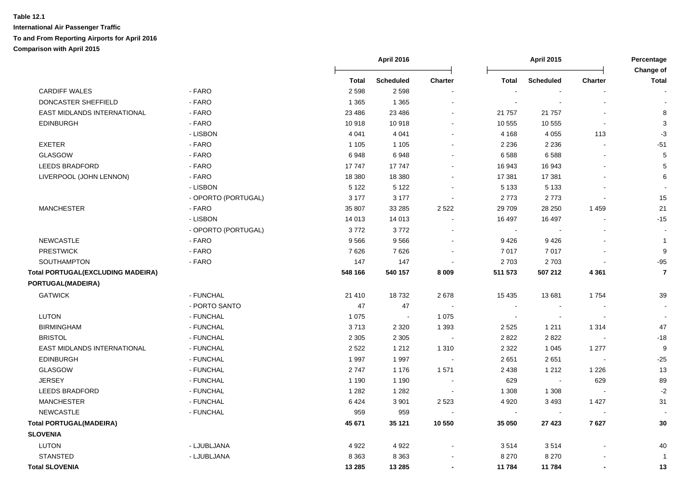|                                          |                     |         | <b>April 2016</b> |                |                          | <b>April 2015</b> |                          | Percentage<br>Change of |
|------------------------------------------|---------------------|---------|-------------------|----------------|--------------------------|-------------------|--------------------------|-------------------------|
|                                          |                     | Total   | <b>Scheduled</b>  | Charter        | Total                    | <b>Scheduled</b>  | <b>Charter</b>           | Total                   |
| <b>CARDIFF WALES</b>                     | - FARO              | 2 5 9 8 | 2 5 9 8           |                |                          |                   |                          |                         |
| DONCASTER SHEFFIELD                      | - FARO              | 1 3 6 5 | 1 3 6 5           |                | $\overline{\phantom{a}}$ |                   |                          |                         |
| EAST MIDLANDS INTERNATIONAL              | - FARO              | 23 4 86 | 23 4 86           |                | 21 757                   | 21 757            |                          | 8                       |
| <b>EDINBURGH</b>                         | - FARO              | 10918   | 10918             |                | 10 555                   | 10 555            | $\blacksquare$           | 3                       |
|                                          | - LISBON            | 4 0 4 1 | 4 0 4 1           | $\sim$         | 4 1 6 8                  | 4 0 5 5           | 113                      | $-3$                    |
| <b>EXETER</b>                            | - FARO              | 1 1 0 5 | 1 1 0 5           | $\sim$         | 2 2 3 6                  | 2 2 3 6           | $\blacksquare$           | $-51$                   |
| GLASGOW                                  | - FARO              | 6948    | 6948              |                | 6588                     | 6588              |                          | 5                       |
| <b>LEEDS BRADFORD</b>                    | - FARO              | 17747   | 17747             |                | 16 943                   | 16 943            |                          | 5                       |
| LIVERPOOL (JOHN LENNON)                  | - FARO              | 18 380  | 18 380            |                | 17 381                   | 17 381            |                          | 6                       |
|                                          | - LISBON            | 5 1 2 2 | 5 1 2 2           |                | 5 1 3 3                  | 5 1 3 3           |                          |                         |
|                                          | - OPORTO (PORTUGAL) | 3 1 7 7 | 3 1 7 7           | $\blacksquare$ | 2773                     | 2773              | $\overline{a}$           | 15                      |
| <b>MANCHESTER</b>                        | - FARO              | 35 807  | 33 285            | 2 5 2 2        | 29 709                   | 28 250            | 1 4 5 9                  | 21                      |
|                                          | - LISBON            | 14 013  | 14 013            |                | 16 497                   | 16 497            |                          | $-15$                   |
|                                          | - OPORTO (PORTUGAL) | 3772    | 3772              |                | $\sim$                   |                   |                          |                         |
| <b>NEWCASTLE</b>                         | - FARO              | 9566    | 9566              |                | 9426                     | 9426              |                          | $\overline{1}$          |
| <b>PRESTWICK</b>                         | - FARO              | 7626    | 7626              |                | 7017                     | 7017              |                          | 9                       |
| <b>SOUTHAMPTON</b>                       | - FARO              | 147     | 147               | $\blacksquare$ | 2 7 0 3                  | 2703              | $\overline{\phantom{a}}$ | $-95$                   |
| <b>Total PORTUGAL(EXCLUDING MADEIRA)</b> |                     | 548 166 | 540 157           | 8 0 0 9        | 511 573                  | 507 212           | 4 3 6 1                  | $\overline{7}$          |
| PORTUGAL(MADEIRA)                        |                     |         |                   |                |                          |                   |                          |                         |
| <b>GATWICK</b>                           | - FUNCHAL           | 21 4 10 | 18732             | 2678           | 15 4 35                  | 13681             | 1754                     | 39                      |
|                                          | - PORTO SANTO       | 47      | 47                |                | $\blacksquare$           |                   |                          |                         |
| <b>LUTON</b>                             | - FUNCHAL           | 1 0 7 5 | $\sim$            | 1 0 7 5        | $\sim$                   |                   |                          |                         |
| <b>BIRMINGHAM</b>                        | - FUNCHAL           | 3713    | 2 3 2 0           | 1 3 9 3        | 2 5 2 5                  | 1 2 1 1           | 1 3 1 4                  | 47                      |
| <b>BRISTOL</b>                           | - FUNCHAL           | 2 3 0 5 | 2 3 0 5           |                | 2822                     | 2822              |                          | $-18$                   |
| EAST MIDLANDS INTERNATIONAL              | - FUNCHAL           | 2 5 2 2 | 1 2 1 2           | 1 3 1 0        | 2 3 2 2                  | 1 0 4 5           | 1 2 7 7                  | 9                       |
| <b>EDINBURGH</b>                         | - FUNCHAL           | 1997    | 1997              |                | 2651                     | 2651              | $\sim$                   | $-25$                   |
| <b>GLASGOW</b>                           | - FUNCHAL           | 2747    | 1 1 7 6           | 1571           | 2 4 3 8                  | 1 2 1 2           | 1 2 2 6                  | 13                      |
| <b>JERSEY</b>                            | - FUNCHAL           | 1 1 9 0 | 1 1 9 0           |                | 629                      |                   | 629                      | 89                      |
| <b>LEEDS BRADFORD</b>                    | - FUNCHAL           | 1 2 8 2 | 1 2 8 2           |                | 1 3 0 8                  | 1 3 0 8           | $\overline{a}$           | $-2$                    |
| <b>MANCHESTER</b>                        | - FUNCHAL           | 6424    | 3 9 0 1           | 2 5 2 3        | 4 9 20                   | 3 4 9 3           | 1 4 2 7                  | 31                      |
| <b>NEWCASTLE</b>                         | - FUNCHAL           | 959     | 959               | $\sim$         | $\sim$                   | $\sim$            | $\overline{\phantom{a}}$ |                         |
| <b>Total PORTUGAL(MADEIRA)</b>           |                     | 45 671  | 35 1 21           | 10 550         | 35 050                   | 27 4 23           | 7627                     | 30                      |
| <b>SLOVENIA</b>                          |                     |         |                   |                |                          |                   |                          |                         |
| <b>LUTON</b>                             | - LJUBLJANA         | 4 9 2 2 | 4922              |                | 3514                     | 3514              |                          | 40                      |
| <b>STANSTED</b>                          | - LJUBLJANA         | 8 3 6 3 | 8 3 6 3           |                | 8 2 7 0                  | 8 2 7 0           |                          | $\overline{1}$          |
| <b>Total SLOVENIA</b>                    |                     | 13 285  | 13 285            | $\blacksquare$ | 11 784                   | 11 784            | $\blacksquare$           | 13                      |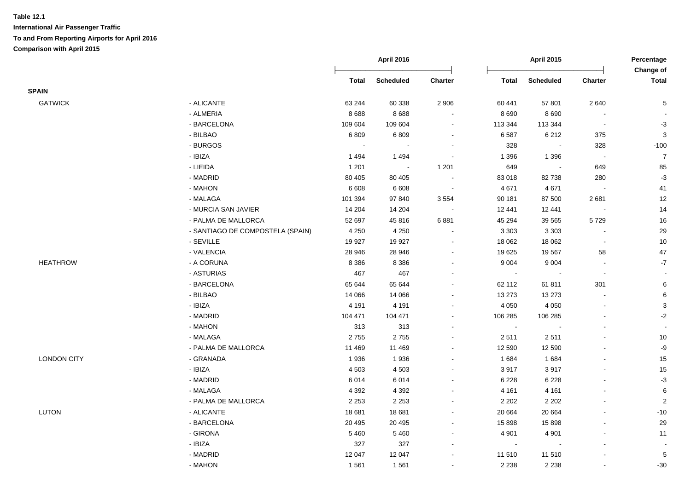|                    |                                  |              | <b>April 2016</b> |                          | <b>April 2015</b> |                          |                          | Percentage<br>Change of   |
|--------------------|----------------------------------|--------------|-------------------|--------------------------|-------------------|--------------------------|--------------------------|---------------------------|
|                    |                                  | <b>Total</b> | <b>Scheduled</b>  | Charter                  | <b>Total</b>      | Scheduled                | Charter                  | <b>Total</b>              |
| <b>SPAIN</b>       |                                  |              |                   |                          |                   |                          |                          |                           |
| <b>GATWICK</b>     | - ALICANTE                       | 63 244       | 60 338            | 2 9 0 6                  | 60 441            | 57 801                   | 2 6 4 0                  | 5                         |
|                    | - ALMERIA                        | 8688         | 8688              | $\sim$                   | 8 6 9 0           | 8690                     |                          |                           |
|                    | - BARCELONA                      | 109 604      | 109 604           | $\blacksquare$           | 113 344           | 113 344                  | $\overline{\phantom{a}}$ | $-3$                      |
|                    | - BILBAO                         | 6809         | 6809              | $\blacksquare$           | 6587              | 6 2 1 2                  | 375                      | $\ensuremath{\mathsf{3}}$ |
|                    | - BURGOS                         | $\sim$       | $\sim$            | $\blacksquare$           | 328               | $\blacksquare$           | 328                      | $-100$                    |
|                    | - IBIZA                          | 1494         | 1494              | $\blacksquare$           | 1 3 9 6           | 1 3 9 6                  | $\sim$                   | $\overline{7}$            |
|                    | - LIEIDA                         | 1 2 0 1      | $\blacksquare$    | 1 2 0 1                  | 649               | $\overline{\phantom{a}}$ | 649                      | 85                        |
|                    | - MADRID                         | 80 40 5      | 80 40 5           | $\sim$                   | 83 018            | 82738                    | 280                      | $-3$                      |
|                    | - MAHON                          | 6 6 0 8      | 6 6 0 8           | $\sim$                   | 4 6 7 1           | 4671                     |                          | 41                        |
|                    | - MALAGA                         | 101 394      | 97 840            | 3 5 5 4                  | 90 181            | 87 500                   | 2681                     | 12                        |
|                    | - MURCIA SAN JAVIER              | 14 204       | 14 204            | $\sim$                   | 12 441            | 12 441                   |                          | 14                        |
|                    | - PALMA DE MALLORCA              | 52 697       | 45816             | 6881                     | 45 294            | 39 565                   | 5729                     | 16                        |
|                    | - SANTIAGO DE COMPOSTELA (SPAIN) | 4 2 5 0      | 4 2 5 0           |                          | 3 3 0 3           | 3 3 0 3                  |                          | 29                        |
|                    | - SEVILLE                        | 19 9 27      | 19 9 27           | $\blacksquare$           | 18 062            | 18 062                   | $\sim$                   | $10$                      |
|                    | - VALENCIA                       | 28 946       | 28 946            | $\blacksquare$           | 19 625            | 19567                    | 58                       | $47\,$                    |
| <b>HEATHROW</b>    | - A CORUNA                       | 8 3 8 6      | 8 3 8 6           | $\sim$                   | 9 0 0 4           | 9 0 0 4                  | $\overline{\phantom{a}}$ | $\mathbf{-7}$             |
|                    | - ASTURIAS                       | 467          | 467               | $\blacksquare$           | $\sim$            |                          | $\sim$                   | $\sim$                    |
|                    | - BARCELONA                      | 65 644       | 65 644            | $\blacksquare$           | 62 112            | 61811                    | 301                      | 6                         |
|                    | - BILBAO                         | 14 066       | 14 0 66           | $\blacksquare$           | 13 273            | 13 27 3                  | $\blacksquare$           | 6                         |
|                    | - IBIZA                          | 4 1 9 1      | 4 1 9 1           | $\blacksquare$           | 4 0 5 0           | 4 0 5 0                  | $\overline{a}$           | $\ensuremath{\mathsf{3}}$ |
|                    | - MADRID                         | 104 471      | 104 471           | $\blacksquare$           | 106 285           | 106 285                  |                          | $-2$                      |
|                    | - MAHON                          | 313          | 313               | $\overline{\phantom{a}}$ | $\sim$            |                          | $\blacksquare$           |                           |
|                    | - MALAGA                         | 2755         | 2755              | $\blacksquare$           | 2511              | 2511                     |                          | 10                        |
|                    | - PALMA DE MALLORCA              | 11 469       | 11 469            | $\blacksquare$           | 12 590            | 12 590                   |                          | $-9$                      |
| <b>LONDON CITY</b> | - GRANADA                        | 1936         | 1936              | $\overline{\phantom{a}}$ | 1684              | 1 6 8 4                  |                          | 15                        |
|                    | - IBIZA                          | 4 5 0 3      | 4 5 0 3           |                          | 3917              | 3917                     |                          | 15                        |
|                    | - MADRID                         | 6014         | 6014              | $\sim$                   | 6 2 2 8           | 6 2 2 8                  | $\overline{a}$           | $-3$                      |
|                    | - MALAGA                         | 4 3 9 2      | 4 3 9 2           | $\sim$                   | 4 1 6 1           | 4 1 6 1                  | $\blacksquare$           | $\,6$                     |
|                    | - PALMA DE MALLORCA              | 2 2 5 3      | 2 2 5 3           | $\blacksquare$           | 2 2 0 2           | 2 2 0 2                  | $\overline{a}$           | $\sqrt{2}$                |
| LUTON              | - ALICANTE                       | 18 681       | 18 681            | $\blacksquare$           | 20 664            | 20 664                   | $\blacksquare$           | $-10$                     |
|                    | - BARCELONA                      | 20 4 95      | 20 4 95           | $\overline{\phantom{a}}$ | 15 898            | 15 898                   |                          | 29                        |
|                    | - GIRONA                         | 5 4 6 0      | 5 4 6 0           | $\blacksquare$           | 4 9 0 1           | 4 9 0 1                  |                          | 11                        |
|                    | - IBIZA                          | 327          | 327               | $\blacksquare$           | $\sim$            |                          | $\overline{a}$           |                           |
|                    | - MADRID                         | 12 047       | 12 047            | $\overline{\phantom{a}}$ | 11 510            | 11 510                   | $\blacksquare$           | $\sqrt{5}$                |
|                    | - MAHON                          | 1561         | 1561              | $\blacksquare$           | 2 2 3 8           | 2 2 3 8                  |                          | $-30$                     |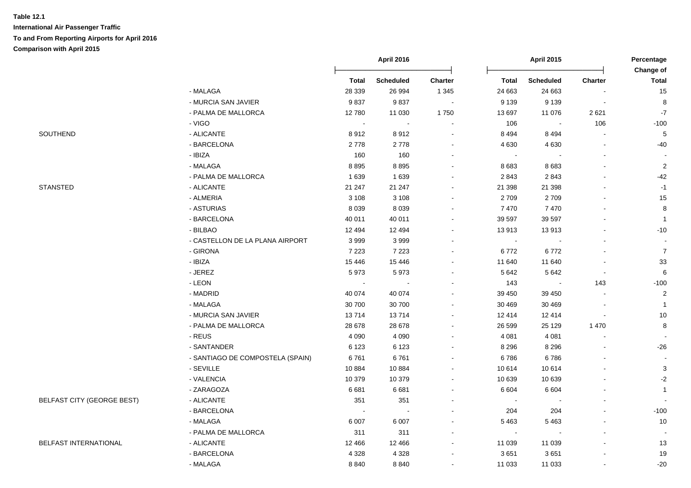|                                   |                                  | April 2016 |                          | <b>April 2015</b> |                          |                  | Percentage<br>Change of |                |
|-----------------------------------|----------------------------------|------------|--------------------------|-------------------|--------------------------|------------------|-------------------------|----------------|
|                                   |                                  | Total      | <b>Scheduled</b>         | Charter           | <b>Total</b>             | <b>Scheduled</b> | <b>Charter</b>          | <b>Total</b>   |
|                                   | - MALAGA                         | 28 339     | 26 994                   | 1 3 4 5           | 24 663                   | 24 663           |                         | 15             |
|                                   | - MURCIA SAN JAVIER              | 9837       | 9837                     |                   | 9 1 3 9                  | 9 1 3 9          |                         | 8              |
|                                   | - PALMA DE MALLORCA              | 12780      | 11 030                   | 1750              | 13 697                   | 11 076           | 2621                    | $-7$           |
|                                   | - VIGO                           | $\sim$     | $\sim$                   |                   | 106                      | $\sim$           | 106                     | $-100$         |
| SOUTHEND                          | - ALICANTE                       | 8912       | 8912                     | $\sim$            | 8 4 9 4                  | 8 4 9 4          |                         | $\overline{5}$ |
|                                   | - BARCELONA                      | 2778       | 2778                     |                   | 4 6 3 0                  | 4 6 3 0          |                         | $-40$          |
|                                   | - IBIZA                          | 160        | 160                      | $\sim$            | $\sim$                   |                  |                         |                |
|                                   | - MALAGA                         | 8895       | 8895                     |                   | 8683                     | 8683             |                         | $\sqrt{2}$     |
|                                   | - PALMA DE MALLORCA              | 1 6 3 9    | 1639                     |                   | 2843                     | 2843             |                         | $-42$          |
| <b>STANSTED</b>                   | - ALICANTE                       | 21 247     | 21 247                   |                   | 21 398                   | 21 398           |                         | $-1$           |
|                                   | - ALMERIA                        | 3 1 0 8    | 3 1 0 8                  |                   | 2709                     | 2709             |                         | 15             |
|                                   | - ASTURIAS                       | 8 0 3 9    | 8 0 3 9                  |                   | 7470                     | 7470             |                         | 8              |
|                                   | - BARCELONA                      | 40 011     | 40 011                   |                   | 39 597                   | 39 597           |                         | $\overline{1}$ |
|                                   | - BILBAO                         | 12 4 94    | 12 4 9 4                 |                   | 13913                    | 13913            |                         | $-10$          |
|                                   | - CASTELLON DE LA PLANA AIRPORT  | 3999       | 3999                     |                   | $\sim$                   |                  |                         |                |
|                                   | - GIRONA                         | 7 2 2 3    | 7 2 2 3                  |                   | 6772                     | 6772             |                         | $\overline{7}$ |
|                                   | - IBIZA                          | 15 4 46    | 15 4 46                  |                   | 11 640                   | 11 640           |                         | 33             |
|                                   | - JEREZ                          | 5973       | 5973                     |                   | 5 6 4 2                  | 5 6 4 2          |                         | 6              |
|                                   | - LEON                           |            |                          |                   | 143                      |                  | 143                     | $-100$         |
|                                   | - MADRID                         | 40 074     | 40 074                   |                   | 39 450                   | 39 450           |                         | $\overline{2}$ |
|                                   | - MALAGA                         | 30 700     | 30 700                   |                   | 30 469                   | 30 469           |                         | $\overline{1}$ |
|                                   | - MURCIA SAN JAVIER              | 13714      | 13714                    |                   | 12 4 14                  | 12 4 14          |                         | 10             |
|                                   | - PALMA DE MALLORCA              | 28 678     | 28 678                   |                   | 26 599                   | 25 1 29          | 1 4 7 0                 | 8              |
|                                   | - REUS                           | 4 0 9 0    | 4 0 9 0                  |                   | 4 0 8 1                  | 4 0 8 1          |                         |                |
|                                   | - SANTANDER                      | 6 1 2 3    | 6 1 2 3                  |                   | 8 2 9 6                  | 8 2 9 6          |                         | $-26$          |
|                                   | - SANTIAGO DE COMPOSTELA (SPAIN) | 6761       | 6761                     |                   | 6786                     | 6786             |                         |                |
|                                   | - SEVILLE                        | 10884      | 10884                    |                   | 10 614                   | 10 614           |                         | $\sqrt{3}$     |
|                                   | - VALENCIA                       | 10 379     | 10 379                   |                   | 10 639                   | 10 639           |                         | $-2$           |
|                                   | - ZARAGOZA                       | 6681       | 6681                     |                   | 6 6 0 4                  | 6 6 0 4          |                         | $\overline{1}$ |
| <b>BELFAST CITY (GEORGE BEST)</b> | - ALICANTE                       | 351        | 351                      |                   | $\overline{\phantom{a}}$ |                  |                         |                |
|                                   | - BARCELONA                      |            | $\overline{\phantom{a}}$ |                   | 204                      | 204              |                         | $-100$         |
|                                   | - MALAGA                         | 6 0 0 7    | 6 0 0 7                  |                   | 5 4 6 3                  | 5463             |                         | 10             |
|                                   | - PALMA DE MALLORCA              | 311        | 311                      |                   | $\sim$                   |                  |                         | $\blacksquare$ |
| BELFAST INTERNATIONAL             | - ALICANTE                       | 12 4 66    | 12 4 66                  |                   | 11 039                   | 11 039           |                         | 13             |
|                                   | - BARCELONA                      | 4 3 2 8    | 4 3 2 8                  |                   | 3651                     | 3651             |                         | 19             |
|                                   | - MALAGA                         | 8840       | 8840                     |                   | 11 033                   | 11 033           |                         | $-20$          |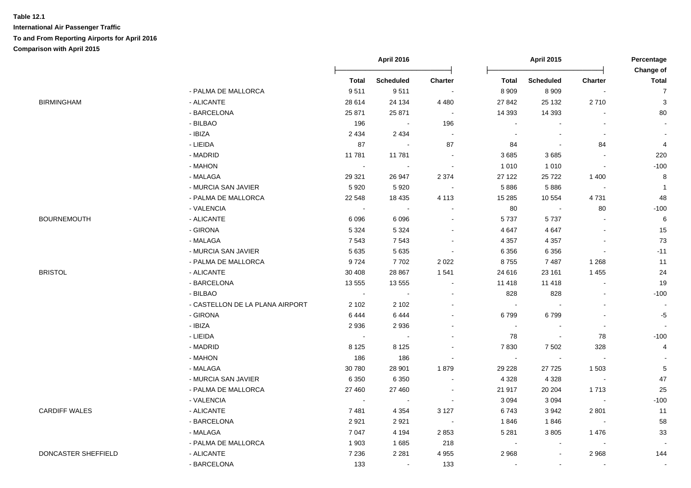|                      |                                 | <b>April 2016</b> |                  |                          | <b>April 2015</b> |                          |                          | Percentage<br>Change of  |  |
|----------------------|---------------------------------|-------------------|------------------|--------------------------|-------------------|--------------------------|--------------------------|--------------------------|--|
|                      |                                 | <b>Total</b>      | <b>Scheduled</b> | <b>Charter</b>           | <b>Total</b>      | <b>Scheduled</b>         | <b>Charter</b>           | <b>Total</b>             |  |
|                      | - PALMA DE MALLORCA             | 9511              | 9511             | $\sim$                   | 8 9 0 9           | 8 9 0 9                  | $\overline{\phantom{a}}$ | $\overline{7}$           |  |
| <b>BIRMINGHAM</b>    | - ALICANTE                      | 28 614            | 24 134           | 4 4 8 0                  | 27 842            | 25 132                   | 2710                     | $\mathbf{3}$             |  |
|                      | - BARCELONA                     | 25 871            | 25 871           | $\sim$                   | 14 3 9 3          | 14 3 93                  |                          | 80                       |  |
|                      | - BILBAO                        | 196               | $\sim$ $\pm$     | 196                      | $\sim$            |                          |                          | $\blacksquare$           |  |
|                      | - IBIZA                         | 2 4 3 4           | 2 4 3 4          | $\sim$                   | $\sim$            | $\overline{\phantom{a}}$ | $\sim$                   | $\blacksquare$           |  |
|                      | - LIEIDA                        | 87                | $\sim$           | 87                       | 84                | $\blacksquare$           | 84                       | $\overline{\mathbf{4}}$  |  |
|                      | - MADRID                        | 11781             | 11 781           | $\sim$                   | 3685              | 3685                     |                          | 220                      |  |
|                      | - MAHON                         |                   |                  | $\overline{\phantom{a}}$ | 1 0 1 0           | 1 0 1 0                  | $\blacksquare$           | $-100$                   |  |
|                      | - MALAGA                        | 29 3 21           | 26 947           | 2 3 7 4                  | 27 122            | 25722                    | 1400                     | 8                        |  |
|                      | - MURCIA SAN JAVIER             | 5920              | 5920             |                          | 5886              | 5886                     | $\sim$                   | $\overline{1}$           |  |
|                      | - PALMA DE MALLORCA             | 22 548            | 18 4 35          | 4 1 1 3                  | 15 28 5           | 10 554                   | 4731                     | 48                       |  |
|                      | - VALENCIA                      |                   |                  |                          | 80                | $\blacksquare$           | 80                       | $-100$                   |  |
| <b>BOURNEMOUTH</b>   | - ALICANTE                      | 6096              | 6096             |                          | 5737              | 5737                     |                          | $\,6\,$                  |  |
|                      | - GIRONA                        | 5 3 2 4           | 5 3 2 4          |                          | 4 6 4 7           | 4 6 4 7                  |                          | 15                       |  |
|                      | - MALAGA                        | 7543              | 7543             | $\blacksquare$           | 4 3 5 7           | 4 3 5 7                  | $\overline{\phantom{a}}$ | 73                       |  |
|                      | - MURCIA SAN JAVIER             | 5 6 3 5           | 5635             | $\sim$                   | 6 3 5 6           | 6 3 5 6                  | $\Delta$                 | $-11$                    |  |
|                      | - PALMA DE MALLORCA             | 9724              | 7702             | 2 0 2 2                  | 8755              | 7487                     | 1 2 6 8                  | 11                       |  |
| <b>BRISTOL</b>       | - ALICANTE                      | 30 40 8           | 28 867           | 1 5 4 1                  | 24 616            | 23 161                   | 1455                     | 24                       |  |
|                      | - BARCELONA                     | 13 555            | 13 555           | $\sim$                   | 11 418            | 11 4 18                  | $\mathbf{r}$             | 19                       |  |
|                      | - BILBAO                        | $\mathbf{u}$      | $\sim$           | $\blacksquare$           | 828               | 828                      |                          | $-100$                   |  |
|                      | - CASTELLON DE LA PLANA AIRPORT | 2 1 0 2           | 2 1 0 2          |                          | $\sim$            |                          |                          | $\overline{\phantom{a}}$ |  |
|                      | - GIRONA                        | 6444              | 6444             | $\sim$                   | 6799              | 6799                     |                          | $-5$                     |  |
|                      | - IBIZA                         | 2936              | 2936             |                          | $\sim$            | $\blacksquare$           | $\blacksquare$           | $\sim$                   |  |
|                      | - LIEIDA                        | $\sim$            |                  |                          | 78                | $\sim$                   | 78                       | $-100$                   |  |
|                      | - MADRID                        | 8 1 2 5           | 8 1 2 5          |                          | 7830              | 7 5 0 2                  | 328                      | 4                        |  |
|                      | - MAHON                         | 186               | 186              |                          | $\sim$            |                          |                          |                          |  |
|                      | - MALAGA                        | 30 780            | 28 901           | 1879                     | 29 2 28           | 27 7 25                  | 1 503                    | $\,$ 5 $\,$              |  |
|                      | - MURCIA SAN JAVIER             | 6 3 5 0           | 6 3 5 0          |                          | 4 3 2 8           | 4 3 2 8                  | $\sim$                   | 47                       |  |
|                      | - PALMA DE MALLORCA             | 27 460            | 27 460           | $\sim$                   | 21 917            | 20 20 4                  | 1713                     | 25                       |  |
|                      | - VALENCIA                      | $\sim$            | $\sim$           | $\sim$                   | 3 0 9 4           | 3 0 9 4                  | $\sim 100$               | $-100$                   |  |
| <b>CARDIFF WALES</b> | - ALICANTE                      | 7481              | 4 3 5 4          | 3 1 2 7                  | 6743              | 3942                     | 2 8 0 1                  | 11                       |  |
|                      | - BARCELONA                     | 2921              | 2921             | $\sim 10$                | 1846              | 1846                     | $\sim 100$               | 58                       |  |
|                      | - MALAGA                        | 7 0 4 7           | 4 1 9 4          | 2853                     | 5 2 8 1           | 3805                     | 1476                     | 33                       |  |
|                      | - PALMA DE MALLORCA             | 1903              | 1685             | 218                      | $\sim$            | $\overline{\phantom{a}}$ |                          |                          |  |
| DONCASTER SHEFFIELD  | - ALICANTE                      | 7 2 3 6           | 2 2 8 1          | 4 9 5 5                  | 2 9 6 8           | $\overline{\phantom{a}}$ | 2968                     | 144                      |  |
|                      | - BARCELONA                     | 133               | $\sim$           | 133                      |                   | $\overline{\phantom{a}}$ |                          |                          |  |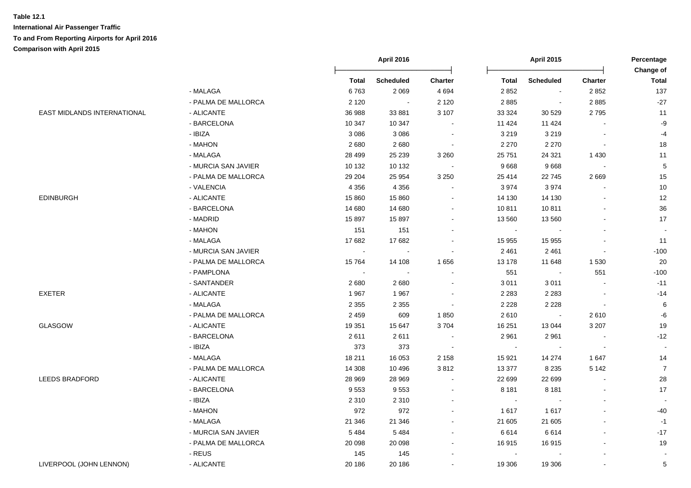|                                    |                     | <b>April 2016</b> |                  | <b>April 2015</b>        |                |                  | Percentage<br><b>Change of</b> |                |
|------------------------------------|---------------------|-------------------|------------------|--------------------------|----------------|------------------|--------------------------------|----------------|
|                                    |                     | Total             | <b>Scheduled</b> | <b>Charter</b>           | <b>Total</b>   | <b>Scheduled</b> | <b>Charter</b>                 | <b>Total</b>   |
|                                    | - MALAGA            | 6763              | 2 0 6 9          | 4 6 9 4                  | 2 8 5 2        | $\blacksquare$   | 2852                           | 137            |
|                                    | - PALMA DE MALLORCA | 2 1 2 0           | $\sim$           | 2 1 2 0                  | 2885           | $\blacksquare$   | 2885                           | $-27$          |
| <b>EAST MIDLANDS INTERNATIONAL</b> | - ALICANTE          | 36 988            | 33 881           | 3 107                    | 33 324         | 30 529           | 2795                           | 11             |
|                                    | - BARCELONA         | 10 347            | 10 347           | $\sim$                   | 11 4 24        | 11 4 24          |                                | -9             |
|                                    | - IBIZA             | 3 0 8 6           | 3 0 8 6          | $\overline{\phantom{a}}$ | 3 2 1 9        | 3 2 1 9          |                                | $-4$           |
|                                    | - MAHON             | 2680              | 2680             | $\overline{\phantom{a}}$ | 2 2 7 0        | 2 2 7 0          | $\blacksquare$                 | 18             |
|                                    | - MALAGA            | 28 4 9 9          | 25 239           | 3 2 6 0                  | 25 751         | 24 3 21          | 1 4 3 0                        | 11             |
|                                    | - MURCIA SAN JAVIER | 10 132            | 10 132           | $\blacksquare$           | 9668           | 9668             | $\bullet$                      | 5              |
|                                    | - PALMA DE MALLORCA | 29 204            | 25 9 54          | 3 2 5 0                  | 25 414         | 22745            | 2669                           | 15             |
|                                    | - VALENCIA          | 4 3 5 6           | 4 3 5 6          | $\sim$                   | 3974           | 3974             |                                | 10             |
| <b>EDINBURGH</b>                   | - ALICANTE          | 15 860            | 15 860           | $\blacksquare$           | 14 130         | 14 130           |                                | 12             |
|                                    | - BARCELONA         | 14 680            | 14 680           | $\blacksquare$           | 10811          | 10811            |                                | 36             |
|                                    | - MADRID            | 15 897            | 15897            | $\sim$                   | 13 560         | 13 560           |                                | 17             |
|                                    | - MAHON             | 151               | 151              | $\blacksquare$           | $\blacksquare$ |                  |                                |                |
|                                    | - MALAGA            | 17682             | 17682            | $\overline{\phantom{a}}$ | 15 955         | 15 955           |                                | 11             |
|                                    | - MURCIA SAN JAVIER | $\blacksquare$    |                  |                          | 2 4 6 1        | 2 4 6 1          |                                | $-100$         |
|                                    | - PALMA DE MALLORCA | 15764             | 14 108           | 1656                     | 13 178         | 11 648           | 1530                           | 20             |
|                                    | - PAMPLONA          | $\sim$            |                  |                          | 551            | $\sim$           | 551                            | $-100$         |
|                                    | - SANTANDER         | 2680              | 2680             | $\overline{\phantom{a}}$ | 3 0 1 1        | 3011             |                                | $-11$          |
| <b>EXETER</b>                      | - ALICANTE          | 1967              | 1967             | $\overline{\phantom{a}}$ | 2 2 8 3        | 2 2 8 3          | $\sim$                         | $-14$          |
|                                    | - MALAGA            | 2 3 5 5           | 2 3 5 5          | $\overline{\phantom{a}}$ | 2 2 2 8        | 2 2 2 8          | $\blacksquare$                 | $\,6$          |
|                                    | - PALMA DE MALLORCA | 2 4 5 9           | 609              | 1850                     | 2610           | $\sim$           | 2610                           | $-6$           |
| GLASGOW                            | - ALICANTE          | 19 351            | 15 647           | 3704                     | 16 251         | 13 044           | 3 2 0 7                        | 19             |
|                                    | - BARCELONA         | 2611              | 2611             |                          | 2 9 6 1        | 2961             |                                | $-12$          |
|                                    | - IBIZA             | 373               | 373              | $\sim$                   | $\sim$         | $\sim$           | $\sim$                         |                |
|                                    | - MALAGA            | 18 211            | 16 053           | 2 1 5 8                  | 15 9 21        | 14 274           | 1647                           | 14             |
|                                    | - PALMA DE MALLORCA | 14 30 8           | 10 4 9 6         | 3812                     | 13 377         | 8 2 3 5          | 5 1 4 2                        | $\overline{7}$ |
| <b>LEEDS BRADFORD</b>              | - ALICANTE          | 28 969            | 28 969           | $\sim$                   | 22 699         | 22 699           |                                | 28             |
|                                    | - BARCELONA         | 9553              | 9553             |                          | 8 1 8 1        | 8 1 8 1          |                                | 17             |
|                                    | - IBIZA             | 2 3 1 0           | 2 3 1 0          |                          | $\sim$         |                  |                                |                |
|                                    | - MAHON             | 972               | 972              |                          | 1617           | 1617             |                                | $-40$          |
|                                    | - MALAGA            | 21 346            | 21 346           | $\blacksquare$           | 21 605         | 21 605           |                                | $-1$           |
|                                    | - MURCIA SAN JAVIER | 5 4 8 4           | 5484             | $\blacksquare$           | 6614           | 6614             |                                | $-17$          |
|                                    | - PALMA DE MALLORCA | 20 098            | 20 098           | $\blacksquare$           | 16915          | 16915            |                                | 19             |
|                                    | - REUS              | 145               | 145              | $\blacksquare$           | $\blacksquare$ |                  |                                |                |
| LIVERPOOL (JOHN LENNON)            | - ALICANTE          | 20 186            | 20 18 6          | $\blacksquare$           | 19 306         | 19 306           |                                | 5              |
|                                    |                     |                   |                  |                          |                |                  |                                |                |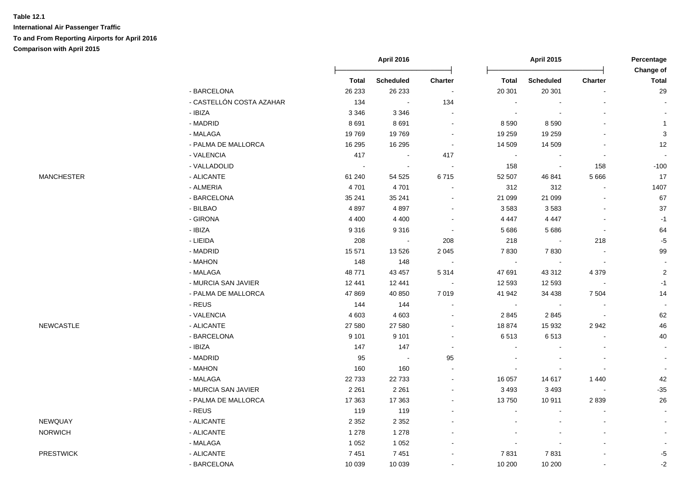|                   |                          | <b>April 2016</b> |                  | <b>April 2015</b>        |                |                  | Percentage<br>Change of  |                |
|-------------------|--------------------------|-------------------|------------------|--------------------------|----------------|------------------|--------------------------|----------------|
|                   |                          | <b>Total</b>      | <b>Scheduled</b> | Charter                  | <b>Total</b>   | <b>Scheduled</b> | Charter                  | <b>Total</b>   |
|                   | - BARCELONA              | 26 233            | 26 233           |                          | 20 301         | 20 301           |                          | 29             |
|                   | - CASTELLÓN COSTA AZAHAR | 134               |                  | 134                      |                |                  |                          |                |
|                   | $-$ IBIZA                | 3 3 4 6           | 3 3 4 6          |                          |                |                  |                          |                |
|                   | - MADRID                 | 8691              | 8691             | $\overline{\phantom{a}}$ | 8 5 9 0        | 8 5 9 0          |                          | $\mathbf{1}$   |
|                   | - MALAGA                 | 19769             | 19769            | $\sim$                   | 19 259         | 19 259           |                          | $\sqrt{3}$     |
|                   | - PALMA DE MALLORCA      | 16 295            | 16 295           | $\blacksquare$           | 14 509         | 14 509           |                          | 12             |
|                   | - VALENCIA               | 417               | $\sim$           | 417                      | $\blacksquare$ | $\blacksquare$   | $\blacksquare$           |                |
|                   | - VALLADOLID             | $\sim$            | $\sim$           | $\sim$                   | 158            | $\blacksquare$   | 158                      | $-100$         |
| <b>MANCHESTER</b> | - ALICANTE               | 61 240            | 54 525           | 6715                     | 52 507         | 46 841           | 5 6 6 6                  | 17             |
|                   | - ALMERIA                | 4701              | 4701             | $\blacksquare$           | 312            | 312              | $\blacksquare$           | 1407           |
|                   | - BARCELONA              | 35 241            | 35 241           | $\blacksquare$           | 21 099         | 21 099           |                          | 67             |
|                   | - BILBAO                 | 4897              | 4897             | $\blacksquare$           | 3583           | 3583             |                          | 37             |
|                   | - GIRONA                 | 4 4 0 0           | 4 4 0 0          | $\sim$                   | 4 4 4 7        | 4 4 4 7          | $\sim$                   | $-1$           |
|                   | - IBIZA                  | 9316              | 9316             | $\sim$                   | 5 6 8 6        | 5 6 8 6          | $\blacksquare$           | 64             |
|                   | - LIEIDA                 | 208               | $\sim$           | 208                      | 218            | $\sim$           | 218                      | $-5$           |
|                   | - MADRID                 | 15 571            | 13 5 26          | 2 0 4 5                  | 7830           | 7830             | $\overline{\phantom{a}}$ | 99             |
|                   | - MAHON                  | 148               | 148              |                          | $\sim$         |                  |                          |                |
|                   | - MALAGA                 | 48771             | 43 457           | 5 3 1 4                  | 47 691         | 43 312           | 4 3 7 9                  | $\overline{2}$ |
|                   | - MURCIA SAN JAVIER      | 12 441            | 12 441           |                          | 12 593         | 12 5 93          |                          | $-1$           |
|                   | - PALMA DE MALLORCA      | 47 869            | 40 850           | 7 0 1 9                  | 41 942         | 34 4 38          | 7 5 0 4                  | 14             |
|                   | - REUS                   | 144               | 144              | $\sim$                   | $\blacksquare$ |                  |                          |                |
|                   | - VALENCIA               | 4 603             | 4 6 0 3          | $\sim$                   | 2845           | 2845             | $\sim$                   | 62             |
| <b>NEWCASTLE</b>  | - ALICANTE               | 27 580            | 27 580           | $\blacksquare$           | 18 874         | 15 932           | 2942                     | 46             |
|                   | - BARCELONA              | 9 1 0 1           | 9 1 0 1          | $\blacksquare$           | 6513           | 6513             |                          | 40             |
|                   | - IBIZA                  | 147               | 147              | $\sim$                   | $\sim$         |                  |                          | $\blacksquare$ |
|                   | - MADRID                 | 95                | $\sim$           | 95                       |                |                  |                          |                |
|                   | - MAHON                  | 160               | 160              |                          |                |                  |                          |                |
|                   | - MALAGA                 | 22 733            | 22 7 33          |                          | 16 057         | 14 617           | 1440                     | 42             |
|                   | - MURCIA SAN JAVIER      | 2 2 6 1           | 2 2 6 1          | $\overline{\phantom{a}}$ | 3 4 9 3        | 3 4 9 3          | $\blacksquare$           | $-35$          |
|                   | - PALMA DE MALLORCA      | 17 363            | 17 363           | $\overline{\phantom{a}}$ | 13750          | 10911            | 2839                     | 26             |
|                   | - REUS                   | 119               | 119              | $\overline{\phantom{a}}$ |                |                  |                          |                |
| NEWQUAY           | - ALICANTE               | 2 3 5 2           | 2 3 5 2          |                          |                |                  |                          |                |
| <b>NORWICH</b>    | - ALICANTE               | 1 2 7 8           | 1 2 7 8          |                          |                |                  |                          |                |
|                   | - MALAGA                 | 1 0 5 2           | 1 0 5 2          |                          |                |                  |                          |                |
| <b>PRESTWICK</b>  | - ALICANTE               | 7451              | 7451             |                          | 7831           | 7831             |                          | $-5$           |
|                   | - BARCELONA              | 10 039            | 10 039           |                          | 10 200         | 10 200           |                          | $-2$           |

| <b>PRESTWICK</b> |  |
|------------------|--|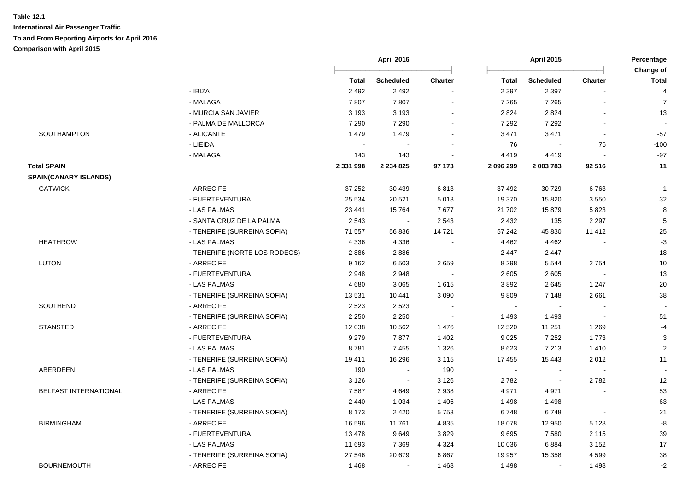|                              |                               | <b>April 2016</b> |                | <b>April 2015</b> |              |                  | Percentage<br><b>Change of</b> |                |
|------------------------------|-------------------------------|-------------------|----------------|-------------------|--------------|------------------|--------------------------------|----------------|
|                              |                               | <b>Total</b>      | Scheduled      | <b>Charter</b>    | <b>Total</b> | <b>Scheduled</b> | <b>Charter</b>                 | <b>Total</b>   |
|                              | - IBIZA                       | 2 4 9 2           | 2 4 9 2        |                   | 2 3 9 7      | 2 3 9 7          |                                | $\overline{4}$ |
|                              | - MALAGA                      | 7807              | 7807           |                   | 7 2 6 5      | 7 2 6 5          |                                | $\overline{7}$ |
|                              | - MURCIA SAN JAVIER           | 3 1 9 3           | 3 1 9 3        |                   | 2 8 2 4      | 2 8 2 4          |                                | 13             |
|                              | - PALMA DE MALLORCA           | 7 2 9 0           | 7 2 9 0        |                   | 7 2 9 2      | 7 2 9 2          | $\blacksquare$                 |                |
| SOUTHAMPTON                  | - ALICANTE                    | 1 4 7 9           | 1479           |                   | 3 4 7 1      | 3 4 7 1          | $\blacksquare$                 | $-57$          |
|                              | - LIEIDA                      |                   |                |                   | 76           |                  | 76                             | $-100$         |
|                              | - MALAGA                      | 143               | 143            |                   | 4 4 1 9      | 4419             |                                | $-97$          |
| <b>Total SPAIN</b>           |                               | 2 331 998         | 2 2 3 4 8 2 5  | 97 173            | 2 096 299    | 2 003 783        | 92 516                         | 11             |
| <b>SPAIN(CANARY ISLANDS)</b> |                               |                   |                |                   |              |                  |                                |                |
| <b>GATWICK</b>               | - ARRECIFE                    | 37 25 2           | 30 439         | 6813              | 37 492       | 30 7 29          | 6763                           | $-1$           |
|                              | - FUERTEVENTURA               | 25 5 34           | 20 5 21        | 5 0 1 3           | 19 370       | 15 8 20          | 3550                           | 32             |
|                              | - LAS PALMAS                  | 23 4 41           | 15 7 64        | 7677              | 21 702       | 15879            | 5823                           | 8              |
|                              | - SANTA CRUZ DE LA PALMA      | 2543              | $\sim$         | 2 5 4 3           | 2 4 3 2      | 135              | 2 2 9 7                        | $\mathbf 5$    |
|                              | - TENERIFE (SURREINA SOFIA)   | 71 557            | 56 836         | 14721             | 57 242       | 45 830           | 11 412                         | 25             |
| <b>HEATHROW</b>              | - LAS PALMAS                  | 4 3 3 6           | 4 3 3 6        |                   | 4 4 6 2      | 4 4 6 2          |                                | $-3$           |
|                              | - TENERIFE (NORTE LOS RODEOS) | 2886              | 2886           |                   | 2 4 4 7      | 2 4 4 7          |                                | 18             |
| <b>LUTON</b>                 | - ARRECIFE                    | 9 1 6 2           | 6 5 0 3        | 2659              | 8 2 9 8      | 5 5 4 4          | 2754                           | 10             |
|                              | - FUERTEVENTURA               | 2948              | 2948           |                   | 2 6 0 5      | 2605             |                                | 13             |
|                              | - LAS PALMAS                  | 4680              | 3 0 6 5        | 1 6 1 5           | 3892         | 2645             | 1 2 4 7                        | 20             |
|                              | - TENERIFE (SURREINA SOFIA)   | 13531             | 10 441         | 3 0 9 0           | 9809         | 7 1 4 8          | 2661                           | 38             |
| SOUTHEND                     | - ARRECIFE                    | 2 5 2 3           | 2 5 2 3        |                   | $\sim$       |                  |                                |                |
|                              | - TENERIFE (SURREINA SOFIA)   | 2 2 5 0           | 2 2 5 0        |                   | 1 4 9 3      | 1493             |                                | 51             |
| <b>STANSTED</b>              | - ARRECIFE                    | 12 0 38           | 10 562         | 1 4 7 6           | 12 5 20      | 11 251           | 1 2 6 9                        | $-4$           |
|                              | - FUERTEVENTURA               | 9 2 7 9           | 7877           | 1 4 0 2           | 9 0 25       | 7 2 5 2          | 1773                           | $\sqrt{3}$     |
|                              | - LAS PALMAS                  | 8781              | 7 4 5 5        | 1 3 2 6           | 8 6 23       | 7 2 1 3          | 1410                           | $\overline{c}$ |
|                              | - TENERIFE (SURREINA SOFIA)   | 19411             | 16 29 6        | 3 1 1 5           | 17 455       | 15 4 43          | 2012                           | 11             |
| ABERDEEN                     | - LAS PALMAS                  | 190               | $\blacksquare$ | 190               | $\sim$       |                  |                                |                |
|                              | - TENERIFE (SURREINA SOFIA)   | 3 1 2 6           | $\sim$         | 3 1 2 6           | 2782         |                  | 2782                           | 12             |
| BELFAST INTERNATIONAL        | - ARRECIFE                    | 7587              | 4649           | 2 9 3 8           | 4 9 7 1      | 4971             |                                | 53             |
|                              | - LAS PALMAS                  | 2 4 4 0           | 1 0 3 4        | 1 4 0 6           | 1498         | 1498             |                                | 63             |
|                              | - TENERIFE (SURREINA SOFIA)   | 8 1 7 3           | 2 4 2 0        | 5753              | 6748         | 6748             | $\sim$                         | 21             |
| <b>BIRMINGHAM</b>            | - ARRECIFE                    | 16 596            | 11761          | 4 8 3 5           | 18 078       | 12 950           | 5 1 2 8                        | -8             |
|                              | - FUERTEVENTURA               | 13 4 78           | 9649           | 3829              | 9695         | 7580             | 2 1 1 5                        | 39             |
|                              | - LAS PALMAS                  | 11 693            | 7 3 6 9        | 4 3 2 4           | 10 036       | 6884             | 3 1 5 2                        | 17             |
|                              | - TENERIFE (SURREINA SOFIA)   | 27 546            | 20 679         | 6867              | 19 957       | 15 3 58          | 4599                           | 38             |
| <b>BOURNEMOUTH</b>           | - ARRECIFE                    | 1468              | $\blacksquare$ | 1468              | 1498         |                  | 1498                           | $-2$           |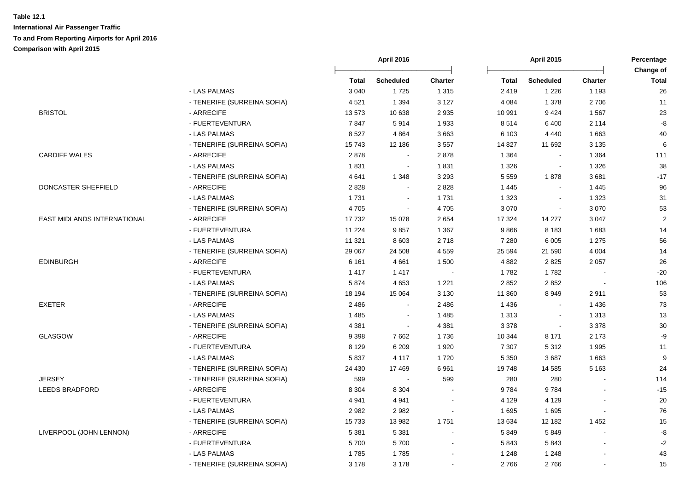|                             |                             | April 2016 |                  | <b>April 2015</b> |         |                  | Percentage<br>Change of |              |
|-----------------------------|-----------------------------|------------|------------------|-------------------|---------|------------------|-------------------------|--------------|
|                             |                             | Total      | <b>Scheduled</b> | <b>Charter</b>    | Total   | <b>Scheduled</b> | <b>Charter</b>          | <b>Total</b> |
|                             | - LAS PALMAS                | 3 0 4 0    | 1725             | 1 3 1 5           | 2 4 1 9 | 1 2 2 6          | 1 1 9 3                 | 26           |
|                             | - TENERIFE (SURREINA SOFIA) | 4521       | 1 3 9 4          | 3 1 2 7           | 4 0 8 4 | 1 3 7 8          | 2706                    | 11           |
| <b>BRISTOL</b>              | - ARRECIFE                  | 13573      | 10 638           | 2 9 3 5           | 10 991  | 9424             | 1567                    | 23           |
|                             | - FUERTEVENTURA             | 7847       | 5914             | 1933              | 8514    | 6 4 0 0          | 2 1 1 4                 | $\mbox{-}8$  |
|                             | - LAS PALMAS                | 8527       | 4864             | 3 6 6 3           | 6 1 0 3 | 4 4 4 0          | 1663                    | 40           |
|                             | - TENERIFE (SURREINA SOFIA) | 15743      | 12 186           | 3 5 5 7           | 14 827  | 11 692           | 3 1 3 5                 | $\,6\,$      |
| <b>CARDIFF WALES</b>        | - ARRECIFE                  | 2878       | $\sim$           | 2878              | 1 3 6 4 | $\blacksquare$   | 1 3 6 4                 | 111          |
|                             | - LAS PALMAS                | 1831       | $\sim$           | 1831              | 1 3 2 6 | $\blacksquare$   | 1 3 2 6                 | 38           |
|                             | - TENERIFE (SURREINA SOFIA) | 4641       | 1 3 4 8          | 3 2 9 3           | 5 5 5 9 | 1878             | 3681                    | $-17$        |
| DONCASTER SHEFFIELD         | - ARRECIFE                  | 2828       | $\mathbf{r}$     | 2828              | 1 4 4 5 | $\mathbf{r}$     | 1445                    | 96           |
|                             | - LAS PALMAS                | 1731       | $\mathbf{r}$     | 1731              | 1 3 2 3 | $\blacksquare$   | 1 3 2 3                 | 31           |
|                             | - TENERIFE (SURREINA SOFIA) | 4705       | $\blacksquare$   | 4705              | 3 0 7 0 |                  | 3 0 7 0                 | 53           |
| EAST MIDLANDS INTERNATIONAL | - ARRECIFE                  | 17732      | 15 0 78          | 2654              | 17 324  | 14 277           | 3 0 4 7                 | $\sqrt{2}$   |
|                             | - FUERTEVENTURA             | 11 2 24    | 9857             | 1 3 6 7           | 9866    | 8 1 8 3          | 1683                    | 14           |
|                             | - LAS PALMAS                | 11 321     | 8 6 0 3          | 2718              | 7 2 8 0 | 6 0 0 5          | 1 2 7 5                 | 56           |
|                             | - TENERIFE (SURREINA SOFIA) | 29 067     | 24 508           | 4 5 5 9           | 25 5 94 | 21 590           | 4 0 0 4                 | 14           |
| <b>EDINBURGH</b>            | - ARRECIFE                  | 6 1 6 1    | 4661             | 1 500             | 4 8 8 2 | 2825             | 2 0 5 7                 | $26\,$       |
|                             | - FUERTEVENTURA             | 1417       | 1417             |                   | 1782    | 1782             |                         | $-20$        |
|                             | - LAS PALMAS                | 5874       | 4653             | 1 2 2 1           | 2 8 5 2 | 2 8 5 2          |                         | 106          |
|                             | - TENERIFE (SURREINA SOFIA) | 18 194     | 15 0 64          | 3 1 3 0           | 11 860  | 8949             | 2911                    | 53           |
| <b>EXETER</b>               | - ARRECIFE                  | 2 4 8 6    | $\blacksquare$   | 2 4 8 6           | 1 4 3 6 | $\sim$           | 1436                    | 73           |
|                             | - LAS PALMAS                | 1 4 8 5    | $\blacksquare$   | 1 4 8 5           | 1 3 1 3 | $\blacksquare$   | 1 3 1 3                 | 13           |
|                             | - TENERIFE (SURREINA SOFIA) | 4 3 8 1    | $\blacksquare$   | 4 3 8 1           | 3 3 7 8 | $\blacksquare$   | 3 3 7 8                 | 30           |
| <b>GLASGOW</b>              | - ARRECIFE                  | 9 3 9 8    | 7662             | 1736              | 10 344  | 8 1 7 1          | 2 1 7 3                 | -9           |
|                             | - FUERTEVENTURA             | 8 1 2 9    | 6 2 0 9          | 1920              | 7 3 0 7 | 5 3 1 2          | 1995                    | 11           |
|                             | - LAS PALMAS                | 5837       | 4 1 1 7          | 1720              | 5 3 5 0 | 3687             | 1 6 6 3                 | 9            |
|                             | - TENERIFE (SURREINA SOFIA) | 24 4 30    | 17 469           | 6961              | 19748   | 14 5 85          | 5 1 6 3                 | 24           |
| <b>JERSEY</b>               | - TENERIFE (SURREINA SOFIA) | 599        | $\sim$           | 599               | 280     | 280              |                         | 114          |
| <b>LEEDS BRADFORD</b>       | - ARRECIFE                  | 8 3 0 4    | 8 3 0 4          |                   | 9784    | 9784             |                         | $-15$        |
|                             | - FUERTEVENTURA             | 4 9 4 1    | 4 9 4 1          | $\sim$            | 4 1 2 9 | 4 1 2 9          |                         | 20           |
|                             | - LAS PALMAS                | 2982       | 2982             | $\sim$            | 1 6 9 5 | 1695             |                         | 76           |
|                             | - TENERIFE (SURREINA SOFIA) | 15733      | 13 982           | 1751              | 13 634  | 12 182           | 1452                    | 15           |
| LIVERPOOL (JOHN LENNON)     | - ARRECIFE                  | 5 3 8 1    | 5 3 8 1          |                   | 5849    | 5849             |                         | -8           |
|                             | - FUERTEVENTURA             | 5700       | 5700             |                   | 5843    | 5843             |                         | $-2$         |
|                             | - LAS PALMAS                | 1785       | 1785             |                   | 1 2 4 8 | 1 2 4 8          |                         | 43           |
|                             | - TENERIFE (SURREINA SOFIA) | 3 1 7 8    | 3 1 7 8          |                   | 2766    | 2766             |                         | 15           |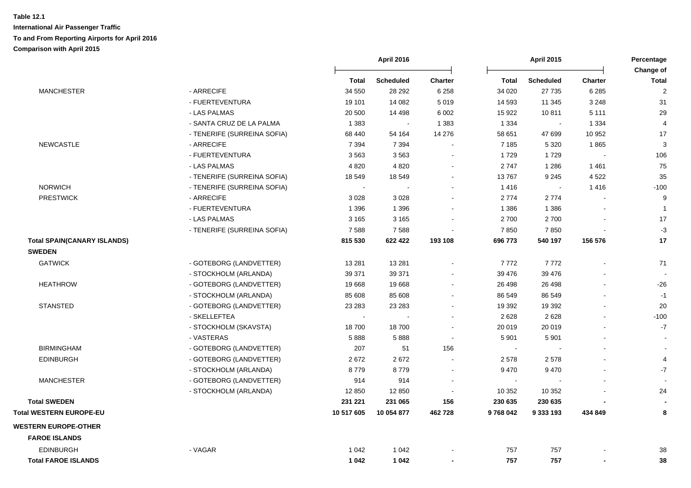|                                    |                               |                   | <b>April 2016</b>           |                           |                         | <b>April 2015</b>          |                                  |                                |
|------------------------------------|-------------------------------|-------------------|-----------------------------|---------------------------|-------------------------|----------------------------|----------------------------------|--------------------------------|
|                                    |                               |                   |                             |                           |                         |                            |                                  | Change of                      |
| <b>MANCHESTER</b>                  | - ARRECIFE                    | Total<br>34 550   | <b>Scheduled</b><br>28 29 2 | <b>Charter</b><br>6 2 5 8 | <b>Total</b><br>34 0 20 | <b>Scheduled</b><br>27 735 | <b>Charter</b><br>6 2 8 5        | <b>Total</b><br>$\overline{2}$ |
|                                    | - FUERTEVENTURA               | 19 101            | 14 082                      | 5 0 1 9                   | 14 593                  | 11 345                     | 3 2 4 8                          | 31                             |
|                                    | - LAS PALMAS                  |                   |                             |                           |                         |                            | 5 1 1 1                          |                                |
|                                    |                               | 20 500<br>1 3 8 3 | 14 4 98<br>$\sim$           | 6 0 0 2                   | 15 922                  | 10811<br>$\sim$            |                                  | 29<br>$\overline{4}$           |
|                                    | - SANTA CRUZ DE LA PALMA      |                   |                             | 1 3 8 3<br>14 276         | 1 3 3 4                 | 47 699                     | 1 3 3 4                          | 17                             |
| <b>NEWCASTLE</b>                   | - TENERIFE (SURREINA SOFIA)   | 68 440<br>7 3 9 4 | 54 164                      |                           | 58 651                  |                            | 10 952                           |                                |
|                                    | - ARRECIFE<br>- FUERTEVENTURA | 3563              | 7 3 9 4<br>3563             | $\sim$<br>$\blacksquare$  | 7 1 8 5                 | 5 3 2 0<br>1729            | 1865<br>$\overline{\phantom{a}}$ | 3<br>106                       |
|                                    |                               |                   |                             | $\sim$                    | 1729                    |                            |                                  | 75                             |
|                                    | - LAS PALMAS                  | 4 8 20            | 4 8 20                      |                           | 2747                    | 1 2 8 6                    | 1461                             |                                |
|                                    | - TENERIFE (SURREINA SOFIA)   | 18 549            | 18 549<br>$\sim$            | $\sim$<br>$\sim$          | 13767                   | 9 2 4 5                    | 4 5 22                           | 35                             |
| <b>NORWICH</b>                     | - TENERIFE (SURREINA SOFIA)   | $\sim$            |                             |                           | 1416                    | $\sim$                     | 1416                             | $-100$                         |
| <b>PRESTWICK</b>                   | - ARRECIFE                    | 3 0 28            | 3 0 28                      | $\sim$                    | 2774                    | 2774                       |                                  | 9                              |
|                                    | - FUERTEVENTURA               | 1 3 9 6           | 1 3 9 6                     | $\sim$                    | 1 3 8 6                 | 1 3 8 6                    |                                  | $\overline{1}$                 |
|                                    | - LAS PALMAS                  | 3 1 6 5           | 3 1 6 5                     | $\sim$                    | 2700                    | 2700                       | $\blacksquare$                   | 17                             |
|                                    | - TENERIFE (SURREINA SOFIA)   | 7588              | 7588                        | $\blacksquare$            | 7850                    | 7850                       |                                  | $-3$                           |
| <b>Total SPAIN(CANARY ISLANDS)</b> |                               | 815 530           | 622 422                     | 193 108                   | 696 773                 | 540 197                    | 156 576                          | 17                             |
| <b>SWEDEN</b>                      |                               |                   |                             |                           |                         |                            |                                  |                                |
| <b>GATWICK</b>                     | - GOTEBORG (LANDVETTER)       | 13 2 8 1          | 13 2 8 1                    | $\blacksquare$            | 7772                    | 7772                       |                                  | 71                             |
|                                    | - STOCKHOLM (ARLANDA)         | 39 371            | 39 371                      | $\sim$                    | 39 476                  | 39 476                     |                                  |                                |
| <b>HEATHROW</b>                    | - GOTEBORG (LANDVETTER)       | 19668             | 19668                       | $\sim$                    | 26 498                  | 26 498                     | $\blacksquare$                   | $-26$                          |
|                                    | - STOCKHOLM (ARLANDA)         | 85 608            | 85 608                      | $\sim$                    | 86 549                  | 86 549                     | $\blacksquare$                   | $-1$                           |
| <b>STANSTED</b>                    | - GOTEBORG (LANDVETTER)       | 23 28 3           | 23 28 3                     | $\sim$                    | 19 3 9 2                | 19 3 9 2                   | $\blacksquare$                   | 20                             |
|                                    | - SKELLEFTEA                  |                   |                             | $\sim$                    | 2628                    | 2628                       |                                  | $-100$                         |
|                                    | - STOCKHOLM (SKAVSTA)         | 18700             | 18700                       | $\overline{\phantom{a}}$  | 20 019                  | 20 019                     | $\blacksquare$                   | $-7$                           |
|                                    | - VASTERAS                    | 5888              | 5888                        | $\sim$                    | 5 9 0 1                 | 5 9 0 1                    | $\blacksquare$                   | $\sim$                         |
| <b>BIRMINGHAM</b>                  | - GOTEBORG (LANDVETTER)       | 207               | 51                          | 156                       | $\sim$                  |                            | $\overline{a}$                   | $\sim$                         |
| <b>EDINBURGH</b>                   | - GOTEBORG (LANDVETTER)       | 2672              | 2672                        | $\sim$                    | 2578                    | 2578                       | $\blacksquare$                   | $\overline{4}$                 |
|                                    | - STOCKHOLM (ARLANDA)         | 8779              | 8779                        | $\sim$                    | 9470                    | 9 4 7 0                    | $\blacksquare$                   | $-7$                           |
| <b>MANCHESTER</b>                  | - GOTEBORG (LANDVETTER)       | 914               | 914                         |                           | $\sim$                  |                            |                                  |                                |
|                                    | - STOCKHOLM (ARLANDA)         | 12 850            | 12 850                      |                           | 10 352                  | 10 352                     |                                  | 24                             |
| <b>Total SWEDEN</b>                |                               | 231 221           | 231 065                     | 156                       | 230 635                 | 230 635                    |                                  |                                |
| <b>Total WESTERN EUROPE-EU</b>     |                               | 10 517 605        | 10 054 877                  | 462728                    | 9768042                 | 9 333 193                  | 434 849                          | 8                              |
| <b>WESTERN EUROPE-OTHER</b>        |                               |                   |                             |                           |                         |                            |                                  |                                |
| <b>FAROE ISLANDS</b>               |                               |                   |                             |                           |                         |                            |                                  |                                |
| <b>EDINBURGH</b>                   | - VAGAR                       | 1 0 4 2           | 1 0 4 2                     |                           | 757                     | 757                        |                                  | 38                             |
| <b>Total FAROE ISLANDS</b>         |                               | 1 0 4 2           | 1 0 4 2                     | $\blacksquare$            | 757                     | 757                        |                                  | 38                             |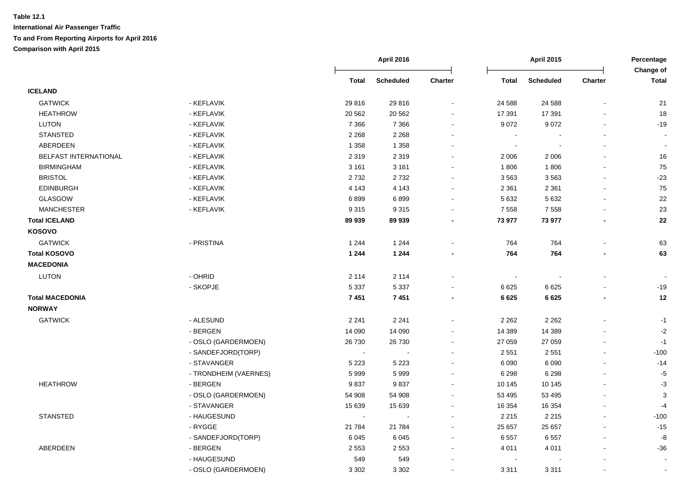|                        |                       |         | <b>April 2016</b> |                |                          | <b>April 2015</b> |         |                           |
|------------------------|-----------------------|---------|-------------------|----------------|--------------------------|-------------------|---------|---------------------------|
|                        |                       | Total   | <b>Scheduled</b>  | Charter        | <b>Total</b>             | <b>Scheduled</b>  | Charter | Change of<br><b>Total</b> |
| <b>ICELAND</b>         |                       |         |                   |                |                          |                   |         |                           |
| <b>GATWICK</b>         | - KEFLAVIK            | 29 816  | 29 816            |                | 24 5 88                  | 24 5 88           |         | 21                        |
| <b>HEATHROW</b>        | - KEFLAVIK            | 20 5 62 | 20 5 62           |                | 17 391                   | 17 391            |         | 18                        |
| <b>LUTON</b>           | - KEFLAVIK            | 7 3 6 6 | 7 3 6 6           | $\blacksquare$ | 9 0 7 2                  | 9 0 7 2           |         | $-19$                     |
| <b>STANSTED</b>        | - KEFLAVIK            | 2 2 6 8 | 2 2 6 8           | $\blacksquare$ | $\sim$                   |                   |         |                           |
| ABERDEEN               | - KEFLAVIK            | 1 3 5 8 | 1 3 5 8           |                | $\sim$                   |                   |         | $\tilde{\phantom{a}}$     |
| BELFAST INTERNATIONAL  | - KEFLAVIK            | 2 3 1 9 | 2 3 1 9           | $\mathbf{r}$   | 2 0 0 6                  | 2 0 0 6           |         | $16\,$                    |
| <b>BIRMINGHAM</b>      | - KEFLAVIK            | 3 1 6 1 | 3 1 6 1           | $\mathbf{r}$   | 1806                     | 1806              |         | 75                        |
| <b>BRISTOL</b>         | - KEFLAVIK            | 2732    | 2732              | $\blacksquare$ | 3563                     | 3563              |         | $-23$                     |
| <b>EDINBURGH</b>       | - KEFLAVIK            | 4 1 4 3 | 4 1 4 3           | $\blacksquare$ | 2 3 6 1                  | 2 3 6 1           |         | 75                        |
| <b>GLASGOW</b>         | - KEFLAVIK            | 6899    | 6899              |                | 5 6 3 2                  | 5 6 3 2           |         | 22                        |
| <b>MANCHESTER</b>      | - KEFLAVIK            | 9315    | 9315              |                | 7 5 5 8                  | 7 5 5 8           |         | 23                        |
| <b>Total ICELAND</b>   |                       | 89 939  | 89 939            |                | 73 977                   | 73 977            |         | 22                        |
| KOSOVO                 |                       |         |                   |                |                          |                   |         |                           |
| <b>GATWICK</b>         | - PRISTINA            | 1 2 4 4 | 1 2 4 4           |                | 764                      | 764               |         | 63                        |
| <b>Total KOSOVO</b>    |                       | 1 2 4 4 | 1 2 4 4           |                | 764                      | 764               |         | 63                        |
| <b>MACEDONIA</b>       |                       |         |                   |                |                          |                   |         |                           |
| <b>LUTON</b>           | - OHRID               | 2 1 1 4 | 2 1 1 4           |                | $\overline{\phantom{a}}$ |                   |         |                           |
|                        | - SKOPJE              | 5 3 3 7 | 5 3 3 7           |                | 6 6 2 5                  | 6 6 2 5           |         | $-19$                     |
| <b>Total MACEDONIA</b> |                       | 7451    | 7451              | $\blacksquare$ | 6625                     | 6625              |         | 12                        |
| <b>NORWAY</b>          |                       |         |                   |                |                          |                   |         |                           |
| <b>GATWICK</b>         | - ALESUND             | 2 2 4 1 | 2 2 4 1           | $\blacksquare$ | 2 2 6 2                  | 2 2 6 2           |         | $-1$                      |
|                        | - BERGEN              | 14 090  | 14 090            |                | 14 389                   | 14 3 89           |         | $-2$                      |
|                        | - OSLO (GARDERMOEN)   | 26 730  | 26 730            | $\blacksquare$ | 27 059                   | 27 059            |         | $-1$                      |
|                        | - SANDEFJORD(TORP)    |         |                   | ÷              | 2 5 5 1                  | 2 5 5 1           |         | $-100$                    |
|                        | - STAVANGER           | 5 2 2 3 | 5 2 2 3           | $\blacksquare$ | 6 0 9 0                  | 6 0 9 0           |         | $-14$                     |
|                        | - TRONDHEIM (VAERNES) | 5999    | 5999              | $\blacksquare$ | 6 2 9 8                  | 6 2 9 8           |         | $-5$                      |
| <b>HEATHROW</b>        | - BERGEN              | 9837    | 9837              | $\blacksquare$ | 10 145                   | 10 145            |         | $-3$                      |
|                        | - OSLO (GARDERMOEN)   | 54 908  | 54 908            |                | 53 495                   | 53 495            |         | 3                         |
|                        | - STAVANGER           | 15 639  | 15 639            | $\blacksquare$ | 16 354                   | 16 354            |         | $-4$                      |
| <b>STANSTED</b>        | - HAUGESUND           | $\sim$  | $\sim$            | $\blacksquare$ | 2 2 1 5                  | 2 2 1 5           |         | $-100$                    |
|                        | - RYGGE               | 21 7 84 | 21 7 84           | $\blacksquare$ | 25 657                   | 25 657            |         | $-15$                     |
|                        | - SANDEFJORD(TORP)    | 6045    | 6045              | $\sim$         | 6557                     | 6557              |         | -8                        |
| ABERDEEN               | - BERGEN              | 2 5 5 3 | 2 5 5 3           | $\blacksquare$ | 4 0 1 1                  | 4 0 1 1           |         | $-36$                     |
|                        |                       |         |                   |                |                          |                   |         |                           |
|                        | - HAUGESUND           | 549     | 549               |                | $\blacksquare$           |                   |         | $\sim$                    |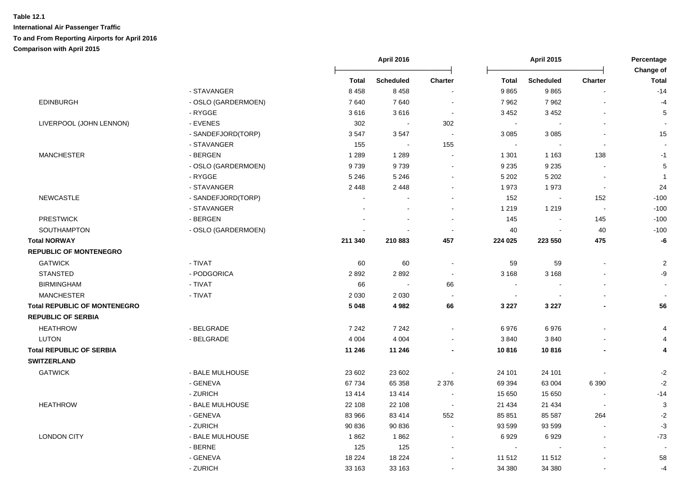| <b>EDINBURGH</b><br>LIVERPOOL (JOHN LENNON) | - STAVANGER<br>- OSLO (GARDERMOEN)<br>- RYGGE<br>- EVENES<br>- SANDEFJORD(TORP)<br>- STAVANGER | <b>Total</b><br>8 4 5 8<br>7640<br>3616<br>302 | <b>Scheduled</b><br>8458<br>7640<br>3616 | <b>Charter</b><br>$\sim$ | <b>Total</b><br>9865<br>7962 | <b>Scheduled</b><br>9865 | <b>Charter</b>           | Change of<br><b>Total</b><br>$-14$ |
|---------------------------------------------|------------------------------------------------------------------------------------------------|------------------------------------------------|------------------------------------------|--------------------------|------------------------------|--------------------------|--------------------------|------------------------------------|
|                                             |                                                                                                |                                                |                                          |                          |                              |                          |                          |                                    |
|                                             |                                                                                                |                                                |                                          |                          |                              |                          |                          |                                    |
|                                             |                                                                                                |                                                |                                          |                          |                              | 7962                     |                          | $-4$                               |
|                                             |                                                                                                |                                                |                                          | $\blacksquare$           | 3 4 5 2                      | 3 4 5 2                  |                          | 5                                  |
|                                             |                                                                                                |                                                | $\sim$                                   | 302                      | $\sim$                       |                          |                          |                                    |
|                                             |                                                                                                | 3547                                           | 3547                                     | $\sim$                   | 3 0 8 5                      | 3 0 8 5                  |                          | 15                                 |
|                                             |                                                                                                | 155                                            | $\sim$                                   | 155                      | $\sim$                       |                          | $\sim$                   | $\sim$                             |
| <b>MANCHESTER</b>                           | - BERGEN                                                                                       | 1 2 8 9                                        | 1 2 8 9                                  |                          | 1 3 0 1                      | 1 1 6 3                  | 138                      | $-1$                               |
|                                             | - OSLO (GARDERMOEN)                                                                            | 9739                                           | 9739                                     | $\blacksquare$           | 9 2 3 5                      | 9 2 3 5                  |                          | $\sqrt{5}$                         |
|                                             | - RYGGE                                                                                        | 5 2 4 6                                        | 5 2 4 6                                  | $\blacksquare$           | 5 2 0 2                      | 5 2 0 2                  |                          | $\overline{1}$                     |
|                                             | - STAVANGER                                                                                    | 2 4 4 8                                        | 2 4 4 8                                  |                          | 1973                         | 1973                     |                          | 24                                 |
| <b>NEWCASTLE</b>                            | - SANDEFJORD(TORP)                                                                             | $\sim$                                         |                                          |                          | 152                          | $\sim$                   | 152                      | $-100$                             |
|                                             | - STAVANGER                                                                                    |                                                |                                          |                          | 1 2 1 9                      | 1 2 1 9                  | $\sim$                   | $-100$                             |
| <b>PRESTWICK</b>                            | - BERGEN                                                                                       |                                                | $\sim$                                   | $\sim$                   | 145                          | $\blacksquare$           | 145                      | $-100$                             |
| SOUTHAMPTON                                 | - OSLO (GARDERMOEN)                                                                            |                                                | $\overline{\phantom{a}}$                 | $\blacksquare$           | 40                           |                          | 40                       | $-100$                             |
| <b>Total NORWAY</b>                         |                                                                                                | 211 340                                        | 210 883                                  | 457                      | 224 025                      | 223 550                  | 475                      | -6                                 |
| <b>REPUBLIC OF MONTENEGRO</b>               |                                                                                                |                                                |                                          |                          |                              |                          |                          |                                    |
| <b>GATWICK</b>                              | - TIVAT                                                                                        | 60                                             | 60                                       | $\sim$                   | 59                           | 59                       | $\sim$                   | $\sqrt{2}$                         |
| <b>STANSTED</b>                             | - PODGORICA                                                                                    | 2892                                           | 2892                                     | $\blacksquare$           | 3 1 6 8                      | 3 1 6 8                  |                          | -9                                 |
| <b>BIRMINGHAM</b>                           | - TIVAT                                                                                        | 66                                             | $\sim$                                   | 66                       | $\blacksquare$               |                          |                          | $\sim$                             |
| <b>MANCHESTER</b>                           | - TIVAT                                                                                        | 2 0 3 0                                        | 2 0 3 0                                  |                          | $\blacksquare$               |                          |                          | $\overline{\phantom{a}}$           |
| <b>Total REPUBLIC OF MONTENEGRO</b>         |                                                                                                | 5 0 4 8                                        | 4982                                     | 66                       | 3 2 2 7                      | 3 2 2 7                  |                          | 56                                 |
| <b>REPUBLIC OF SERBIA</b>                   |                                                                                                |                                                |                                          |                          |                              |                          |                          |                                    |
| <b>HEATHROW</b>                             | - BELGRADE                                                                                     | 7 2 4 2                                        | 7 2 4 2                                  |                          | 6976                         | 6976                     |                          | 4                                  |
| LUTON                                       | - BELGRADE                                                                                     | 4 0 0 4                                        | 4 0 0 4                                  |                          | 3840                         | 3840                     |                          | $\overline{4}$                     |
| <b>Total REPUBLIC OF SERBIA</b>             |                                                                                                | 11 246                                         | 11 246                                   |                          | 10816                        | 10816                    |                          | 4                                  |
| <b>SWITZERLAND</b>                          |                                                                                                |                                                |                                          |                          |                              |                          |                          |                                    |
| <b>GATWICK</b>                              | - BALE MULHOUSE                                                                                | 23 602                                         | 23 602                                   |                          | 24 101                       | 24 101                   |                          | $-2$                               |
|                                             | - GENEVA                                                                                       | 67 734                                         | 65 358                                   | 2 3 7 6                  | 69 394                       | 63 004                   | 6 3 9 0                  | $-2$                               |
|                                             | - ZURICH                                                                                       | 13414                                          | 13414                                    |                          | 15 650                       | 15 650                   |                          | $-14$                              |
| <b>HEATHROW</b>                             | - BALE MULHOUSE                                                                                | 22 108                                         | 22 108                                   | $\sim$                   | 21 4 34                      | 21 4 34                  | $\sim$                   | $\mathbf{3}$                       |
|                                             | - GENEVA                                                                                       | 83 966                                         | 83 414                                   | 552                      | 85 851                       | 85 587                   | 264                      | $-2$                               |
|                                             | - ZURICH                                                                                       | 90 836                                         | 90 836                                   | $\sim$                   | 93 599                       | 93 599                   | $\overline{\phantom{a}}$ | $-3$                               |
| <b>LONDON CITY</b>                          | - BALE MULHOUSE                                                                                | 1862                                           | 1862                                     | $\sim$                   | 6929                         | 6929                     | $\overline{\phantom{a}}$ | $-73$                              |
|                                             | - BERNE                                                                                        | 125                                            | 125                                      | $\blacksquare$           | $\sim$                       |                          |                          |                                    |
|                                             | - GENEVA                                                                                       | 18 2 24                                        | 18 2 24                                  | $\sim$                   | 11 512                       | 11 512                   |                          | 58                                 |
|                                             | - ZURICH                                                                                       | 33 163                                         | 33 163                                   |                          | 34 380                       | 34 380                   |                          | $-4$                               |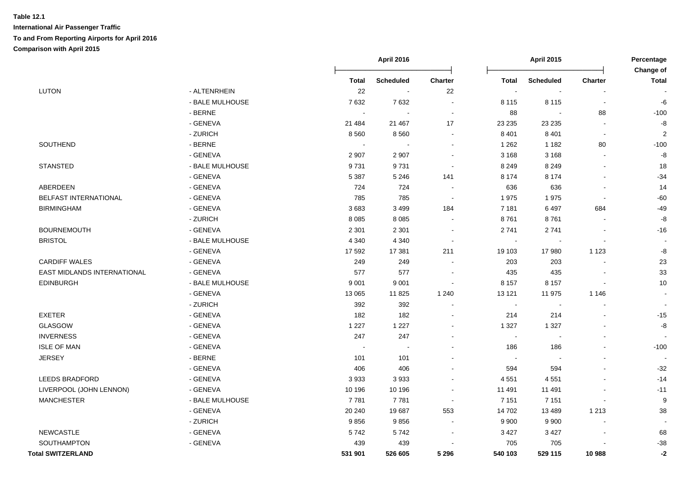|                             |                 | <b>April 2016</b> |                          | <b>April 2015</b> |              |                          | Percentage<br>Change of |                |
|-----------------------------|-----------------|-------------------|--------------------------|-------------------|--------------|--------------------------|-------------------------|----------------|
|                             |                 | <b>Total</b>      | <b>Scheduled</b>         | Charter           | <b>Total</b> | <b>Scheduled</b>         | Charter                 | <b>Total</b>   |
| <b>LUTON</b>                | - ALTENRHEIN    | 22                | $\sim$                   | 22                | $\sim$       | $\sim$                   |                         |                |
|                             | - BALE MULHOUSE | 7632              | 7632                     |                   | 8 1 1 5      | 8 1 1 5                  | $\sim$                  | -6             |
|                             | - BERNE         | $\sim$            |                          |                   | 88           | $\blacksquare$           | 88                      | $-100$         |
|                             | - GENEVA        | 21 484            | 21 4 67                  | 17                | 23 2 35      | 23 235                   |                         | -8             |
|                             | - ZURICH        | 8560              | 8560                     | $\sim$            | 8 4 0 1      | 8 4 0 1                  | $\sim$                  | $\overline{2}$ |
| SOUTHEND                    | - BERNE         | $\sim$            | $\blacksquare$           |                   | 1 2 6 2      | 1 1 8 2                  | 80                      | $-100$         |
|                             | - GENEVA        | 2 9 0 7           | 2 9 0 7                  |                   | 3 1 6 8      | 3 1 6 8                  |                         | -8             |
| <b>STANSTED</b>             | - BALE MULHOUSE | 9731              | 9731                     |                   | 8 2 4 9      | 8 2 4 9                  | $\blacksquare$          | 18             |
|                             | - GENEVA        | 5 3 8 7           | 5 2 4 6                  | 141               | 8 1 7 4      | 8 1 7 4                  |                         | $-34$          |
| ABERDEEN                    | - GENEVA        | 724               | 724                      |                   | 636          | 636                      |                         | 14             |
| BELFAST INTERNATIONAL       | - GENEVA        | 785               | 785                      |                   | 1975         | 1975                     |                         | $-60$          |
| <b>BIRMINGHAM</b>           | - GENEVA        | 3683              | 3 4 9 9                  | 184               | 7 1 8 1      | 6497                     | 684                     | $-49$          |
|                             | - ZURICH        | 8 0 8 5           | 8 0 8 5                  |                   | 8761         | 8761                     |                         | -8             |
| <b>BOURNEMOUTH</b>          | - GENEVA        | 2 3 0 1           | 2 3 0 1                  |                   | 2741         | 2741                     |                         | $-16$          |
| <b>BRISTOL</b>              | - BALE MULHOUSE | 4 3 4 0           | 4 3 4 0                  |                   |              |                          |                         |                |
|                             | - GENEVA        | 17 592            | 17 381                   | 211               | 19 103       | 17980                    | 1 1 2 3                 | -8             |
| <b>CARDIFF WALES</b>        | - GENEVA        | 249               | 249                      |                   | 203          | 203                      |                         | 23             |
| EAST MIDLANDS INTERNATIONAL | - GENEVA        | 577               | 577                      |                   | 435          | 435                      |                         | 33             |
| <b>EDINBURGH</b>            | - BALE MULHOUSE | 9 0 0 1           | 9 0 0 1                  |                   | 8 1 5 7      | 8 1 5 7                  |                         | 10             |
|                             | - GENEVA        | 13 065            | 11825                    | 1 2 4 0           | 13 121       | 11 975                   | 1 1 4 6                 |                |
|                             | - ZURICH        | 392               | 392                      |                   | $\sim$       | $\overline{\phantom{a}}$ | $\blacksquare$          |                |
| <b>EXETER</b>               | - GENEVA        | 182               | 182                      |                   | 214          | 214                      |                         | $-15$          |
| <b>GLASGOW</b>              | - GENEVA        | 1 2 2 7           | 1 2 2 7                  |                   | 1 3 2 7      | 1 3 2 7                  | $\overline{a}$          | -8             |
| <b>INVERNESS</b>            | - GENEVA        | 247               | 247                      |                   | $\sim$       | $\blacksquare$           |                         |                |
| <b>ISLE OF MAN</b>          | - GENEVA        | $\overline{a}$    | $\overline{\phantom{a}}$ |                   | 186          | 186                      |                         | $-100$         |
| <b>JERSEY</b>               | - BERNE         | 101               | 101                      |                   | $\sim$       | $\overline{\phantom{a}}$ | $\blacksquare$          |                |
|                             | - GENEVA        | 406               | 406                      |                   | 594          | 594                      |                         | $-32$          |
| <b>LEEDS BRADFORD</b>       | - GENEVA        | 3933              | 3933                     | $\sim$            | 4 5 5 1      | 4551                     |                         | $-14$          |
| LIVERPOOL (JOHN LENNON)     | - GENEVA        | 10 196            | 10 196                   | $\sim$            | 11 491       | 11 491                   |                         | $-11$          |
| <b>MANCHESTER</b>           | - BALE MULHOUSE | 7781              | 7 7 8 1                  | $\sim$            | 7 1 5 1      | 7 1 5 1                  | $\overline{a}$          | 9              |
|                             | - GENEVA        | 20 240            | 19687                    | 553               | 14 702       | 13 4 8 9                 | 1 2 1 3                 | 38             |
|                             | - ZURICH        | 9856              | 9856                     | $\sim$            | 9 9 0 0      | 9 9 0 0                  | $\overline{a}$          |                |
| NEWCASTLE                   | - GENEVA        | 5742              | 5742                     | $\sim$            | 3 4 2 7      | 3 4 2 7                  |                         | 68             |
| SOUTHAMPTON                 | - GENEVA        | 439               | 439                      |                   | 705          | 705                      |                         | $-38$          |
| <b>Total SWITZERLAND</b>    |                 | 531 901           | 526 605                  | 5 2 9 6           | 540 103      | 529 115                  | 10 988                  | $-2$           |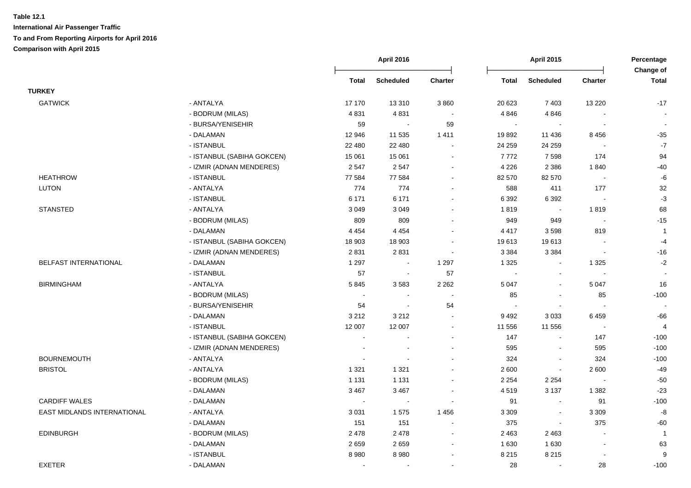|                             |                            |                             | April 2016               |                |                | <b>April 2015</b>     |                          | Percentage<br>Change of |  |
|-----------------------------|----------------------------|-----------------------------|--------------------------|----------------|----------------|-----------------------|--------------------------|-------------------------|--|
|                             |                            | Total                       | <b>Scheduled</b>         | <b>Charter</b> | <b>Total</b>   | <b>Scheduled</b>      | <b>Charter</b>           | <b>Total</b>            |  |
| <b>TURKEY</b>               |                            |                             |                          |                |                |                       |                          |                         |  |
| <b>GATWICK</b>              | - ANTALYA                  | 17 170                      | 13 3 10                  | 3 8 6 0        | 20 6 23        | 7 4 0 3               | 13 2 20                  | $-17$                   |  |
|                             | - BODRUM (MILAS)           | 4831                        | 4831                     |                | 4 8 4 6        | 4846                  |                          |                         |  |
|                             | - BURSA/YENISEHIR          | 59                          | $\blacksquare$           | 59             | $\sim$         | $\sim$                | $\sim$                   |                         |  |
|                             | - DALAMAN                  | 12 946                      | 11 535                   | 1 4 1 1        | 19892          | 11 436                | 8 4 5 6                  | $-35$                   |  |
|                             | - ISTANBUL                 | 22 480                      | 22 480                   |                | 24 259         | 24 259                |                          | $\mathbf{-7}$           |  |
|                             | - ISTANBUL (SABIHA GOKCEN) | 15 061                      | 15 061                   |                | 7772           | 7598                  | 174                      | 94                      |  |
|                             | - IZMIR (ADNAN MENDERES)   | 2 5 4 7                     | 2547                     |                | 4 2 2 6        | 2 3 8 6               | 1840                     | $-40$                   |  |
| <b>HEATHROW</b>             | - ISTANBUL                 | 77 584                      | 77 584                   | $\sim$         | 82 570         | 82 570                | $\sim$                   | -6                      |  |
| <b>LUTON</b>                | - ANTALYA                  | 774                         | 774                      |                | 588            | 411                   | 177                      | 32                      |  |
|                             | - ISTANBUL                 | 6 171                       | 6 171                    |                | 6 3 9 2        | 6 3 9 2               |                          | $-3$                    |  |
| <b>STANSTED</b>             | - ANTALYA                  | 3 0 4 9                     | 3 0 4 9                  |                | 1819           | $\sim$                | 1819                     | 68                      |  |
|                             | - BODRUM (MILAS)           | 809                         | 809                      |                | 949            | 949                   |                          | $-15$                   |  |
|                             | - DALAMAN                  | 4 4 5 4                     | 4 4 5 4                  |                | 4 4 1 7        | 3598                  | 819                      | $\overline{1}$          |  |
|                             | - ISTANBUL (SABIHA GOKCEN) | 18 903                      | 18 903                   |                | 19613          | 19613                 |                          | $-4$                    |  |
|                             | - IZMIR (ADNAN MENDERES)   | 2831                        | 2831                     |                | 3 3 8 4        | 3 3 8 4               |                          | $-16$                   |  |
| BELFAST INTERNATIONAL       | - DALAMAN                  | 1 2 9 7                     | $\blacksquare$           | 1 2 9 7        | 1 3 2 5        | $\sim$                | 1 3 2 5                  | $-2$                    |  |
|                             | - ISTANBUL                 | 57                          | $\sim$                   | 57             | $\sim$         | $\mathbf{r}$          | $\overline{a}$           |                         |  |
| <b>BIRMINGHAM</b>           | - ANTALYA                  | 5845                        | 3583                     | 2 2 6 2        | 5 0 4 7        | $\sim$                | 5 0 4 7                  | 16                      |  |
|                             | - BODRUM (MILAS)           | $\sim$                      | $\sim$                   |                | 85             | $\sim$                | 85                       | $-100$                  |  |
|                             | - BURSA/YENISEHIR          | 54                          | $\blacksquare$           | 54             | $\blacksquare$ | $\blacksquare$        | $\sim$                   |                         |  |
|                             | - DALAMAN                  | 3 2 1 2                     | 3 2 1 2                  | $\sim$         | 9492           | 3033                  | 6459                     | $-66$                   |  |
|                             | - ISTANBUL                 | 12 007                      | 12 007                   | $\sim$         | 11 556         | 11 556                | $\overline{\phantom{a}}$ | $\overline{4}$          |  |
|                             | - ISTANBUL (SABIHA GOKCEN) | $\mathbf{r}$                |                          |                | 147            | $\tilde{\phantom{a}}$ | 147                      | $-100$                  |  |
|                             | - IZMIR (ADNAN MENDERES)   | $\blacksquare$              | $\overline{\phantom{a}}$ | $\sim$         | 595            | $\blacksquare$        | 595                      | $-100$                  |  |
| <b>BOURNEMOUTH</b>          | - ANTALYA                  | $\blacksquare$              |                          |                | 324            | $\tilde{\phantom{a}}$ | 324                      | $-100$                  |  |
| <b>BRISTOL</b>              | - ANTALYA                  | 1 3 2 1                     | 1 3 2 1                  |                | 2 600          | $\blacksquare$        | 2 600                    | $-49$                   |  |
|                             | - BODRUM (MILAS)           | 1 1 3 1                     | 1 1 3 1                  |                | 2 2 5 4        | 2 2 5 4               |                          | $-50$                   |  |
|                             | - DALAMAN                  | 3 4 6 7                     | 3 4 6 7                  |                | 4519           | 3 1 3 7               | 1 3 8 2                  | $-23$                   |  |
| <b>CARDIFF WALES</b>        | - DALAMAN                  | $\mathcal{L}_{\mathcal{A}}$ | $\sim$                   |                | 91             | $\sim$                | 91                       | $-100$                  |  |
| EAST MIDLANDS INTERNATIONAL | - ANTALYA                  | 3 0 3 1                     | 1575                     | 1456           | 3 3 0 9        | $\blacksquare$        | 3 3 0 9                  | -8                      |  |
|                             | - DALAMAN                  | 151                         | 151                      | $\sim$         | 375            | $\sim$                | 375                      | $-60$                   |  |
| <b>EDINBURGH</b>            | - BODRUM (MILAS)           | 2 4 7 8                     | 2478                     | $\sim$         | 2 4 6 3        | 2 4 6 3               | $\blacksquare$           | $\mathbf{1}$            |  |
|                             | - DALAMAN                  | 2659                        | 2659                     |                | 1 6 3 0        | 1 6 3 0               | $\overline{\phantom{a}}$ | 63                      |  |
|                             | - ISTANBUL                 | 8980                        | 8980                     |                | 8 2 1 5        | 8 2 1 5               | $\overline{\phantom{a}}$ | 9                       |  |
| <b>EXETER</b>               | - DALAMAN                  |                             | $\blacksquare$           |                | 28             | $\tilde{\phantom{a}}$ | 28                       | $-100$                  |  |
|                             |                            |                             |                          |                |                |                       |                          |                         |  |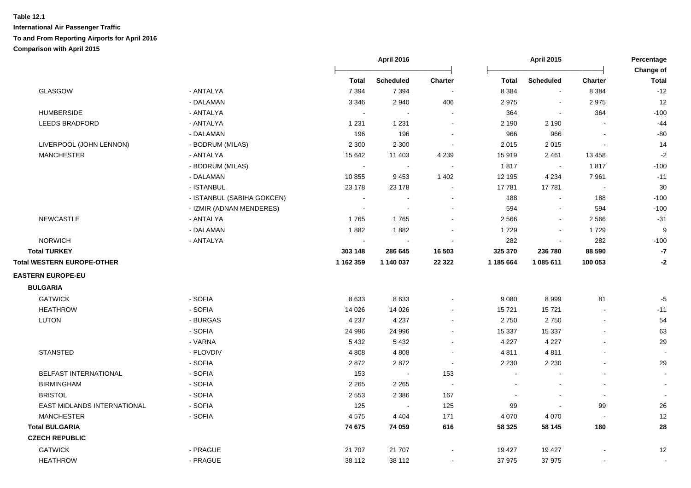|                                    |                            |                | <b>April 2016</b><br><b>April 2015</b> |                          | Percentage<br>Change of |                          |                          |              |
|------------------------------------|----------------------------|----------------|----------------------------------------|--------------------------|-------------------------|--------------------------|--------------------------|--------------|
|                                    |                            | <b>Total</b>   | <b>Scheduled</b>                       | <b>Charter</b>           | <b>Total</b>            | <b>Scheduled</b>         | <b>Charter</b>           | <b>Total</b> |
| GLASGOW                            | - ANTALYA                  | 7 3 9 4        | 7 3 9 4                                | $\overline{\phantom{a}}$ | 8 3 8 4                 | $\blacksquare$           | 8 3 8 4                  | $-12$        |
|                                    | - DALAMAN                  | 3 3 4 6        | 2 9 4 0                                | 406                      | 2975                    | $\blacksquare$           | 2975                     | 12           |
| <b>HUMBERSIDE</b>                  | - ANTALYA                  |                |                                        |                          | 364                     | $\blacksquare$           | 364                      | $-100$       |
| <b>LEEDS BRADFORD</b>              | - ANTALYA                  | 1 2 3 1        | 1 2 3 1                                |                          | 2 1 9 0                 | 2 1 9 0                  |                          | $-44$        |
|                                    | - DALAMAN                  | 196            | 196                                    |                          | 966                     | 966                      |                          | $-80$        |
| LIVERPOOL (JOHN LENNON)            | - BODRUM (MILAS)           | 2 3 0 0        | 2 3 0 0                                |                          | 2015                    | 2015                     |                          | 14           |
| <b>MANCHESTER</b>                  | - ANTALYA                  | 15 642         | 11 403                                 | 4 2 3 9                  | 15 919                  | 2 4 6 1                  | 13 4 58                  | $-2$         |
|                                    | - BODRUM (MILAS)           | $\blacksquare$ | $\sim$                                 |                          | 1817                    | $\sim$                   | 1817                     | $-100$       |
|                                    | - DALAMAN                  | 10855          | 9453                                   | 1 4 0 2                  | 12 195                  | 4 2 3 4                  | 7961                     | $-11$        |
|                                    | - ISTANBUL                 | 23 178         | 23 178                                 | $\sim$                   | 17 781                  | 17781                    | $\overline{\phantom{a}}$ | 30           |
|                                    | - ISTANBUL (SABIHA GOKCEN) |                |                                        | $\overline{\phantom{a}}$ | 188                     | $\blacksquare$           | 188                      | $-100$       |
|                                    | - IZMIR (ADNAN MENDERES)   | $\blacksquare$ |                                        | $\sim$                   | 594                     | $\blacksquare$           | 594                      | $-100$       |
| <b>NEWCASTLE</b>                   | - ANTALYA                  | 1765           | 1765                                   | $\sim$                   | 2 5 6 6                 | $\sim$                   | 2 5 6 6                  | $-31$        |
|                                    | - DALAMAN                  | 1882           | 1882                                   | $\overline{\phantom{a}}$ | 1729                    | $\blacksquare$           | 1729                     | 9            |
| <b>NORWICH</b>                     | - ANTALYA                  | $\blacksquare$ | $\blacksquare$                         |                          | 282                     | $\blacksquare$           | 282                      | $-100$       |
| <b>Total TURKEY</b>                |                            | 303 148        | 286 645                                | 16 503                   | 325 370                 | 236 780                  | 88 590                   | -7           |
| <b>Total WESTERN EUROPE-OTHER</b>  |                            | 1 162 359      | 1 140 037                              | 22 3 22                  | 1 185 664               | 1 085 611                | 100 053                  | $-2$         |
| <b>EASTERN EUROPE-EU</b>           |                            |                |                                        |                          |                         |                          |                          |              |
| <b>BULGARIA</b>                    |                            |                |                                        |                          |                         |                          |                          |              |
| <b>GATWICK</b>                     | - SOFIA                    | 8633           | 8633                                   |                          | 9 0 8 0                 | 8999                     | 81                       | $-5$         |
| <b>HEATHROW</b>                    | - SOFIA                    | 14 0 26        | 14 0 26                                |                          | 15721                   | 15721                    |                          | $-11$        |
| <b>LUTON</b>                       | - BURGAS                   | 4 2 3 7        | 4 2 3 7                                |                          | 2750                    | 2750                     |                          | 54           |
|                                    | - SOFIA                    | 24 996         | 24 996                                 |                          | 15 337                  | 15 3 37                  |                          | 63           |
|                                    | - VARNA                    | 5 4 3 2        | 5432                                   | $\overline{a}$           | 4 2 2 7                 | 4 2 2 7                  |                          | 29           |
| <b>STANSTED</b>                    | - PLOVDIV                  | 4 8 0 8        | 4 8 0 8                                | $\overline{\phantom{a}}$ | 4811                    | 4811                     |                          |              |
|                                    | - SOFIA                    | 2872           | 2872                                   | $\sim$                   | 2 2 3 0                 | 2 2 3 0                  |                          | 29           |
| <b>BELFAST INTERNATIONAL</b>       | - SOFIA                    | 153            | $\blacksquare$                         | 153                      |                         |                          |                          |              |
| <b>BIRMINGHAM</b>                  | - SOFIA                    | 2 2 6 5        | 2 2 6 5                                | $\sim$                   |                         | $\overline{\phantom{a}}$ |                          |              |
| <b>BRISTOL</b>                     | - SOFIA                    | 2 5 5 3        | 2 3 8 6                                | 167                      | $\blacksquare$          | $\blacksquare$           | $\sim$                   |              |
| <b>EAST MIDLANDS INTERNATIONAL</b> | - SOFIA                    | 125            | $\sim$                                 | 125                      | 99                      | $\blacksquare$           | 99                       | 26           |
| <b>MANCHESTER</b>                  | - SOFIA                    | 4575           | 4 4 0 4                                | 171                      | 4 0 7 0                 | 4 0 7 0                  | $\overline{\phantom{a}}$ | 12           |
| <b>Total BULGARIA</b>              |                            | 74 675         | 74 059                                 | 616                      | 58 325                  | 58 145                   | 180                      | 28           |
| <b>CZECH REPUBLIC</b>              |                            |                |                                        |                          |                         |                          |                          |              |
| <b>GATWICK</b>                     | - PRAGUE                   | 21 707         | 21 707                                 |                          | 19 427                  | 19 427                   |                          | 12           |
| <b>HEATHROW</b>                    | - PRAGUE                   | 38 112         | 38 112                                 | $\sim$                   | 37 975                  | 37 975                   |                          |              |
|                                    |                            |                |                                        |                          |                         |                          |                          |              |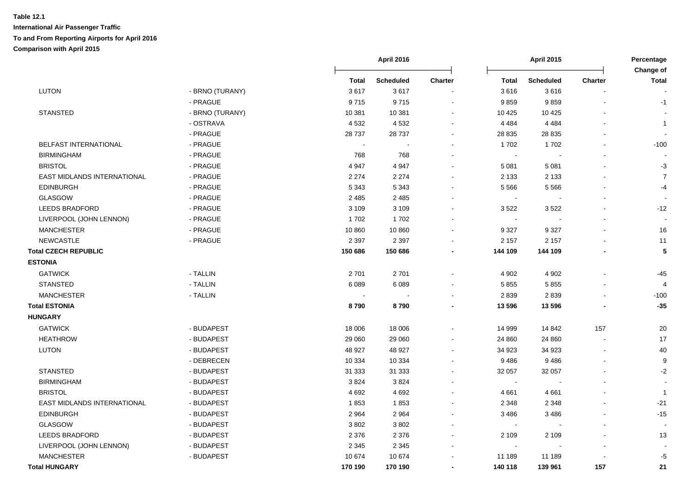|                              |                 |                | April 2016 |         | <b>April 2015</b> |                  | Percentage     |                           |
|------------------------------|-----------------|----------------|------------|---------|-------------------|------------------|----------------|---------------------------|
|                              |                 | Total          | Scheduled  | Charter | <b>Total</b>      | <b>Scheduled</b> | <b>Charter</b> | Change of<br><b>Total</b> |
| LUTON                        | - BRNO (TURANY) | 3617           | 3617       |         | 3616              | 3616             |                |                           |
|                              | - PRAGUE        | 9715           | 9715       |         | 9859              | 9859             |                | $-1$                      |
| <b>STANSTED</b>              | - BRNO (TURANY) | 10 381         | 10 381     |         | 10 4 25           | 10 4 25          |                |                           |
|                              | - OSTRAVA       | 4532           | 4532       |         | 4 4 8 4           | 4 4 8 4          |                | $\mathbf{1}$              |
|                              | - PRAGUE        | 28 7 37        | 28 7 37    |         | 28 8 35           | 28 8 35          |                |                           |
| <b>BELFAST INTERNATIONAL</b> | - PRAGUE        | $\blacksquare$ | ÷,         |         | 1702              | 1702             |                | $-100$                    |
| <b>BIRMINGHAM</b>            | - PRAGUE        | 768            | 768        |         | $\sim$            |                  |                |                           |
| <b>BRISTOL</b>               | - PRAGUE        | 4 9 4 7        | 4 9 4 7    |         | 5 0 8 1           | 5 0 8 1          |                | $-3$                      |
| EAST MIDLANDS INTERNATIONAL  | - PRAGUE        | 2 2 7 4        | 2 2 7 4    |         | 2 1 3 3           | 2 1 3 3          |                | $\overline{7}$            |
| <b>EDINBURGH</b>             | - PRAGUE        | 5 3 4 3        | 5 3 4 3    |         | 5 5 6 6           | 5566             |                | $-4$                      |
| <b>GLASGOW</b>               | - PRAGUE        | 2 4 8 5        | 2 4 8 5    |         | $\sim$            |                  |                |                           |
| <b>LEEDS BRADFORD</b>        | - PRAGUE        | 3 1 0 9        | 3 1 0 9    |         | 3522              | 3522             | L,             | $-12$                     |
| LIVERPOOL (JOHN LENNON)      | - PRAGUE        | 1702           | 1702       |         | $\sim$            |                  |                |                           |
| <b>MANCHESTER</b>            | - PRAGUE        | 10 860         | 10 860     |         | 9 3 2 7           | 9 3 2 7          |                | 16                        |
| NEWCASTLE                    | - PRAGUE        | 2 3 9 7        | 2 3 9 7    |         | 2 1 5 7           | 2 1 5 7          |                | 11                        |
| <b>Total CZECH REPUBLIC</b>  |                 | 150 686        | 150 686    |         | 144 109           | 144 109          |                | 5                         |
| <b>ESTONIA</b>               |                 |                |            |         |                   |                  |                |                           |
| <b>GATWICK</b>               | - TALLIN        | 2701           | 2701       |         | 4 9 0 2           | 4 9 0 2          |                | $-45$                     |
| <b>STANSTED</b>              | - TALLIN        | 6089           | 6089       |         | 5855              | 5855             |                | $\overline{4}$            |
| <b>MANCHESTER</b>            | - TALLIN        |                |            |         | 2839              | 2839             |                | $-100$                    |
| <b>Total ESTONIA</b>         |                 | 8790           | 8790       |         | 13 596            | 13 596           |                | $-35$                     |
| <b>HUNGARY</b>               |                 |                |            |         |                   |                  |                |                           |
| <b>GATWICK</b>               | - BUDAPEST      | 18 006         | 18 006     |         | 14 999            | 14 842           | 157            | 20                        |
| <b>HEATHROW</b>              | - BUDAPEST      | 29 060         | 29 060     |         | 24 860            | 24 860           | $\blacksquare$ | 17                        |
| <b>LUTON</b>                 | - BUDAPEST      | 48 927         | 48 927     |         | 34 923            | 34 923           |                | 40                        |
|                              | - DEBRECEN      | 10 334         | 10 334     |         | 9486              | 9486             |                | 9                         |
| <b>STANSTED</b>              | - BUDAPEST      | 31 333         | 31 333     |         | 32 057            | 32 057           |                | $-2$                      |
| <b>BIRMINGHAM</b>            | - BUDAPEST      | 3824           | 3824       |         | $\blacksquare$    |                  |                |                           |
| <b>BRISTOL</b>               | - BUDAPEST      | 4692           | 4 6 9 2    |         | 4 6 6 1           | 4661             |                | $\overline{1}$            |
| EAST MIDLANDS INTERNATIONAL  | - BUDAPEST      | 1853           | 1853       |         | 2 3 4 8           | 2 3 4 8          | $\blacksquare$ | $-21$                     |
| <b>EDINBURGH</b>             | - BUDAPEST      | 2 9 6 4        | 2964       |         | 3 4 8 6           | 3486             |                | $-15$                     |
| <b>GLASGOW</b>               | - BUDAPEST      | 3802           | 3802       |         |                   |                  |                |                           |
| <b>LEEDS BRADFORD</b>        | - BUDAPEST      | 2 3 7 6        | 2 3 7 6    |         | 2 1 0 9           | 2 1 0 9          |                | 13                        |
| LIVERPOOL (JOHN LENNON)      | - BUDAPEST      | 2 3 4 5        | 2 3 4 5    |         | $\sim$            |                  |                |                           |
| <b>MANCHESTER</b>            | - BUDAPEST      | 10 674         | 10 674     |         | 11 189            | 11 189           |                | $-5$                      |
| <b>Total HUNGARY</b>         |                 | 170 190        | 170 190    |         | 140 118           | 139 961          | 157            | 21                        |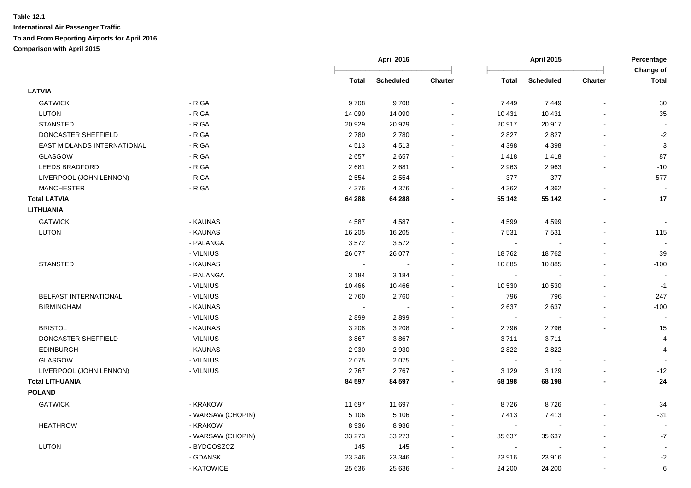|                             |                   |              | April 2016       |                          | <b>April 2015</b> |                  |                          | Percentage                |  |
|-----------------------------|-------------------|--------------|------------------|--------------------------|-------------------|------------------|--------------------------|---------------------------|--|
|                             |                   | <b>Total</b> | <b>Scheduled</b> | <b>Charter</b>           | <b>Total</b>      | <b>Scheduled</b> | Charter                  | Change of<br><b>Total</b> |  |
| <b>LATVIA</b>               |                   |              |                  |                          |                   |                  |                          |                           |  |
| <b>GATWICK</b>              | - RIGA            | 9708         | 9708             |                          | 7449              | 7449             | ä,                       | 30                        |  |
| <b>LUTON</b>                | - RIGA            | 14 090       | 14 090           |                          | 10 431            | 10 4 31          |                          | 35                        |  |
| <b>STANSTED</b>             | - RIGA            | 20 9 29      | 20 9 29          |                          | 20 917            | 20 917           |                          |                           |  |
| DONCASTER SHEFFIELD         | - RIGA            | 2780         | 2780             | $\sim$                   | 2827              | 2827             | ä,                       | $-2$                      |  |
| EAST MIDLANDS INTERNATIONAL | - RIGA            | 4513         | 4513             | $\sim$                   | 4 3 9 8           | 4 3 9 8          | L.                       | 3                         |  |
| GLASGOW                     | - RIGA            | 2657         | 2657             | $\sim$                   | 1418              | 1418             | ä,                       | 87                        |  |
| <b>LEEDS BRADFORD</b>       | - RIGA            | 2681         | 2681             | $\sim$                   | 2 9 6 3           | 2 9 6 3          | ä,                       | $-10$                     |  |
| LIVERPOOL (JOHN LENNON)     | - RIGA            | 2 5 5 4      | 2 5 5 4          | $\sim$                   | 377               | 377              | $\blacksquare$           | 577                       |  |
| <b>MANCHESTER</b>           | - RIGA            | 4 3 7 6      | 4 3 7 6          | $\sim$                   | 4 3 6 2           | 4 3 6 2          | $\overline{a}$           |                           |  |
| <b>Total LATVIA</b>         |                   | 64 288       | 64 288           | $\blacksquare$           | 55 142            | 55 142           | $\overline{\phantom{a}}$ | 17                        |  |
| <b>LITHUANIA</b>            |                   |              |                  |                          |                   |                  |                          |                           |  |
| <b>GATWICK</b>              | - KAUNAS          | 4587         | 4587             | $\sim$                   | 4 5 9 9           | 4599             | L.                       | $\blacksquare$            |  |
| <b>LUTON</b>                | - KAUNAS          | 16 205       | 16 20 5          |                          | 7 5 31            | 7 5 3 1          |                          | 115                       |  |
|                             | - PALANGA         | 3572         | 3572             |                          | $\sim$            |                  | $\blacksquare$           |                           |  |
|                             | - VILNIUS         | 26 077       | 26 077           |                          | 18762             | 18762            | L.                       | 39                        |  |
| <b>STANSTED</b>             | - KAUNAS          | $\sim$       | $\overline{a}$   |                          | 10 885            | 10885            | ä,                       | $-100$                    |  |
|                             | - PALANGA         | 3 1 8 4      | 3 1 8 4          |                          | $\blacksquare$    |                  | Ĭ.                       |                           |  |
|                             | - VILNIUS         | 10 4 66      | 10 4 66          |                          | 10 530            | 10 530           | ä,                       | $-1$                      |  |
| BELFAST INTERNATIONAL       | - VILNIUS         | 2760         | 2760             |                          | 796               | 796              | ä,                       | 247                       |  |
| <b>BIRMINGHAM</b>           | - KAUNAS          | $\sim$       | $\sim$           | $\sim$                   | 2637              | 2637             | $\blacksquare$           | $-100$                    |  |
|                             | - VILNIUS         | 2899         | 2899             |                          | $\blacksquare$    |                  | $\overline{a}$           |                           |  |
| <b>BRISTOL</b>              | - KAUNAS          | 3 2 0 8      | 3 2 0 8          | $\sim$                   | 2796              | 2796             | $\blacksquare$           | 15                        |  |
| DONCASTER SHEFFIELD         | - VILNIUS         | 3867         | 3867             |                          | 3711              | 3711             | ä,                       | $\overline{4}$            |  |
| <b>EDINBURGH</b>            | - KAUNAS          | 2 9 3 0      | 2930             |                          | 2822              | 2822             |                          | 4                         |  |
| GLASGOW                     | - VILNIUS         | 2075         | 2075             |                          | $\sim$            |                  | $\blacksquare$           |                           |  |
| LIVERPOOL (JOHN LENNON)     | - VILNIUS         | 2767         | 2767             |                          | 3 1 2 9           | 3 1 2 9          |                          | $-12$                     |  |
| <b>Total LITHUANIA</b>      |                   | 84 597       | 84 597           |                          | 68 198            | 68 198           | $\blacksquare$           | 24                        |  |
| <b>POLAND</b>               |                   |              |                  |                          |                   |                  |                          |                           |  |
| <b>GATWICK</b>              | - KRAKOW          | 11 697       | 11 697           |                          | 8726              | 8726             |                          | 34                        |  |
|                             | - WARSAW (CHOPIN) | 5 1 0 6      | 5 1 0 6          |                          | 7413              | 7413             | $\blacksquare$           | $-31$                     |  |
| <b>HEATHROW</b>             | - KRAKOW          | 8936         | 8936             |                          | $\sim$            | $\sim$           | $\blacksquare$           |                           |  |
|                             | - WARSAW (CHOPIN) | 33 273       | 33 273           | $\sim$                   | 35 637            | 35 637           | $\overline{a}$           | $-7$                      |  |
| LUTON                       | - BYDGOSZCZ       | 145          | 145              | $\overline{\phantom{a}}$ | $\sim$            | $\sim$           |                          |                           |  |
|                             | - GDANSK          | 23 346       | 23 346           |                          | 23 916            | 23 916           |                          | $-2$                      |  |
|                             | - KATOWICE        | 25 636       | 25 636           |                          | 24 200            | 24 200           | ä,                       | 6                         |  |
|                             |                   |              |                  |                          |                   |                  |                          |                           |  |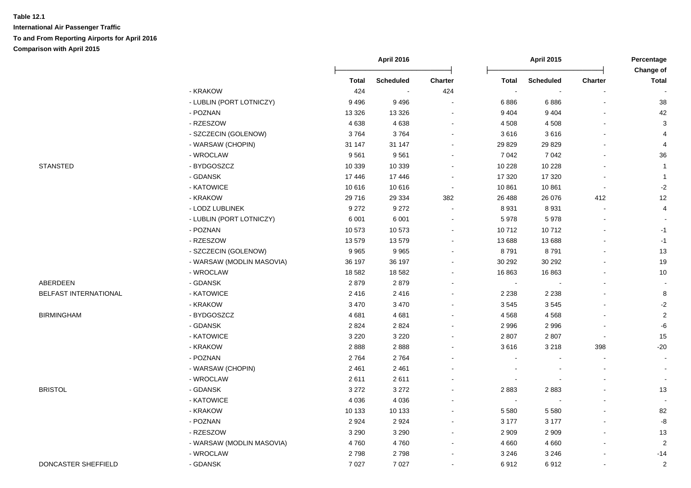|                       |                           | <b>April 2016</b> |                  |                          |                | <b>April 2015</b> |                          |                           |
|-----------------------|---------------------------|-------------------|------------------|--------------------------|----------------|-------------------|--------------------------|---------------------------|
|                       |                           | <b>Total</b>      | <b>Scheduled</b> | <b>Charter</b>           | <b>Total</b>   | <b>Scheduled</b>  | <b>Charter</b>           | Change of<br><b>Total</b> |
|                       | - KRAKOW                  | 424               | $\sim$           | 424                      | $\sim$         |                   |                          |                           |
|                       | - LUBLIN (PORT LOTNICZY)  | 9496              | 9496             |                          | 6886           | 6886              |                          | $38\,$                    |
|                       | - POZNAN                  | 13 3 26           | 13 3 26          | $\sim$                   | 9 4 0 4        | 9 4 0 4           |                          | 42                        |
|                       | - RZESZOW                 | 4638              | 4638             | $\sim$                   | 4 5 0 8        | 4 5 0 8           |                          | $\mathbf{3}$              |
|                       | - SZCZECIN (GOLENOW)      | 3764              | 3764             |                          | 3616           | 3616              |                          | 4                         |
|                       | - WARSAW (CHOPIN)         | 31 147            | 31 147           | $\sim$                   | 29 8 29        | 29 8 29           |                          | 4                         |
|                       | - WROCLAW                 | 9561              | 9561             |                          | 7 0 4 2        | 7 0 4 2           |                          | 36                        |
| <b>STANSTED</b>       | - BYDGOSZCZ               | 10 339            | 10 339           |                          | 10 228         | 10 228            |                          | $\mathbf{1}$              |
|                       | - GDANSK                  | 17446             | 17446            |                          | 17 320         | 17 3 20           |                          | $\overline{1}$            |
|                       | - KATOWICE                | 10 616            | 10 616           | $\overline{\phantom{a}}$ | 10 861         | 10861             | $\overline{\phantom{a}}$ | $-2$                      |
|                       | - KRAKOW                  | 29716             | 29 3 34          | 382                      | 26 488         | 26 076            | 412                      | 12                        |
|                       | - LODZ LUBLINEK           | 9 2 7 2           | 9 2 7 2          |                          | 8 9 3 1        | 8931              | $\blacksquare$           | $\overline{4}$            |
|                       | - LUBLIN (PORT LOTNICZY)  | 6 0 0 1           | 6 0 0 1          |                          | 5978           | 5978              |                          |                           |
|                       | - POZNAN                  | 10 573            | 10 573           |                          | 10712          | 10712             |                          | $-1$                      |
|                       | - RZESZOW                 | 13579             | 13579            |                          | 13 688         | 13 688            |                          | $-1$                      |
|                       | - SZCZECIN (GOLENOW)      | 9965              | 9965             |                          | 8791           | 8791              |                          | 13                        |
|                       | - WARSAW (MODLIN MASOVIA) | 36 197            | 36 197           |                          | 30 29 2        | 30 29 2           |                          | 19                        |
|                       | - WROCLAW                 | 18 5 82           | 18 5 82          | $\overline{a}$           | 16863          | 16863             |                          | 10                        |
| ABERDEEN              | - GDANSK                  | 2879              | 2879             |                          | $\sim$         |                   |                          | $\blacksquare$            |
| BELFAST INTERNATIONAL | - KATOWICE                | 2416              | 2416             |                          | 2 2 3 8        | 2 2 3 8           |                          | 8                         |
|                       | - KRAKOW                  | 3 4 7 0           | 3 4 7 0          |                          | 3545           | 3545              |                          | $-2$                      |
| <b>BIRMINGHAM</b>     | - BYDGOSZCZ               | 4681              | 4681             |                          | 4568           | 4568              |                          | $\sqrt{2}$                |
|                       | - GDANSK                  | 2824              | 2824             |                          | 2 9 9 6        | 2996              |                          | $-6$                      |
|                       | - KATOWICE                | 3 2 2 0           | 3 2 2 0          |                          | 2 8 0 7        | 2807              | $\blacksquare$           | 15                        |
|                       | - KRAKOW                  | 2888              | 2888             |                          | 3616           | 3 2 1 8           | 398                      | $-20$                     |
|                       | - POZNAN                  | 2764              | 2764             |                          | $\sim$         |                   |                          | $\blacksquare$            |
|                       | - WARSAW (CHOPIN)         | 2 4 6 1           | 2 4 6 1          |                          |                |                   |                          |                           |
|                       | - WROCLAW                 | 2611              | 2611             |                          |                |                   |                          | $\blacksquare$            |
| <b>BRISTOL</b>        | - GDANSK                  | 3 2 7 2           | 3 2 7 2          |                          | 2883           | 2883              |                          | 13                        |
|                       | - KATOWICE                | 4 0 3 6           | 4 0 3 6          |                          | $\blacksquare$ |                   |                          |                           |
|                       | - KRAKOW                  | 10 133            | 10 133           |                          | 5 5 8 0        | 5 5 8 0           |                          | 82                        |
|                       | - POZNAN                  | 2924              | 2924             | $\sim$                   | 3 1 7 7        | 3 1 7 7           |                          | $\mbox{-}8$               |
|                       | - RZESZOW                 | 3 2 9 0           | 3 2 9 0          | $\sim$                   | 2 9 0 9        | 2 9 0 9           |                          | 13                        |
|                       | - WARSAW (MODLIN MASOVIA) | 4760              | 4760             | $\sim$                   | 4 6 6 0        | 4 6 6 0           |                          | $\overline{c}$            |
|                       | - WROCLAW                 | 2798              | 2798             |                          | 3 2 4 6        | 3 2 4 6           |                          | $-14$                     |
| DONCASTER SHEFFIELD   | - GDANSK                  | 7 0 2 7           | 7 0 2 7          |                          | 6912           | 6912              | $\blacksquare$           | $\sqrt{2}$                |
|                       |                           |                   |                  |                          |                |                   |                          |                           |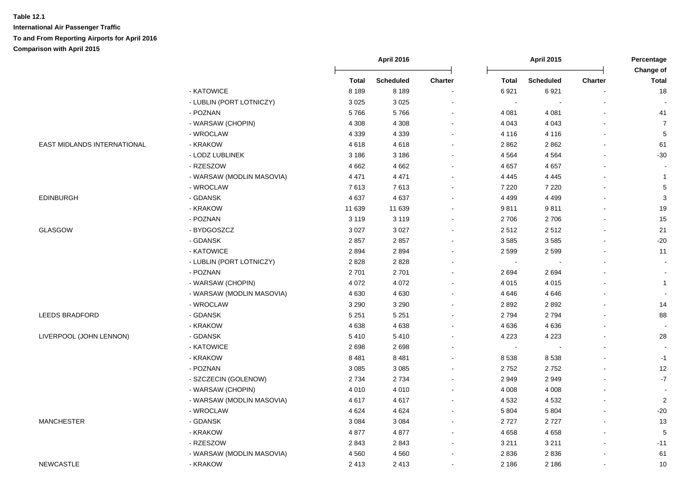|                             |                           | <b>April 2016</b> |                  |                | <b>April 2015</b> |                  | Percentage<br>Change of |                          |
|-----------------------------|---------------------------|-------------------|------------------|----------------|-------------------|------------------|-------------------------|--------------------------|
|                             |                           | <b>Total</b>      | <b>Scheduled</b> | <b>Charter</b> | <b>Total</b>      | <b>Scheduled</b> | <b>Charter</b>          | <b>Total</b>             |
|                             | - KATOWICE                | 8 1 8 9           | 8 1 8 9          | $\blacksquare$ | 6921              | 6921             |                         | 18                       |
|                             | - LUBLIN (PORT LOTNICZY)  | 3 0 2 5           | 3 0 2 5          |                | $\sim$            |                  |                         |                          |
|                             | - POZNAN                  | 5766              | 5766             | $\blacksquare$ | 4 0 8 1           | 4 0 8 1          |                         | 41                       |
|                             | - WARSAW (CHOPIN)         | 4 3 0 8           | 4 3 0 8          |                | 4 0 4 3           | 4 0 4 3          |                         | $\overline{7}$           |
|                             | - WROCLAW                 | 4 3 3 9           | 4 3 3 9          |                | 4 1 1 6           | 4 1 1 6          |                         | $\overline{5}$           |
| EAST MIDLANDS INTERNATIONAL | - KRAKOW                  | 4618              | 4618             | ÷              | 2862              | 2862             |                         | 61                       |
|                             | - LODZ LUBLINEK           | 3 1 8 6           | 3 1 8 6          | $\mathbf{r}$   | 4 5 6 4           | 4 5 6 4          |                         | $-30$                    |
|                             | - RZESZOW                 | 4 6 6 2           | 4662             | $\blacksquare$ | 4 6 5 7           | 4 6 5 7          |                         |                          |
|                             | - WARSAW (MODLIN MASOVIA) | 4 4 7 1           | 4 4 7 1          | $\sim$         | 4 4 4 5           | 4 4 4 5          |                         | $\mathbf{1}$             |
|                             | - WROCLAW                 | 7613              | 7613             | $\sim$         | 7 2 2 0           | 7 2 2 0          |                         | 5                        |
| <b>EDINBURGH</b>            | - GDANSK                  | 4637              | 4637             | $\blacksquare$ | 4 4 9 9           | 4 4 9 9          |                         | $\mathbf{3}$             |
|                             | - KRAKOW                  | 11 639            | 11 639           | $\blacksquare$ | 9811              | 9811             |                         | 19                       |
|                             | - POZNAN                  | 3 1 1 9           | 3 1 1 9          | $\blacksquare$ | 2706              | 2706             |                         | 15                       |
| <b>GLASGOW</b>              | - BYDGOSZCZ               | 3 0 2 7           | 3 0 2 7          | $\blacksquare$ | 2512              | 2512             |                         | 21                       |
|                             | - GDANSK                  | 2857              | 2857             | $\sim$         | 3585              | 3585             |                         | $-20$                    |
|                             | - KATOWICE                | 2894              | 2894             |                | 2 5 9 9           | 2599             |                         | 11                       |
|                             | - LUBLIN (PORT LOTNICZY)  | 2828              | 2828             |                | $\blacksquare$    |                  |                         | $\blacksquare$           |
|                             | - POZNAN                  | 2701              | 2701             |                | 2694              | 2694             |                         |                          |
|                             | - WARSAW (CHOPIN)         | 4 0 7 2           | 4 0 7 2          | $\blacksquare$ | 4 0 1 5           | 4 0 1 5          |                         | $\mathbf{1}$             |
|                             | - WARSAW (MODLIN MASOVIA) | 4630              | 4630             | $\mathbf{r}$   | 4 6 4 6           | 4 6 4 6          |                         | $\overline{\phantom{a}}$ |
|                             | - WROCLAW                 | 3 2 9 0           | 3 2 9 0          | $\mathbf{r}$   | 2892              | 2892             |                         | 14                       |
| <b>LEEDS BRADFORD</b>       | - GDANSK                  | 5 2 5 1           | 5 2 5 1          | $\mathbf{r}$   | 2794              | 2794             |                         | 88                       |
|                             | - KRAKOW                  | 4638              | 4638             | $\mathbf{r}$   | 4636              | 4636             |                         | $\blacksquare$           |
| LIVERPOOL (JOHN LENNON)     | - GDANSK                  | 5410              | 5410             | $\mathbf{r}$   | 4 2 2 3           | 4 2 2 3          |                         | 28                       |
|                             | - KATOWICE                | 2698              | 2698             | $\blacksquare$ | $\sim$            |                  |                         |                          |
|                             | - KRAKOW                  | 8481              | 8481             | $\mathbf{r}$   | 8538              | 8538             |                         | $-1$                     |
|                             | - POZNAN                  | 3 0 8 5           | 3 0 8 5          |                | 2752              | 2752             |                         | 12                       |
|                             | - SZCZECIN (GOLENOW)      | 2 7 3 4           | 2734             |                | 2949              | 2949             |                         | $\cdot 7$                |
|                             | - WARSAW (CHOPIN)         | 4 0 1 0           | 4 0 1 0          | ÷              | 4 0 0 8           | 4 0 0 8          |                         |                          |
|                             | - WARSAW (MODLIN MASOVIA) | 4617              | 4617             | $\overline{a}$ | 4 5 3 2           | 4 5 3 2          |                         | $\overline{c}$           |
|                             | - WROCLAW                 | 4 6 2 4           | 4 6 2 4          | $\blacksquare$ | 5 8 0 4           | 5 8 0 4          |                         | $-20$                    |
| <b>MANCHESTER</b>           | - GDANSK                  | 3 0 8 4           | 3 0 8 4          | $\blacksquare$ | 2727              | 2727             |                         | 13                       |
|                             | - KRAKOW                  | 4877              | 4877             | $\sim$         | 4658              | 4658             |                         | 5                        |
|                             | - RZESZOW                 | 2843              | 2843             | $\blacksquare$ | 3 2 1 1           | 3 2 1 1          |                         | $-11$                    |
|                             | - WARSAW (MODLIN MASOVIA) | 4560              | 4560             | $\sim$         | 2836              | 2836             |                         | 61                       |
| <b>NEWCASTLE</b>            | - KRAKOW                  | 2413              | 2 4 1 3          | $\blacksquare$ | 2 1 8 6           | 2 1 8 6          |                         | 10                       |
|                             |                           |                   |                  |                |                   |                  |                         |                          |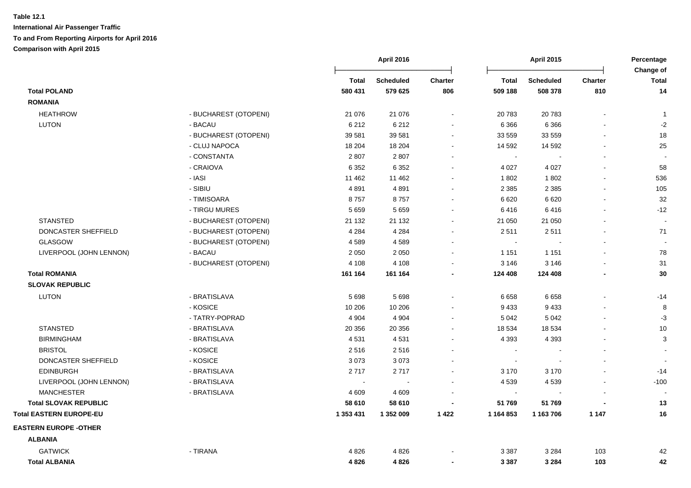|                                |                       |              | <b>April 2016</b> |                | April 2015     |                  | Percentage     |                           |
|--------------------------------|-----------------------|--------------|-------------------|----------------|----------------|------------------|----------------|---------------------------|
|                                |                       | <b>Total</b> | <b>Scheduled</b>  | <b>Charter</b> | <b>Total</b>   | <b>Scheduled</b> | <b>Charter</b> | Change of<br><b>Total</b> |
| <b>Total POLAND</b>            |                       | 580 431      | 579 625           | 806            | 509 188        | 508 378          | 810            | 14                        |
| <b>ROMANIA</b>                 |                       |              |                   |                |                |                  |                |                           |
| <b>HEATHROW</b>                | - BUCHAREST (OTOPENI) | 21 0 76      | 21 0 76           | $\sim$         | 20 783         | 20783            | $\overline{a}$ | $\mathbf{1}$              |
| <b>LUTON</b>                   | - BACAU               | 6 2 1 2      | 6 2 1 2           |                | 6 3 6 6        | 6 3 6 6          |                | $-2$                      |
|                                | - BUCHAREST (OTOPENI) | 39 581       | 39 581            |                | 33 559         | 33 559           |                | 18                        |
|                                | - CLUJ NAPOCA         | 18 204       | 18 204            |                | 14 5 92        | 14 5 92          |                | 25                        |
|                                | - CONSTANTA           | 2807         | 2807              |                | $\blacksquare$ |                  |                |                           |
|                                | - CRAIOVA             | 6 3 5 2      | 6 3 5 2           |                | 4 0 27         | 4 0 27           |                | 58                        |
|                                | - IASI                | 11 462       | 11 4 62           |                | 1 802          | 1802             |                | 536                       |
|                                | - SIBIU               | 4891         | 4891              |                | 2 3 8 5        | 2 3 8 5          |                | 105                       |
|                                | - TIMISOARA           | 8757         | 8757              |                | 6620           | 6620             |                | 32                        |
|                                | - TIRGU MURES         | 5659         | 5 6 5 9           |                | 6416           | 6416             |                | $-12$                     |
| <b>STANSTED</b>                | - BUCHAREST (OTOPENI) | 21 132       | 21 132            |                | 21 050         | 21 050           |                |                           |
| DONCASTER SHEFFIELD            | - BUCHAREST (OTOPENI) | 4 2 8 4      | 4 2 8 4           |                | 2511           | 2511             | ä,             | 71                        |
| GLASGOW                        | - BUCHAREST (OTOPENI) | 4589         | 4589              |                | $\blacksquare$ |                  | $\blacksquare$ |                           |
| LIVERPOOL (JOHN LENNON)        | - BACAU               | 2 0 5 0      | 2 0 5 0           |                | 1 1 5 1        | 1 1 5 1          |                | ${\bf 78}$                |
|                                | - BUCHAREST (OTOPENI) | 4 1 0 8      | 4 1 0 8           |                | 3 1 4 6        | 3 1 4 6          |                | 31                        |
| <b>Total ROMANIA</b>           |                       | 161 164      | 161 164           |                | 124 408        | 124 408          | -              | 30                        |
| <b>SLOVAK REPUBLIC</b>         |                       |              |                   |                |                |                  |                |                           |
| <b>LUTON</b>                   | - BRATISLAVA          | 5698         | 5698              |                | 6658           | 6658             |                | $-14$                     |
|                                | - KOSICE              | 10 206       | 10 206            |                | 9 4 3 3        | 9433             |                | 8                         |
|                                | - TATRY-POPRAD        | 4 9 0 4      | 4 9 0 4           |                | 5 0 4 2        | 5 0 4 2          | $\overline{a}$ | $-3$                      |
| <b>STANSTED</b>                | - BRATISLAVA          | 20 356       | 20 356            |                | 18 534         | 18 5 34          |                | 10                        |
| <b>BIRMINGHAM</b>              | - BRATISLAVA          | 4531         | 4531              |                | 4 3 9 3        | 4 3 9 3          |                | 3                         |
| <b>BRISTOL</b>                 | - KOSICE              | 2516         | 2516              |                |                |                  |                |                           |
| DONCASTER SHEFFIELD            | - KOSICE              | 3073         | 3073              |                |                |                  |                |                           |
| <b>EDINBURGH</b>               | - BRATISLAVA          | 2717         | 2717              |                | 3 1 7 0        | 3 1 7 0          |                | $-14$                     |
| LIVERPOOL (JOHN LENNON)        | - BRATISLAVA          |              |                   |                | 4 5 3 9        | 4539             |                | $-100$                    |
| <b>MANCHESTER</b>              | - BRATISLAVA          | 4 6 0 9      | 4 6 0 9           |                | $\sim$         |                  |                |                           |
| <b>Total SLOVAK REPUBLIC</b>   |                       | 58 610       | 58 610            |                | 51 769         | 51 769           |                | 13                        |
| <b>Total EASTERN EUROPE-EU</b> |                       | 1 353 431    | 1 352 009         | 1422           | 1 164 853      | 1 163 706        | 1 1 4 7        | 16                        |
| <b>EASTERN EUROPE -OTHER</b>   |                       |              |                   |                |                |                  |                |                           |
| <b>ALBANIA</b>                 |                       |              |                   |                |                |                  |                |                           |
| <b>GATWICK</b>                 | - TIRANA              | 4826         | 4826              |                | 3 3 8 7        | 3 2 8 4          | 103            | 42                        |
| <b>Total ALBANIA</b>           |                       | 4826         | 4826              |                | 3 3 8 7        | 3 2 8 4          | 103            | 42                        |
|                                |                       |              |                   |                |                |                  |                |                           |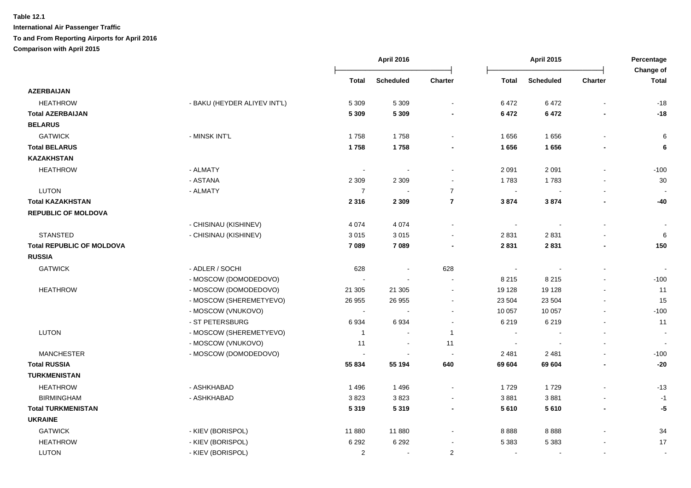|                                  |                              |                | April 2016       |                         |                             | <b>April 2015</b>        |                          | Percentage                |
|----------------------------------|------------------------------|----------------|------------------|-------------------------|-----------------------------|--------------------------|--------------------------|---------------------------|
|                                  |                              | <b>Total</b>   | <b>Scheduled</b> | <b>Charter</b>          | <b>Total</b>                | <b>Scheduled</b>         | <b>Charter</b>           | Change of<br><b>Total</b> |
| <b>AZERBAIJAN</b>                |                              |                |                  |                         |                             |                          |                          |                           |
| <b>HEATHROW</b>                  | - BAKU (HEYDER ALIYEV INT'L) | 5 3 0 9        | 5 3 0 9          | $\sim$                  | 6472                        | 6472                     | $\blacksquare$           | $-18$                     |
| <b>Total AZERBAIJAN</b>          |                              | 5 3 0 9        | 5 3 0 9          |                         | 6472                        | 6 4 7 2                  |                          | $-18$                     |
| <b>BELARUS</b>                   |                              |                |                  |                         |                             |                          |                          |                           |
| <b>GATWICK</b>                   | - MINSK INT'L                | 1758           | 1758             |                         | 1656                        | 1656                     |                          | 6                         |
| <b>Total BELARUS</b>             |                              | 1758           | 1758             |                         | 1656                        | 1656                     |                          | 6                         |
| <b>KAZAKHSTAN</b>                |                              |                |                  |                         |                             |                          |                          |                           |
| <b>HEATHROW</b>                  | - ALMATY                     | $\sim$         | $\sim$           |                         | 2 0 9 1                     | 2 0 9 1                  |                          | $-100$                    |
|                                  | - ASTANA                     | 2 3 0 9        | 2 3 0 9          |                         | 1783                        | 1783                     |                          | 30                        |
| <b>LUTON</b>                     | - ALMATY                     | $\overline{7}$ | $\sim$           | $\overline{7}$          | $\sim$                      |                          |                          |                           |
| <b>Total KAZAKHSTAN</b>          |                              | 2 3 1 6        | 2 3 0 9          | $\overline{7}$          | 3874                        | 3874                     |                          | $-40$                     |
| <b>REPUBLIC OF MOLDOVA</b>       |                              |                |                  |                         |                             |                          |                          |                           |
|                                  | - CHISINAU (KISHINEV)        | 4 0 7 4        | 4 0 7 4          | $\sim$                  | $\mathcal{L}_{\mathcal{A}}$ | $\overline{\phantom{a}}$ | $\mathbf{r}$             | $\blacksquare$            |
| <b>STANSTED</b>                  | - CHISINAU (KISHINEV)        | 3015           | 3015             |                         | 2831                        | 2831                     |                          | 6                         |
| <b>Total REPUBLIC OF MOLDOVA</b> |                              | 7 0 8 9        | 7089             |                         | 2831                        | 2831                     |                          | 150                       |
| <b>RUSSIA</b>                    |                              |                |                  |                         |                             |                          |                          |                           |
| <b>GATWICK</b>                   | - ADLER / SOCHI              | 628            |                  | 628                     | $\sim$                      |                          |                          |                           |
|                                  | - MOSCOW (DOMODEDOVO)        |                |                  | $\sim$                  | 8 2 1 5                     | 8 2 1 5                  |                          | $-100$                    |
| <b>HEATHROW</b>                  | - MOSCOW (DOMODEDOVO)        | 21 305         | 21 30 5          | $\sim$                  | 19 128                      | 19 1 28                  |                          | 11                        |
|                                  | - MOSCOW (SHEREMETYEVO)      | 26 955         | 26 955           | $\sim$                  | 23 504                      | 23 504                   | $\sim$                   | 15                        |
|                                  | - MOSCOW (VNUKOVO)           | $\sim$         |                  | $\sim$                  | 10 057                      | 10 057                   | $\blacksquare$           | $-100$                    |
|                                  | - ST PETERSBURG              | 6934           | 6934             | $\sim$                  | 6 2 1 9                     | 6219                     | $\mathbf{r}$             | 11                        |
| <b>LUTON</b>                     | - MOSCOW (SHEREMETYEVO)      | $\mathbf{1}$   | $\sim$           | $\overline{1}$          | $\sim$                      |                          | $\blacksquare$           | $\blacksquare$            |
|                                  | - MOSCOW (VNUKOVO)           | 11             | $\sim$           | 11                      | $\sim$                      |                          |                          |                           |
| <b>MANCHESTER</b>                | - MOSCOW (DOMODEDOVO)        |                |                  | $\sim$                  | 2 4 8 1                     | 2 4 8 1                  |                          | $-100$                    |
| <b>Total RUSSIA</b>              |                              | 55 834         | 55 194           | 640                     | 69 604                      | 69 604                   | $\overline{\phantom{a}}$ | $-20$                     |
| <b>TURKMENISTAN</b>              |                              |                |                  |                         |                             |                          |                          |                           |
| <b>HEATHROW</b>                  | - ASHKHABAD                  | 1496           | 1 4 9 6          | $\blacksquare$          | 1729                        | 1729                     |                          | $-13$                     |
| <b>BIRMINGHAM</b>                | - ASHKHABAD                  | 3823           | 3823             |                         | 3881                        | 3881                     |                          | $-1$                      |
| <b>Total TURKMENISTAN</b>        |                              | 5 3 1 9        | 5319             | $\blacksquare$          | 5610                        | 5 6 1 0                  | $\blacksquare$           | -5                        |
| <b>UKRAINE</b>                   |                              |                |                  |                         |                             |                          |                          |                           |
| <b>GATWICK</b>                   | - KIEV (BORISPOL)            | 11 880         | 11 880           |                         | 8888                        | 8888                     |                          | 34                        |
| <b>HEATHROW</b>                  | - KIEV (BORISPOL)            | 6 2 9 2        | 6 2 9 2          |                         | 5 3 8 3                     | 5 3 8 3                  |                          | 17                        |
| <b>LUTON</b>                     | - KIEV (BORISPOL)            | $\overline{2}$ | $\sim$           | $\overline{\mathbf{c}}$ | $\sim$                      | $\overline{\phantom{a}}$ | $\blacksquare$           | $\blacksquare$            |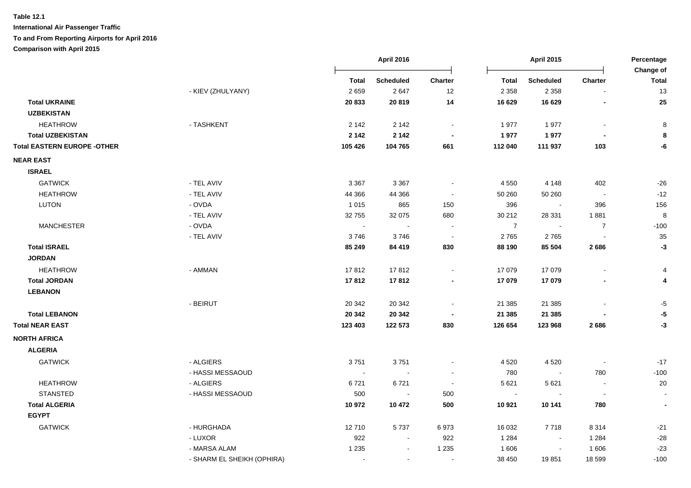**International Air Passenger Traffic**

#### **To and From Reporting Airports for April 2016**

**Comparison with April 2015**

|                                    |                            | <b>April 2016</b> |                  |         |                | April 2015               |                          | Percentage                      |  |
|------------------------------------|----------------------------|-------------------|------------------|---------|----------------|--------------------------|--------------------------|---------------------------------|--|
|                                    |                            | Total             | <b>Scheduled</b> | Charter | Total          | <b>Scheduled</b>         | <b>Charter</b>           | Change of<br><b>Total</b><br>13 |  |
|                                    | - KIEV (ZHULYANY)          | 2659              | 2647             | 12      | 2 3 5 8        | 2 3 5 8                  |                          |                                 |  |
| <b>Total UKRAINE</b>               |                            | 20 833            | 20819            | 14      | 16 629         | 16 629                   |                          | 25                              |  |
| <b>UZBEKISTAN</b>                  |                            |                   |                  |         |                |                          |                          |                                 |  |
| <b>HEATHROW</b>                    | - TASHKENT                 | 2 1 4 2           | 2 1 4 2          |         | 1977           | 1977                     | $\blacksquare$           | 8                               |  |
| <b>Total UZBEKISTAN</b>            |                            | 2 1 4 2           | 2 1 4 2          |         | 1977           | 1977                     |                          | 8                               |  |
| <b>Total EASTERN EUROPE -OTHER</b> |                            | 105 426           | 104 765          | 661     | 112 040        | 111 937                  | 103                      | -6                              |  |
| <b>NEAR EAST</b>                   |                            |                   |                  |         |                |                          |                          |                                 |  |
| <b>ISRAEL</b>                      |                            |                   |                  |         |                |                          |                          |                                 |  |
| <b>GATWICK</b>                     | - TEL AVIV                 | 3 3 6 7           | 3 3 6 7          |         | 4 5 5 0        | 4 1 4 8                  | 402                      | $-26$                           |  |
| <b>HEATHROW</b>                    | - TEL AVIV                 | 44 366            | 44 366           |         | 50 260         | 50 260                   |                          | $-12$                           |  |
| <b>LUTON</b>                       | - OVDA                     | 1015              | 865              | 150     | 396            |                          | 396                      | 156                             |  |
|                                    | - TEL AVIV                 | 32755             | 32 075           | 680     | 30 21 2        | 28 3 31                  | 1881                     | 8                               |  |
| <b>MANCHESTER</b>                  | - OVDA                     | $\sim$            |                  |         | $\overline{7}$ |                          | $\overline{7}$           | $-100$                          |  |
|                                    | - TEL AVIV                 | 3746              | 3746             | $\sim$  | 2765           | 2765                     |                          | 35                              |  |
| <b>Total ISRAEL</b>                |                            | 85 249            | 84 419           | 830     | 88 190         | 85 504                   | 2686                     | -3                              |  |
| <b>JORDAN</b>                      |                            |                   |                  |         |                |                          |                          |                                 |  |
| <b>HEATHROW</b>                    | - AMMAN                    | 17812             | 17812            |         | 17 079         | 17 079                   |                          | 4                               |  |
| <b>Total JORDAN</b>                |                            | 17812             | 17812            |         | 17 079         | 17079                    |                          | 4                               |  |
| <b>LEBANON</b>                     |                            |                   |                  |         |                |                          |                          |                                 |  |
|                                    | - BEIRUT                   | 20 342            | 20 342           |         | 21 385         | 21 3 85                  |                          | -5                              |  |
| <b>Total LEBANON</b>               |                            | 20 342            | 20 342           |         | 21 385         | 21 3 85                  |                          | -5                              |  |
| <b>Total NEAR EAST</b>             |                            | 123 403           | 122 573          | 830     | 126 654        | 123 968                  | 2686                     | $-3$                            |  |
| <b>NORTH AFRICA</b>                |                            |                   |                  |         |                |                          |                          |                                 |  |
| <b>ALGERIA</b>                     |                            |                   |                  |         |                |                          |                          |                                 |  |
| <b>GATWICK</b>                     | - ALGIERS                  | 3751              | 3751             |         | 4 5 20         | 4520                     |                          | $-17$                           |  |
|                                    | - HASSI MESSAOUD           |                   |                  |         | 780            | $\blacksquare$           | 780                      | $-100$                          |  |
| <b>HEATHROW</b>                    | - ALGIERS                  | 6721              | 6721             |         | 5 6 21         | 5 6 21                   |                          | 20                              |  |
| <b>STANSTED</b>                    | - HASSI MESSAOUD           | 500               | $\sim$           | 500     | $\sim$         |                          | $\overline{\phantom{a}}$ |                                 |  |
| <b>Total ALGERIA</b>               |                            | 10 972            | 10 472           | 500     | 10 921         | 10 141                   | 780                      | $\blacksquare$                  |  |
| <b>EGYPT</b>                       |                            |                   |                  |         |                |                          |                          |                                 |  |
| <b>GATWICK</b>                     | - HURGHADA                 | 12710             | 5737             | 6973    | 16 032         | 7718                     | 8 3 1 4                  | $-21$                           |  |
|                                    | - LUXOR                    | 922               | $\blacksquare$   | 922     | 1 2 8 4        | $\overline{\phantom{a}}$ | 1 2 8 4                  | $-28$                           |  |
|                                    | - MARSA ALAM               | 1 2 3 5           |                  | 1 2 3 5 | 1 606          |                          | 1606                     | $-23$                           |  |
|                                    | - SHARM EL SHEIKH (OPHIRA) | $\sim$            | $\sim$           | $\sim$  | 38 450         | 19851                    | 18 599                   | $-100$                          |  |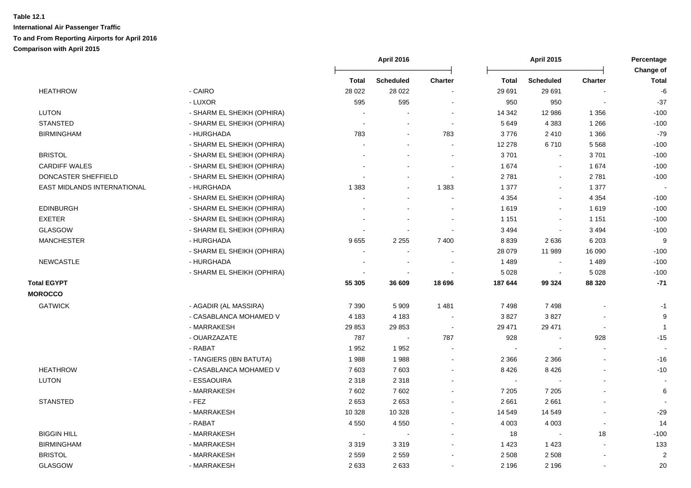|                             |                            |                          | <b>April 2015</b><br><b>April 2016</b> |                |              | Percentage               |                |                           |
|-----------------------------|----------------------------|--------------------------|----------------------------------------|----------------|--------------|--------------------------|----------------|---------------------------|
|                             |                            | <b>Total</b>             | <b>Scheduled</b>                       | <b>Charter</b> | <b>Total</b> | <b>Scheduled</b>         | <b>Charter</b> | Change of<br><b>Total</b> |
| <b>HEATHROW</b>             | - CAIRO                    | 28 0 22                  | 28 0 22                                |                | 29 691       | 29 691                   |                | $-6$                      |
|                             | - LUXOR                    | 595                      | 595                                    |                | 950          | 950                      |                | $-37$                     |
| LUTON                       | - SHARM EL SHEIKH (OPHIRA) |                          |                                        |                | 14 342       | 12 986                   | 1 3 5 6        | $-100$                    |
| <b>STANSTED</b>             | - SHARM EL SHEIKH (OPHIRA) |                          |                                        |                | 5 6 4 9      | 4 3 8 3                  | 1 2 6 6        | $-100$                    |
| <b>BIRMINGHAM</b>           | - HURGHADA                 | 783                      | $\sim$                                 | 783            | 3776         | 2410                     | 1 3 6 6        | $-79$                     |
|                             | - SHARM EL SHEIKH (OPHIRA) |                          |                                        |                | 12 278       | 6710                     | 5568           | $-100$                    |
| <b>BRISTOL</b>              | - SHARM EL SHEIKH (OPHIRA) |                          |                                        |                | 3701         | $\sim$                   | 3701           | $-100$                    |
| <b>CARDIFF WALES</b>        | - SHARM EL SHEIKH (OPHIRA) |                          |                                        |                | 1674         | $\blacksquare$           | 1674           | $-100$                    |
| DONCASTER SHEFFIELD         | - SHARM EL SHEIKH (OPHIRA) |                          | $\sim$                                 | $\sim$         | 2 7 8 1      | $\sim$                   | 2781           | $-100$                    |
| EAST MIDLANDS INTERNATIONAL | - HURGHADA                 | 1 3 8 3                  | $\sim$                                 | 1 3 8 3        | 1 377        | $\blacksquare$           | 1 3 7 7        |                           |
|                             | - SHARM EL SHEIKH (OPHIRA) |                          | $\sim$                                 |                | 4 3 5 4      | $\blacksquare$           | 4 3 5 4        | $-100$                    |
| <b>EDINBURGH</b>            | - SHARM EL SHEIKH (OPHIRA) |                          |                                        |                | 1619         | $\blacksquare$           | 1619           | $-100$                    |
| <b>EXETER</b>               | - SHARM EL SHEIKH (OPHIRA) |                          |                                        |                | 1 1 5 1      | $\blacksquare$           | 1 1 5 1        | $-100$                    |
| <b>GLASGOW</b>              | - SHARM EL SHEIKH (OPHIRA) |                          |                                        |                | 3 4 9 4      | $\blacksquare$           | 3 4 9 4        | $-100$                    |
| <b>MANCHESTER</b>           | - HURGHADA                 | 9655                     | 2 2 5 5                                | 7 4 0 0        | 8 8 3 9      | 2636                     | 6 2 0 3        | 9                         |
|                             | - SHARM EL SHEIKH (OPHIRA) |                          |                                        |                | 28 079       | 11 989                   | 16 090         | $-100$                    |
| <b>NEWCASTLE</b>            | - HURGHADA                 |                          |                                        |                | 1 4 8 9      | $\blacksquare$           | 1489           | $-100$                    |
|                             | - SHARM EL SHEIKH (OPHIRA) |                          | $\sim$                                 |                | 5 0 28       | $\sim$                   | 5 0 28         | $-100$                    |
| <b>Total EGYPT</b>          |                            | 55 305                   | 36 609                                 | 18 696         | 187 644      | 99 324                   | 88 3 20        | $-71$                     |
| <b>MOROCCO</b>              |                            |                          |                                        |                |              |                          |                |                           |
| <b>GATWICK</b>              | - AGADIR (AL MASSIRA)      | 7 3 9 0                  | 5 9 0 9                                | 1 4 8 1        | 7498         | 7498                     |                | $-1$                      |
|                             | - CASABLANCA MOHAMED V     | 4 1 8 3                  | 4 1 8 3                                |                | 3827         | 3827                     |                | 9                         |
|                             | - MARRAKESH                | 29 853                   | 29 853                                 | $\sim$         | 29 471       | 29 471                   | ÷,             | $\mathbf{1}$              |
|                             | - OUARZAZATE               | 787                      | $\sim$                                 | 787            | 928          | $\sim$                   | 928            | $-15$                     |
|                             | - RABAT                    | 1952                     | 1952                                   |                |              | $\overline{\phantom{a}}$ | $\mathbf{r}$   |                           |
|                             | - TANGIERS (IBN BATUTA)    | 1988                     | 1988                                   | $\sim$         | 2 3 6 6      | 2 3 6 6                  |                | $-16$                     |
| <b>HEATHROW</b>             | - CASABLANCA MOHAMED V     | 7 603                    | 7603                                   |                | 8 4 2 6      | 8426                     |                | $-10$                     |
| <b>LUTON</b>                | - ESSAOUIRA                | 2 3 1 8                  | 2 3 1 8                                |                | $\sim$       |                          |                |                           |
|                             | - MARRAKESH                | 7602                     | 7602                                   |                | 7 2 0 5      | 7 2 0 5                  |                | $\,6\,$                   |
| <b>STANSTED</b>             | - FEZ                      | 2653                     | 2653                                   |                | 2 6 6 1      | 2661                     |                |                           |
|                             | - MARRAKESH                | 10 328                   | 10 3 28                                |                | 14 549       | 14 549                   |                | $-29$                     |
|                             | - RABAT                    | 4 5 5 0                  | 4 5 5 0                                |                | 4 0 0 3      | 4 0 0 3                  |                | 14                        |
| <b>BIGGIN HILL</b>          | - MARRAKESH                | $\overline{\phantom{a}}$ | $\blacksquare$                         |                | 18           | $\sim$                   | 18             | $-100$                    |
| <b>BIRMINGHAM</b>           | - MARRAKESH                | 3 3 1 9                  | 3319                                   |                | 1 4 2 3      | 1 4 2 3                  | $\blacksquare$ | 133                       |
| <b>BRISTOL</b>              | - MARRAKESH                | 2559                     | 2559                                   |                | 2 5 0 8      | 2508                     | $\blacksquare$ | $\overline{2}$            |
| <b>GLASGOW</b>              | - MARRAKESH                | 2633                     | 2633                                   |                | 2 1 9 6      | 2 1 9 6                  |                | 20                        |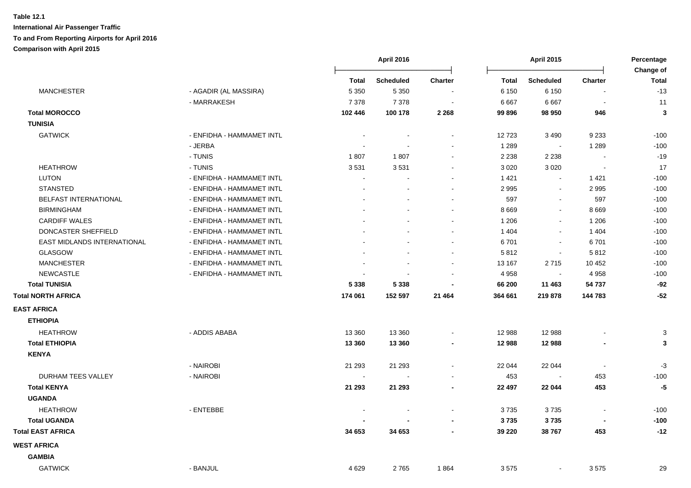|                              |                           |                          | April 2016       |                |              | <b>April 2015</b>        |                          | Percentage                |
|------------------------------|---------------------------|--------------------------|------------------|----------------|--------------|--------------------------|--------------------------|---------------------------|
|                              |                           | <b>Total</b>             | <b>Scheduled</b> | <b>Charter</b> | <b>Total</b> | <b>Scheduled</b>         | <b>Charter</b>           | Change of<br><b>Total</b> |
| <b>MANCHESTER</b>            | - AGADIR (AL MASSIRA)     | 5 3 5 0                  | 5 3 5 0          |                | 6 150        | 6 1 5 0                  |                          | $-13$                     |
|                              | - MARRAKESH               | 7 3 7 8                  | 7 3 7 8          |                | 6667         | 6667                     |                          | 11                        |
| <b>Total MOROCCO</b>         |                           | 102 446                  | 100 178          | 2 2 6 8        | 99 896       | 98 950                   | 946                      | $\overline{\mathbf{3}}$   |
| <b>TUNISIA</b>               |                           |                          |                  |                |              |                          |                          |                           |
| <b>GATWICK</b>               | - ENFIDHA - HAMMAMET INTL |                          |                  |                | 12723        | 3 4 9 0                  | 9 2 3 3                  | $-100$                    |
|                              | - JERBA                   |                          |                  |                | 1 2 8 9      | $\blacksquare$           | 1 2 8 9                  | $-100$                    |
|                              | - TUNIS                   | 1807                     | 1807             | $\sim$         | 2 2 3 8      | 2 2 3 8                  | $\sim$                   | $-19$                     |
| <b>HEATHROW</b>              | - TUNIS                   | 3531                     | 3531             |                | 3 0 2 0      | 3 0 2 0                  | $\sim$                   | 17                        |
| <b>LUTON</b>                 | - ENFIDHA - HAMMAMET INTL | $\overline{\phantom{a}}$ |                  | $\sim$         | 1421         | $\blacksquare$           | 1421                     | $-100$                    |
| <b>STANSTED</b>              | - ENFIDHA - HAMMAMET INTL |                          |                  |                | 2 9 9 5      | $\sim$                   | 2995                     | $-100$                    |
| <b>BELFAST INTERNATIONAL</b> | - ENFIDHA - HAMMAMET INTL |                          |                  | $\sim$         | 597          | $\sim$                   | 597                      | $-100$                    |
| <b>BIRMINGHAM</b>            | - ENFIDHA - HAMMAMET INTL |                          |                  | $\sim$         | 8 6 6 9      | $\sim$                   | 8 6 6 9                  | $-100$                    |
| <b>CARDIFF WALES</b>         | - ENFIDHA - HAMMAMET INTL |                          |                  |                | 1 2 0 6      | $\overline{\phantom{a}}$ | 1 2 0 6                  | $-100$                    |
| DONCASTER SHEFFIELD          | - ENFIDHA - HAMMAMET INTL |                          |                  |                | 1 4 0 4      | $\sim$                   | 1 4 0 4                  | $-100$                    |
| EAST MIDLANDS INTERNATIONAL  | - ENFIDHA - HAMMAMET INTL |                          |                  |                | 6701         | $\overline{\phantom{a}}$ | 6701                     | $-100$                    |
| <b>GLASGOW</b>               | - ENFIDHA - HAMMAMET INTL |                          |                  |                | 5812         | $\overline{\phantom{a}}$ | 5812                     | $-100$                    |
| <b>MANCHESTER</b>            | - ENFIDHA - HAMMAMET INTL |                          |                  |                | 13 167       | 2715                     | 10 452                   | $-100$                    |
| <b>NEWCASTLE</b>             | - ENFIDHA - HAMMAMET INTL |                          |                  |                | 4 9 5 8      | $\blacksquare$           | 4958                     | $-100$                    |
| <b>Total TUNISIA</b>         |                           | 5 3 3 8                  | 5 3 3 8          |                | 66 200       | 11 463                   | 54 737                   | $-92$                     |
| <b>Total NORTH AFRICA</b>    |                           | 174 061                  | 152 597          | 21 4 64        | 364 661      | 219 878                  | 144 783                  | $-52$                     |
| <b>EAST AFRICA</b>           |                           |                          |                  |                |              |                          |                          |                           |
| <b>ETHIOPIA</b>              |                           |                          |                  |                |              |                          |                          |                           |
| <b>HEATHROW</b>              | - ADDIS ABABA             | 13 3 60                  | 13 3 60          |                | 12 988       | 12 988                   |                          | $\mathbf{3}$              |
| <b>Total ETHIOPIA</b>        |                           | 13 3 60                  | 13 3 60          |                | 12 988       | 12 988                   |                          | 3                         |
| <b>KENYA</b>                 |                           |                          |                  |                |              |                          |                          |                           |
|                              | - NAIROBI                 | 21 293                   | 21 293           | $\blacksquare$ | 22 044       | 22 044                   | $\overline{\phantom{a}}$ | $-3$                      |
| DURHAM TEES VALLEY           | - NAIROBI                 |                          |                  |                | 453          |                          | 453                      | $-100$                    |
| <b>Total KENYA</b>           |                           | 21 293                   | 21 293           |                | 22 497       | 22 044                   | 453                      | $-5$                      |
| <b>UGANDA</b>                |                           |                          |                  |                |              |                          |                          |                           |
| <b>HEATHROW</b>              | - ENTEBBE                 |                          |                  |                | 3735         | 3735                     |                          | $-100$                    |
| <b>Total UGANDA</b>          |                           |                          |                  |                | 3735         | 3735                     |                          | $-100$                    |
| <b>Total EAST AFRICA</b>     |                           | 34 653                   | 34 653           |                | 39 220       | 38767                    | 453                      | $-12$                     |
|                              |                           |                          |                  |                |              |                          |                          |                           |
| <b>WEST AFRICA</b>           |                           |                          |                  |                |              |                          |                          |                           |
| <b>GAMBIA</b>                |                           |                          |                  |                |              |                          |                          |                           |
| <b>GATWICK</b>               | - BANJUL                  | 4629                     | 2765             | 1864           | 3575         | $\blacksquare$           | 3575                     | 29                        |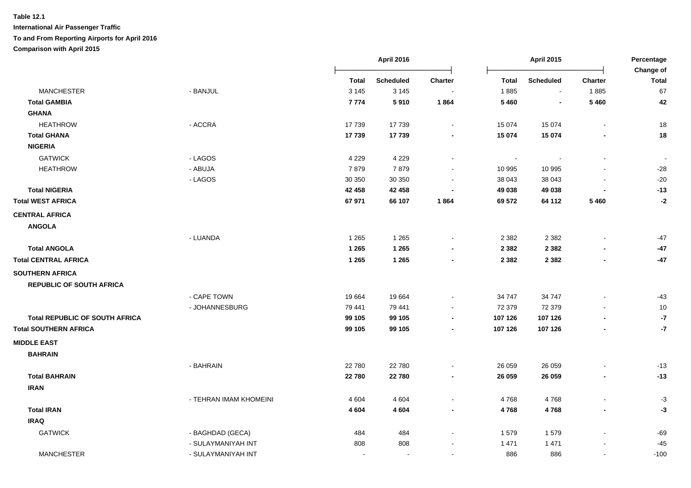|                                       |                        |              | April 2016<br><b>April 2015</b> |         | Percentage     |                  |                          |                           |
|---------------------------------------|------------------------|--------------|---------------------------------|---------|----------------|------------------|--------------------------|---------------------------|
|                                       |                        | <b>Total</b> | <b>Scheduled</b>                | Charter | <b>Total</b>   | <b>Scheduled</b> | <b>Charter</b>           | Change of<br><b>Total</b> |
| <b>MANCHESTER</b>                     | - BANJUL               | 3 1 4 5      | 3 1 4 5                         |         | 1885           | $\sim$           | 1885                     | 67                        |
| <b>Total GAMBIA</b>                   |                        | 7774         | 5910                            | 1864    | 5 4 6 0        | $\blacksquare$   | 5 4 6 0                  | 42                        |
| <b>GHANA</b>                          |                        |              |                                 |         |                |                  |                          |                           |
| <b>HEATHROW</b>                       | - ACCRA                | 17739        | 17739                           |         | 15 0 74        | 15 0 74          | $\overline{\phantom{a}}$ | 18                        |
| <b>Total GHANA</b>                    |                        | 17739        | 17739                           |         | 15 074         | 15 074           |                          | 18                        |
| <b>NIGERIA</b>                        |                        |              |                                 |         |                |                  |                          |                           |
| <b>GATWICK</b>                        | - LAGOS                | 4 2 2 9      | 4 2 2 9                         |         | $\blacksquare$ |                  |                          |                           |
| <b>HEATHROW</b>                       | - ABUJA                | 7879         | 7879                            |         | 10 995         | 10 995           |                          | $-28$                     |
|                                       | - LAGOS                | 30 350       | 30 350                          |         | 38 043         | 38 043           |                          | $-20$                     |
| <b>Total NIGERIA</b>                  |                        | 42 458       | 42 458                          |         | 49 038         | 49 038           |                          | $-13$                     |
| <b>Total WEST AFRICA</b>              |                        | 67 971       | 66 107                          | 1864    | 69 572         | 64 112           | 5 4 6 0                  | $-2$                      |
| <b>CENTRAL AFRICA</b>                 |                        |              |                                 |         |                |                  |                          |                           |
| <b>ANGOLA</b>                         |                        |              |                                 |         |                |                  |                          |                           |
|                                       | - LUANDA               | 1 2 6 5      | 1 2 6 5                         |         | 2 3 8 2        | 2 3 8 2          |                          | $-47$                     |
| <b>Total ANGOLA</b>                   |                        | 1 2 6 5      | 1 2 6 5                         |         | 2 3 8 2        | 2 3 8 2          |                          | $-47$                     |
| <b>Total CENTRAL AFRICA</b>           |                        | 1 2 6 5      | 1 2 6 5                         |         | 2 3 8 2        | 2 3 8 2          | $\blacksquare$           | $-47$                     |
| <b>SOUTHERN AFRICA</b>                |                        |              |                                 |         |                |                  |                          |                           |
| <b>REPUBLIC OF SOUTH AFRICA</b>       |                        |              |                                 |         |                |                  |                          |                           |
|                                       | - CAPE TOWN            | 19664        | 19664                           |         | 34 747         | 34 747           |                          | $-43$                     |
|                                       | - JOHANNESBURG         | 79 441       | 79 441                          |         | 72 379         | 72 379           |                          | $10$                      |
| <b>Total REPUBLIC OF SOUTH AFRICA</b> |                        | 99 105       | 99 105                          |         | 107 126        | 107 126          |                          | $\textnormal{-7}$         |
| <b>Total SOUTHERN AFRICA</b>          |                        | 99 105       | 99 105                          |         | 107 126        | 107 126          | ٠                        | $-7$                      |
| <b>MIDDLE EAST</b>                    |                        |              |                                 |         |                |                  |                          |                           |
| <b>BAHRAIN</b>                        |                        |              |                                 |         |                |                  |                          |                           |
|                                       | - BAHRAIN              | 22 780       | 22 780                          |         | 26 059         | 26 059           |                          | $-13$                     |
| <b>Total BAHRAIN</b>                  |                        | 22780        | 22780                           |         | 26 059         | 26 059           | $\blacksquare$           | $-13$                     |
| <b>IRAN</b>                           |                        |              |                                 |         |                |                  |                          |                           |
|                                       | - TEHRAN IMAM KHOMEINI | 4 6 0 4      | 4 6 0 4                         |         | 4768           | 4768             |                          | $-3$                      |
| <b>Total IRAN</b>                     |                        | 4 6 0 4      | 4 6 0 4                         |         | 4768           | 4768             |                          | $-3$                      |
| <b>IRAQ</b>                           |                        |              |                                 |         |                |                  |                          |                           |
| <b>GATWICK</b>                        | - BAGHDAD (GECA)       | 484          | 484                             |         | 1579           | 1579             |                          | $-69$                     |
|                                       | - SULAYMANIYAH INT     | 808          | 808                             |         | 1 4 7 1        | 1 4 7 1          |                          | $-45$                     |
| <b>MANCHESTER</b>                     | - SULAYMANIYAH INT     |              |                                 |         | 886            | 886              | $\mathbf{r}$             | $-100$                    |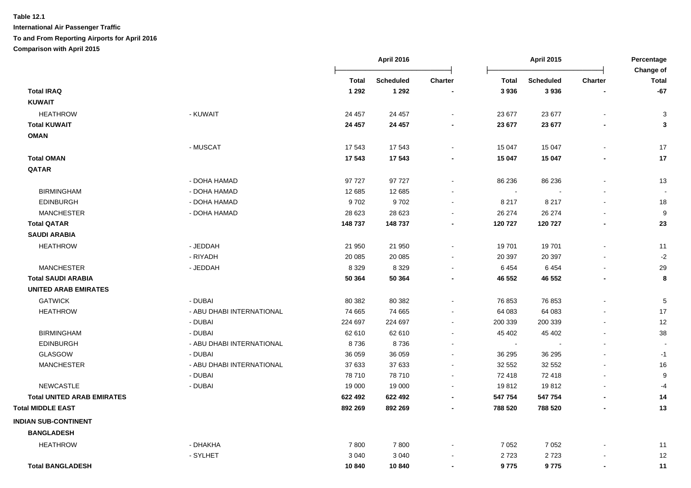|                                   |                           |         | <b>April 2016</b> |                          | <b>April 2015</b>        |                  | Percentage<br>Change of  |              |
|-----------------------------------|---------------------------|---------|-------------------|--------------------------|--------------------------|------------------|--------------------------|--------------|
|                                   |                           | Total   | <b>Scheduled</b>  | <b>Charter</b>           | <b>Total</b>             | <b>Scheduled</b> | Charter                  | <b>Total</b> |
| <b>Total IRAQ</b>                 |                           | 1 2 9 2 | 1 2 9 2           |                          | 3936                     | 3936             |                          | $-67$        |
| <b>KUWAIT</b>                     |                           |         |                   |                          |                          |                  |                          |              |
| <b>HEATHROW</b>                   | - KUWAIT                  | 24 457  | 24 457            |                          | 23 677                   | 23 677           |                          | 3            |
| <b>Total KUWAIT</b>               |                           | 24 457  | 24 457            |                          | 23 677                   | 23 677           |                          | 3            |
| <b>OMAN</b>                       |                           |         |                   |                          |                          |                  |                          |              |
|                                   | - MUSCAT                  | 17 543  | 17 543            | $\blacksquare$           | 15 047                   | 15 047           |                          | 17           |
| <b>Total OMAN</b>                 |                           | 17 543  | 17 543            |                          | 15 047                   | 15 047           |                          | $17$         |
| QATAR                             |                           |         |                   |                          |                          |                  |                          |              |
|                                   | - DOHA HAMAD              | 97 727  | 97 727            | $\blacksquare$           | 86 236                   | 86 236           |                          | 13           |
| <b>BIRMINGHAM</b>                 | - DOHA HAMAD              | 12 685  | 12 685            |                          | $\overline{\phantom{a}}$ |                  |                          |              |
| <b>EDINBURGH</b>                  | - DOHA HAMAD              | 9702    | 9702              | $\blacksquare$           | 8 2 1 7                  | 8 2 1 7          |                          | 18           |
| <b>MANCHESTER</b>                 | - DOHA HAMAD              | 28 6 23 | 28 6 23           | $\sim$                   | 26 274                   | 26 274           |                          | 9            |
| <b>Total QATAR</b>                |                           | 148737  | 148 737           | $\blacksquare$           | 120 727                  | 120 727          | $\overline{\phantom{a}}$ | 23           |
| <b>SAUDI ARABIA</b>               |                           |         |                   |                          |                          |                  |                          |              |
| <b>HEATHROW</b>                   | - JEDDAH                  | 21 950  | 21 950            | $\blacksquare$           | 19 701                   | 19701            |                          | 11           |
|                                   | - RIYADH                  | 20 085  | 20 085            | $\blacksquare$           | 20 397                   | 20 397           |                          | $-2$         |
| <b>MANCHESTER</b>                 | - JEDDAH                  | 8 3 2 9 | 8 3 2 9           | $\blacksquare$           | 6454                     | 6454             | $\overline{\phantom{a}}$ | 29           |
| <b>Total SAUDI ARABIA</b>         |                           | 50 364  | 50 364            | $\overline{\phantom{a}}$ | 46 552                   | 46 552           | $\blacksquare$           | 8            |
| <b>UNITED ARAB EMIRATES</b>       |                           |         |                   |                          |                          |                  |                          |              |
| <b>GATWICK</b>                    | - DUBAI                   | 80 382  | 80 382            | $\blacksquare$           | 76 853                   | 76 853           |                          | 5            |
| <b>HEATHROW</b>                   | - ABU DHABI INTERNATIONAL | 74 665  | 74 665            | $\blacksquare$           | 64 083                   | 64 083           |                          | 17           |
|                                   | - DUBAI                   | 224 697 | 224 697           | $\overline{\phantom{a}}$ | 200 339                  | 200 339          |                          | 12           |
| <b>BIRMINGHAM</b>                 | - DUBAI                   | 62 610  | 62 610            | $\blacksquare$           | 45 402                   | 45 402           | $\overline{\phantom{a}}$ | 38           |
| <b>EDINBURGH</b>                  | - ABU DHABI INTERNATIONAL | 8736    | 8736              |                          | $\sim$                   |                  |                          |              |
| GLASGOW                           | - DUBAI                   | 36 059  | 36 059            |                          | 36 295                   | 36 295           |                          | $-1$         |
| <b>MANCHESTER</b>                 | - ABU DHABI INTERNATIONAL | 37 633  | 37 633            |                          | 32 552                   | 32 552           |                          | 16           |
|                                   | - DUBAI                   | 78 710  | 78 710            |                          | 72 418                   | 72 418           |                          | 9            |
| <b>NEWCASTLE</b>                  | - DUBAI                   | 19 000  | 19 000            | $\sim$                   | 19812                    | 19812            |                          | -4           |
| <b>Total UNITED ARAB EMIRATES</b> |                           | 622 492 | 622 492           | $\blacksquare$           | 547 754                  | 547 754          |                          | 14           |
| <b>Total MIDDLE EAST</b>          |                           | 892 269 | 892 269           | $\blacksquare$           | 788 520                  | 788 520          |                          | 13           |
| <b>INDIAN SUB-CONTINENT</b>       |                           |         |                   |                          |                          |                  |                          |              |
| <b>BANGLADESH</b>                 |                           |         |                   |                          |                          |                  |                          |              |
| <b>HEATHROW</b>                   | - DHAKHA                  | 7800    | 7800              |                          | 7 0 5 2                  | 7 0 5 2          |                          | 11           |
|                                   | - SYLHET                  | 3 0 4 0 | 3 0 4 0           |                          | 2723                     | 2723             |                          | 12           |
| <b>Total BANGLADESH</b>           |                           | 10 840  | 10840             | $\blacksquare$           | 9775                     | 9775             | $\blacksquare$           | 11           |
|                                   |                           |         |                   |                          |                          |                  |                          |              |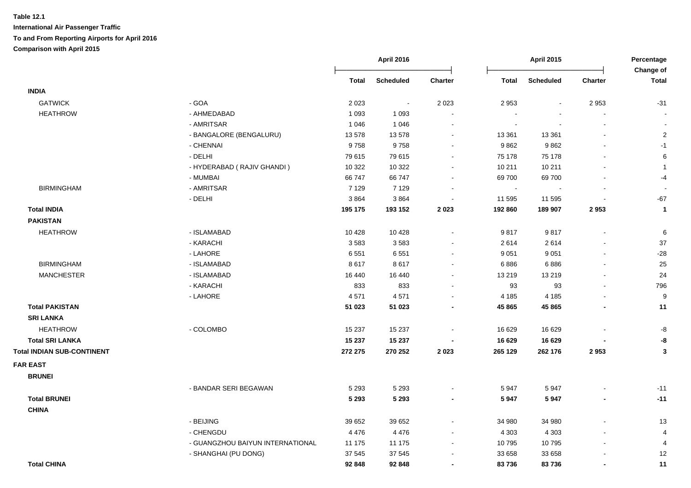|                                   |                                  |              | April 2016       |                          |                | <b>April 2015</b> |                          | Percentage<br>Change of |
|-----------------------------------|----------------------------------|--------------|------------------|--------------------------|----------------|-------------------|--------------------------|-------------------------|
|                                   |                                  | <b>Total</b> | <b>Scheduled</b> | <b>Charter</b>           | <b>Total</b>   | <b>Scheduled</b>  | Charter                  | <b>Total</b>            |
| <b>INDIA</b>                      |                                  |              |                  |                          |                |                   |                          |                         |
| <b>GATWICK</b>                    | - GOA                            | 2 0 2 3      | $\sim$           | 2 0 2 3                  | 2 9 5 3        | $\blacksquare$    | 2953                     | $-31$                   |
| <b>HEATHROW</b>                   | - AHMEDABAD                      | 1 0 9 3      | 1 0 9 3          |                          |                |                   | $\blacksquare$           |                         |
|                                   | - AMRITSAR                       | 1 0 4 6      | 1 0 4 6          |                          | $\blacksquare$ |                   | $\sim$                   |                         |
|                                   | - BANGALORE (BENGALURU)          | 13 578       | 13 578           |                          | 13 3 61        | 13 3 61           |                          | $\overline{c}$          |
|                                   | - CHENNAI                        | 9758         | 9758             |                          | 9862           | 9862              |                          | $-1$                    |
|                                   | - DELHI                          | 79 615       | 79 615           | $\blacksquare$           | 75 178         | 75 178            |                          | 6                       |
|                                   | - HYDERABAD (RAJIV GHANDI)       | 10 322       | 10 322           | $\blacksquare$           | 10 211         | 10 211            |                          | $\mathbf{1}$            |
|                                   | - MUMBAI                         | 66 747       | 66 747           | $\sim$                   | 69 700         | 69700             | $\sim$                   | $-4$                    |
| <b>BIRMINGHAM</b>                 | - AMRITSAR                       | 7 1 2 9      | 7 1 2 9          | $\blacksquare$           | $\sim$         |                   | $\blacksquare$           |                         |
|                                   | - DELHI                          | 3864         | 3864             | $\blacksquare$           | 11 595         | 11 595            | $\blacksquare$           | $-67$                   |
| <b>Total INDIA</b>                |                                  | 195 175      | 193 152          | 2023                     | 192 860        | 189 907           | 2953                     | $\mathbf{1}$            |
| <b>PAKISTAN</b>                   |                                  |              |                  |                          |                |                   |                          |                         |
| <b>HEATHROW</b>                   | - ISLAMABAD                      | 10 4 28      | 10 4 28          | $\blacksquare$           | 9817           | 9817              | $\blacksquare$           | $\,6$                   |
|                                   | - KARACHI                        | 3583         | 3583             | $\sim$                   | 2614           | 2614              | $\blacksquare$           | 37                      |
|                                   | - LAHORE                         | 6551         | 6551             | $\blacksquare$           | 9 0 5 1        | 9 0 5 1           | $\blacksquare$           | $-28$                   |
| <b>BIRMINGHAM</b>                 | - ISLAMABAD                      | 8617         | 8617             | $\blacksquare$           | 6886           | 6886              | $\sim$                   | 25                      |
| <b>MANCHESTER</b>                 | - ISLAMABAD                      | 16 440       | 16 440           | $\blacksquare$           | 13 219         | 13 219            |                          | 24                      |
|                                   | - KARACHI                        | 833          | 833              | $\blacksquare$           | 93             | 93                | $\blacksquare$           | 796                     |
|                                   | - LAHORE                         | 4571         | 4571             |                          | 4 1 8 5        | 4 1 8 5           |                          | 9                       |
| <b>Total PAKISTAN</b>             |                                  | 51 023       | 51 023           | $\overline{\phantom{a}}$ | 45 865         | 45 865            | $\overline{\phantom{a}}$ | 11                      |
| <b>SRI LANKA</b>                  |                                  |              |                  |                          |                |                   |                          |                         |
| <b>HEATHROW</b>                   | - COLOMBO                        | 15 237       | 15 237           | $\blacksquare$           | 16 629         | 16 629            |                          | -8                      |
| <b>Total SRI LANKA</b>            |                                  | 15 237       | 15 237           |                          | 16 629         | 16 629            |                          | -8                      |
| <b>Total INDIAN SUB-CONTINENT</b> |                                  | 272 275      | 270 252          | 2 0 2 3                  | 265 129        | 262 176           | 2953                     | $\mathbf{3}$            |
| <b>FAR EAST</b>                   |                                  |              |                  |                          |                |                   |                          |                         |
| <b>BRUNEI</b>                     |                                  |              |                  |                          |                |                   |                          |                         |
|                                   | - BANDAR SERI BEGAWAN            | 5 2 9 3      | 5 2 9 3          |                          | 5947           | 5947              |                          | $-11$                   |
| <b>Total BRUNEI</b>               |                                  | 5 2 9 3      | 5 2 9 3          | $\blacksquare$           | 5947           | 5947              | $\blacksquare$           | $-11$                   |
| <b>CHINA</b>                      |                                  |              |                  |                          |                |                   |                          |                         |
|                                   | - BEIJING                        | 39 652       | 39 652           | $\overline{a}$           | 34 980         | 34 980            |                          | 13                      |
|                                   | - CHENGDU                        | 4 4 7 6      | 4476             | $\sim$                   | 4 3 0 3        | 4 3 0 3           | $\overline{\phantom{a}}$ | $\overline{4}$          |
|                                   | - GUANGZHOU BAIYUN INTERNATIONAL | 11 175       | 11 175           | $\sim$                   | 10 795         | 10795             | $\overline{a}$           | 4                       |
|                                   | - SHANGHAI (PU DONG)             | 37 545       | 37 545           | $\blacksquare$           | 33 658         | 33 658            |                          | 12                      |
| <b>Total CHINA</b>                |                                  | 92 848       | 92 848           | $\overline{\phantom{a}}$ | 83736          | 83736             | $\blacksquare$           | 11                      |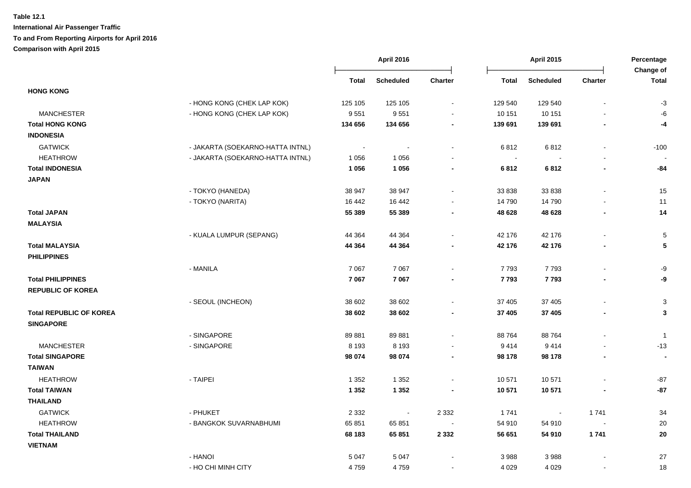|                                |                                  | <b>April 2016</b> |                  |                | <b>April 2015</b>        |                  |                | Percentage<br>Change of |  |
|--------------------------------|----------------------------------|-------------------|------------------|----------------|--------------------------|------------------|----------------|-------------------------|--|
|                                |                                  | <b>Total</b>      | <b>Scheduled</b> | <b>Charter</b> | <b>Total</b>             | <b>Scheduled</b> | <b>Charter</b> | <b>Total</b>            |  |
| <b>HONG KONG</b>               |                                  |                   |                  |                |                          |                  |                |                         |  |
|                                | - HONG KONG (CHEK LAP KOK)       | 125 105           | 125 105          | $\blacksquare$ | 129 540                  | 129 540          |                | $-3$                    |  |
| <b>MANCHESTER</b>              | - HONG KONG (CHEK LAP KOK)       | 9551              | 9551             | $\blacksquare$ | 10 151                   | 10 151           |                | -6                      |  |
| <b>Total HONG KONG</b>         |                                  | 134 656           | 134 656          |                | 139 691                  | 139 691          |                | -4                      |  |
| <b>INDONESIA</b>               |                                  |                   |                  |                |                          |                  |                |                         |  |
| <b>GATWICK</b>                 | - JAKARTA (SOEKARNO-HATTA INTNL) |                   |                  |                | 6812                     | 6812             |                | $-100$                  |  |
| <b>HEATHROW</b>                | - JAKARTA (SOEKARNO-HATTA INTNL) | 1 0 5 6           | 1 0 5 6          |                | $\overline{\phantom{a}}$ |                  |                |                         |  |
| <b>Total INDONESIA</b>         |                                  | 1 0 5 6           | 1 0 5 6          |                | 6812                     | 6812             |                | -84                     |  |
| <b>JAPAN</b>                   |                                  |                   |                  |                |                          |                  |                |                         |  |
|                                | - TOKYO (HANEDA)                 | 38 947            | 38 947           |                | 33 838                   | 33 838           |                | 15                      |  |
|                                | - TOKYO (NARITA)                 | 16 442            | 16 442           |                | 14 790                   | 14790            |                | 11                      |  |
| <b>Total JAPAN</b>             |                                  | 55 389            | 55 389           | $\blacksquare$ | 48 628                   | 48 628           |                | 14                      |  |
| <b>MALAYSIA</b>                |                                  |                   |                  |                |                          |                  |                |                         |  |
|                                | - KUALA LUMPUR (SEPANG)          | 44 3 64           | 44 3 64          |                | 42 176                   | 42 176           |                | 5                       |  |
| <b>Total MALAYSIA</b>          |                                  | 44 3 64           | 44 3 64          |                | 42 176                   | 42 176           |                | ${\bf 5}$               |  |
| <b>PHILIPPINES</b>             |                                  |                   |                  |                |                          |                  |                |                         |  |
|                                | - MANILA                         | 7 0 6 7           | 7 0 6 7          | $\sim$         | 7793                     | 7793             |                | -9                      |  |
| <b>Total PHILIPPINES</b>       |                                  | 7 0 6 7           | 7 0 6 7          |                | 7793                     | 7793             |                | -9                      |  |
| <b>REPUBLIC OF KOREA</b>       |                                  |                   |                  |                |                          |                  |                |                         |  |
|                                | - SEOUL (INCHEON)                | 38 602            | 38 602           |                | 37 405                   | 37 405           |                | 3                       |  |
| <b>Total REPUBLIC OF KOREA</b> |                                  | 38 602            | 38 602           |                | 37 405                   | 37 405           |                | 3                       |  |
| <b>SINGAPORE</b>               |                                  |                   |                  |                |                          |                  |                |                         |  |
|                                | - SINGAPORE                      | 89881             | 89881            |                | 88 764                   | 88764            |                | $\overline{1}$          |  |
| <b>MANCHESTER</b>              | - SINGAPORE                      | 8 1 9 3           | 8 1 9 3          |                | 9414                     | 9414             |                | $-13$                   |  |
| <b>Total SINGAPORE</b>         |                                  | 98 074            | 98 074           | $\blacksquare$ | 98 178                   | 98 178           | $\blacksquare$ |                         |  |
| <b>TAIWAN</b>                  |                                  |                   |                  |                |                          |                  |                |                         |  |
| <b>HEATHROW</b>                | - TAIPEI                         | 1 3 5 2           | 1 3 5 2          |                | 10 571                   | 10 571           |                | $-87$                   |  |
| <b>Total TAIWAN</b>            |                                  | 1 3 5 2           | 1 3 5 2          |                | 10 571                   | 10 571           |                | $-87$                   |  |
| <b>THAILAND</b>                |                                  |                   |                  |                |                          |                  |                |                         |  |
| <b>GATWICK</b>                 | - PHUKET                         | 2 3 3 2           | $\sim$           | 2 3 3 2        | 1741                     | $\blacksquare$   | 1741           | 34                      |  |
| <b>HEATHROW</b>                | - BANGKOK SUVARNABHUMI           | 65 851            | 65 851           | $\sim$         | 54 910                   | 54 910           | $\sim$         | 20                      |  |
| <b>Total THAILAND</b>          |                                  | 68 183            | 65 851           | 2 3 3 2        | 56 651                   | 54 910           | 1741           | 20                      |  |
| <b>VIETNAM</b>                 |                                  |                   |                  |                |                          |                  |                |                         |  |
|                                | - HANOI                          | 5 0 4 7           | 5 0 4 7          |                | 3988                     | 3988             |                | 27                      |  |
|                                | - HO CHI MINH CITY               | 4759              | 4759             |                | 4 0 2 9                  | 4 0 2 9          |                | 18                      |  |
|                                |                                  |                   |                  |                |                          |                  |                |                         |  |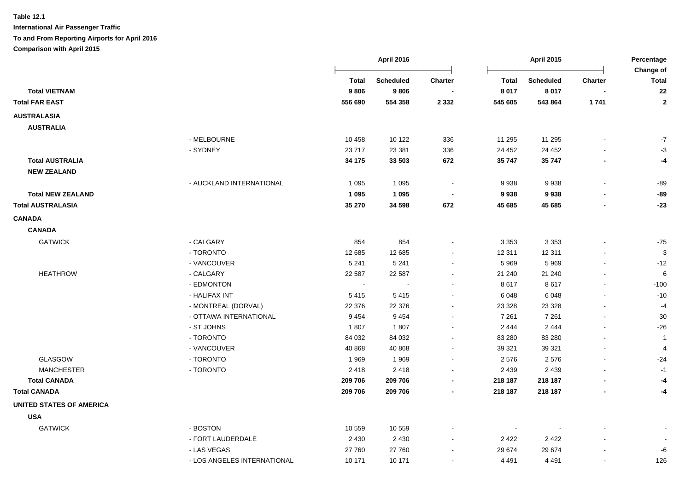|                                 |                             |              | <b>April 2016</b> | <b>April 2015</b>        |                          |                  | Percentage<br>Change of |                         |
|---------------------------------|-----------------------------|--------------|-------------------|--------------------------|--------------------------|------------------|-------------------------|-------------------------|
|                                 |                             | <b>Total</b> | <b>Scheduled</b>  | <b>Charter</b>           | <b>Total</b>             | <b>Scheduled</b> | Charter                 | <b>Total</b>            |
| <b>Total VIETNAM</b>            |                             | 9806         | 9806              |                          | 8 0 1 7                  | 8 0 1 7          |                         | 22                      |
| <b>Total FAR EAST</b>           |                             | 556 690      | 554 358           | 2 3 3 2                  | 545 605                  | 543 864          | 1741                    | $\mathbf{2}$            |
| <b>AUSTRALASIA</b>              |                             |              |                   |                          |                          |                  |                         |                         |
| <b>AUSTRALIA</b>                |                             |              |                   |                          |                          |                  |                         |                         |
|                                 | - MELBOURNE                 | 10 4 58      | 10 122            | 336                      | 11 295                   | 11 295           |                         | $-7$                    |
|                                 | - SYDNEY                    | 23717        | 23 381            | 336                      | 24 452                   | 24 452           |                         | $-3$                    |
| <b>Total AUSTRALIA</b>          |                             | 34 175       | 33 503            | 672                      | 35 747                   | 35 747           |                         | -4                      |
| <b>NEW ZEALAND</b>              |                             |              |                   |                          |                          |                  |                         |                         |
|                                 | - AUCKLAND INTERNATIONAL    | 1 0 9 5      | 1 0 9 5           | $\overline{\phantom{a}}$ | 9938                     | 9938             |                         | $-89$                   |
| <b>Total NEW ZEALAND</b>        |                             | 1 0 9 5      | 1 0 9 5           |                          | 9938                     | 9938             |                         | $-89$                   |
| <b>Total AUSTRALASIA</b>        |                             | 35 270       | 34 5 98           | 672                      | 45 685                   | 45 685           |                         | $-23$                   |
| <b>CANADA</b>                   |                             |              |                   |                          |                          |                  |                         |                         |
| <b>CANADA</b>                   |                             |              |                   |                          |                          |                  |                         |                         |
| <b>GATWICK</b>                  | - CALGARY                   | 854          | 854               |                          | 3 3 5 3                  | 3 3 5 3          |                         | $-75$                   |
|                                 | - TORONTO                   | 12 685       | 12 685            | $\blacksquare$           | 12 311                   | 12 311           |                         | 3                       |
|                                 | - VANCOUVER                 | 5 2 4 1      | 5 2 4 1           | $\blacksquare$           | 5 9 6 9                  | 5969             |                         | $-12$                   |
| <b>HEATHROW</b>                 | - CALGARY                   | 22 587       | 22 587            | $\sim$                   | 21 240                   | 21 240           |                         | 6                       |
|                                 | - EDMONTON                  | $\sim$       |                   | $\sim$                   | 8617                     | 8617             |                         | $-100$                  |
|                                 | - HALIFAX INT               | 5415         | 5415              | $\sim$                   | 6 0 48                   | 6048             | $\overline{a}$          | $-10$                   |
|                                 | - MONTREAL (DORVAL)         | 22 376       | 22 376            | $\sim$                   | 23 3 28                  | 23 3 28          |                         | $-4$                    |
|                                 | - OTTAWA INTERNATIONAL      | 9454         | 9 4 5 4           |                          | 7 2 6 1                  | 7 2 6 1          |                         | $30\,$                  |
|                                 | - ST JOHNS                  | 1807         | 1807              | $\blacksquare$           | 2 4 4 4                  | 2 4 4 4          |                         | $-26$                   |
|                                 | - TORONTO                   | 84 032       | 84 032            |                          | 83 280                   | 83 280           |                         | $\overline{\mathbf{1}}$ |
|                                 | - VANCOUVER                 | 40 868       | 40 868            |                          | 39 321                   | 39 321           |                         | $\overline{4}$          |
| <b>GLASGOW</b>                  | - TORONTO                   | 1969         | 1969              |                          | 2 5 7 6                  | 2576             |                         | $-24$                   |
| <b>MANCHESTER</b>               | - TORONTO                   | 2418         | 2418              |                          | 2 4 3 9                  | 2 4 3 9          |                         | $-1$                    |
| <b>Total CANADA</b>             |                             | 209 706      | 209 706           | $\blacksquare$           | 218 187                  | 218 187          |                         | -4                      |
| <b>Total CANADA</b>             |                             | 209 706      | 209 706           |                          | 218 187                  | 218 187          |                         | -4                      |
| <b>UNITED STATES OF AMERICA</b> |                             |              |                   |                          |                          |                  |                         |                         |
| <b>USA</b>                      |                             |              |                   |                          |                          |                  |                         |                         |
| <b>GATWICK</b>                  | - BOSTON                    | 10 559       | 10 559            |                          | $\overline{\phantom{a}}$ |                  |                         |                         |
|                                 | - FORT LAUDERDALE           | 2 4 3 0      | 2 4 3 0           | $\overline{\phantom{a}}$ | 2 4 2 2                  | 2 4 2 2          |                         |                         |
|                                 | - LAS VEGAS                 | 27 760       | 27 760            | $\sim$                   | 29 674                   | 29 674           |                         | -6                      |
|                                 | - LOS ANGELES INTERNATIONAL | 10 171       | 10 171            | $\blacksquare$           | 4 4 9 1                  | 4 4 9 1          |                         | 126                     |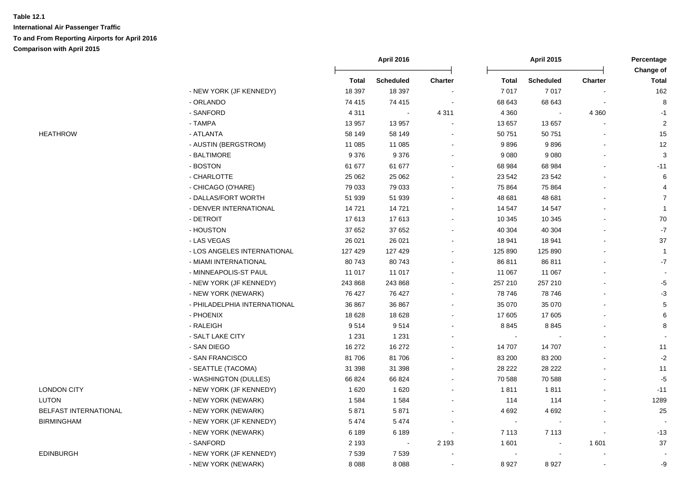|                       |                              |              | <b>April 2016</b> |         |                | <b>April 2015</b> |                |                    |
|-----------------------|------------------------------|--------------|-------------------|---------|----------------|-------------------|----------------|--------------------|
|                       |                              | <b>Total</b> | <b>Scheduled</b>  | Charter | <b>Total</b>   | <b>Scheduled</b>  | <b>Charter</b> | Change of<br>Total |
|                       | - NEW YORK (JF KENNEDY)      | 18 397       | 18 397            |         | 7 0 1 7        | 7 0 1 7           |                | 162                |
|                       | - ORLANDO                    | 74 415       | 74 415            |         | 68 643         | 68 643            |                | 8                  |
|                       | - SANFORD                    | 4 3 1 1      | $\sim$            | 4 3 1 1 | 4 3 6 0        |                   | 4 3 6 0        | $-1$               |
|                       | - TAMPA                      | 13 957       | 13 957            |         | 13 657         | 13 657            |                | $\overline{2}$     |
| <b>HEATHROW</b>       | - ATLANTA                    | 58 149       | 58 149            |         | 50 751         | 50 751            |                | 15                 |
|                       | - AUSTIN (BERGSTROM)         | 11 085       | 11 085            |         | 9896           | 9896              |                | 12                 |
|                       | - BALTIMORE                  | 9 3 7 6      | 9 3 7 6           |         | 9 0 8 0        | 9 0 8 0           |                | 3                  |
|                       | - BOSTON                     | 61 677       | 61 677            |         | 68 984         | 68 984            |                | $-11$              |
|                       | - CHARLOTTE                  | 25 062       | 25 062            |         | 23 542         | 23 542            |                | 6                  |
|                       | - CHICAGO (O'HARE)           | 79 033       | 79 033            |         | 75 864         | 75 864            |                | 4                  |
|                       | - DALLAS/FORT WORTH          | 51 939       | 51 939            |         | 48 681         | 48 681            |                | $\overline{7}$     |
|                       | - DENVER INTERNATIONAL       | 14721        | 14721             |         | 14 547         | 14 547            |                | $\overline{1}$     |
|                       | - DETROIT                    | 17613        | 17613             |         | 10 345         | 10 345            |                | $70\,$             |
|                       | - HOUSTON                    | 37 652       | 37 652            |         | 40 304         | 40 30 4           |                | $\mathbf{-7}$      |
|                       | - LAS VEGAS                  | 26 0 21      | 26 0 21           |         | 18 941         | 18 941            |                | 37                 |
|                       | - LOS ANGELES INTERNATIONAL  | 127 429      | 127 429           |         | 125 890        | 125 890           |                | $\overline{1}$     |
|                       | - MIAMI INTERNATIONAL        | 80743        | 80743             |         | 86 811         | 86 811            |                | $-7$               |
|                       | - MINNEAPOLIS-ST PAUL        | 11 017       | 11 017            |         | 11 067         | 11 067            |                |                    |
|                       | - NEW YORK (JF KENNEDY)      | 243 868      | 243 868           |         | 257 210        | 257 210           |                | $-5$               |
|                       | - NEW YORK (NEWARK)          | 76 427       | 76 427            |         | 78 746         | 78746             |                | $-3$               |
|                       | - PHILADELPHIA INTERNATIONAL | 36 867       | 36 867            |         | 35 070         | 35 070            |                | $\sqrt{5}$         |
|                       | - PHOENIX                    | 18 6 28      | 18 6 28           |         | 17 605         | 17 605            |                | 6                  |
|                       | - RALEIGH                    | 9514         | 9514              |         | 8 8 4 5        | 8 8 4 5           |                | 8                  |
|                       | - SALT LAKE CITY             | 1 2 3 1      | 1 2 3 1           |         | $\blacksquare$ |                   |                |                    |
|                       | - SAN DIEGO                  | 16 272       | 16 272            |         | 14 707         | 14 70 7           |                | 11                 |
|                       | - SAN FRANCISCO              | 81706        | 81706             |         | 83 200         | 83 200            |                | $-2$               |
|                       | - SEATTLE (TACOMA)           | 31 398       | 31 398            |         | 28 222         | 28 222            |                | $11$               |
|                       | - WASHINGTON (DULLES)        | 66 824       | 66 824            |         | 70 588         | 70 588            |                | $-5$               |
| <b>LONDON CITY</b>    | - NEW YORK (JF KENNEDY)      | 1620         | 1620              |         | 1811           | 1811              |                | $-11$              |
| <b>LUTON</b>          | - NEW YORK (NEWARK)          | 1584         | 1584              |         | 114            | 114               |                | 1289               |
| BELFAST INTERNATIONAL | - NEW YORK (NEWARK)          | 5871         | 5871              |         | 4 6 9 2        | 4 6 9 2           |                | 25                 |
| <b>BIRMINGHAM</b>     | - NEW YORK (JF KENNEDY)      | 5474         | 5474              |         | $\blacksquare$ |                   |                |                    |
|                       | - NEW YORK (NEWARK)          | 6 189        | 6 1 8 9           |         | 7 1 1 3        | 7 1 1 3           |                | $-13$              |
|                       | - SANFORD                    | 2 1 9 3      |                   | 2 1 9 3 | 1 601          |                   | 1601           | 37                 |
| <b>EDINBURGH</b>      | - NEW YORK (JF KENNEDY)      | 7 5 3 9      | 7539              |         |                |                   |                |                    |
|                       | - NEW YORK (NEWARK)          | 8 0 8 8      | 8 0 8 8           |         | 8 9 27         | 8927              |                | -9                 |

| LUNDUN CH Y                 |
|-----------------------------|
| LUTON                       |
| <b>BELFAST INTERNATIONA</b> |
| BIRMINGHAM                  |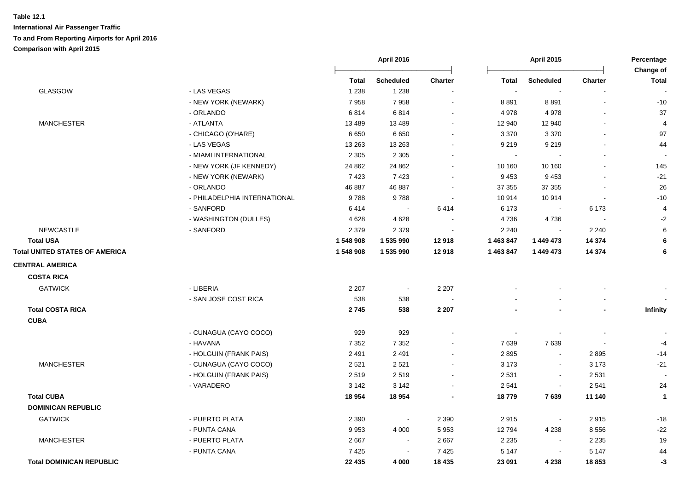|                                       |                              |              | April 2016       |                |                             | <b>April 2015</b> |                | Percentage<br>Change of |  |
|---------------------------------------|------------------------------|--------------|------------------|----------------|-----------------------------|-------------------|----------------|-------------------------|--|
|                                       |                              | <b>Total</b> | <b>Scheduled</b> | <b>Charter</b> | <b>Total</b>                | <b>Scheduled</b>  | <b>Charter</b> | <b>Total</b>            |  |
| <b>GLASGOW</b>                        | - LAS VEGAS                  | 1 2 3 8      | 1 2 3 8          |                |                             |                   |                |                         |  |
|                                       | - NEW YORK (NEWARK)          | 7958         | 7958             |                | 8891                        | 8891              |                | $-10$                   |  |
|                                       | - ORLANDO                    | 6814         | 6814             |                | 4978                        | 4978              |                | 37                      |  |
| <b>MANCHESTER</b>                     | - ATLANTA                    | 13 4 8 9     | 13 4 8 9         |                | 12 940                      | 12 940            |                | $\overline{4}$          |  |
|                                       | - CHICAGO (O'HARE)           | 6650         | 6650             |                | 3 3 7 0                     | 3 3 7 0           |                | 97                      |  |
|                                       | - LAS VEGAS                  | 13 2 63      | 13 2 63          |                | 9 2 1 9                     | 9 2 1 9           |                | 44                      |  |
|                                       | - MIAMI INTERNATIONAL        | 2 3 0 5      | 2 3 0 5          |                | $\mathcal{L}_{\mathcal{A}}$ |                   |                |                         |  |
|                                       | - NEW YORK (JF KENNEDY)      | 24 862       | 24 862           | $\blacksquare$ | 10 160                      | 10 160            |                | 145                     |  |
|                                       | - NEW YORK (NEWARK)          | 7423         | 7423             |                | 9 4 5 3                     | 9 4 5 3           |                | $-21$                   |  |
|                                       | - ORLANDO                    | 46 887       | 46 887           |                | 37 355                      | 37 355            |                | 26                      |  |
|                                       | - PHILADELPHIA INTERNATIONAL | 9788         | 9788             |                | 10 914                      | 10914             |                | $-10$                   |  |
|                                       | - SANFORD                    | 6414         | $\sim$           | 6414           | 6 173                       | $\blacksquare$    | 6 1 7 3        | $\overline{4}$          |  |
|                                       | - WASHINGTON (DULLES)        | 4628         | 4628             |                | 4736                        | 4736              |                | $-2$                    |  |
| <b>NEWCASTLE</b>                      | - SANFORD                    | 2 3 7 9      | 2 3 7 9          |                | 2 2 4 0                     | $\sim$            | 2 2 4 0        | 6                       |  |
| <b>Total USA</b>                      |                              | 1 548 908    | 1 535 990        | 12918          | 1 463 847                   | 1 449 473         | 14 3 74        | 6                       |  |
| <b>Total UNITED STATES OF AMERICA</b> |                              | 1 548 908    | 1 535 990        | 12918          | 1 463 847                   | 1 449 473         | 14 3 74        | 6                       |  |
| <b>CENTRAL AMERICA</b>                |                              |              |                  |                |                             |                   |                |                         |  |
| <b>COSTA RICA</b>                     |                              |              |                  |                |                             |                   |                |                         |  |
| <b>GATWICK</b>                        | - LIBERIA                    | 2 2 0 7      | $\sim$           | 2 2 0 7        |                             |                   |                |                         |  |
|                                       | - SAN JOSE COST RICA         | 538          | 538              |                |                             |                   |                |                         |  |
| <b>Total COSTA RICA</b>               |                              | 2745         | 538              | 2 2 0 7        |                             | ×,                |                | Infinity                |  |
| <b>CUBA</b>                           |                              |              |                  |                |                             |                   |                |                         |  |
|                                       | - CUNAGUA (CAYO COCO)        | 929          | 929              |                |                             |                   |                |                         |  |
|                                       | - HAVANA                     | 7 3 5 2      | 7 3 5 2          |                | 7639                        | 7639              |                | $-4$                    |  |
|                                       | - HOLGUIN (FRANK PAIS)       | 2491         | 2491             |                | 2895                        | $\sim$            | 2895           | $-14$                   |  |
| <b>MANCHESTER</b>                     | - CUNAGUA (CAYO COCO)        | 2 5 21       | 2521             |                | 3 1 7 3                     | $\blacksquare$    | 3 1 7 3        | $-21$                   |  |
|                                       | - HOLGUIN (FRANK PAIS)       | 2519         | 2519             |                | 2 5 3 1                     | $\sim$            | 2 5 3 1        |                         |  |
|                                       | - VARADERO                   | 3 1 4 2      | 3 1 4 2          | $\blacksquare$ | 2 5 4 1                     | $\sim$            | 2 5 4 1        | 24                      |  |
| <b>Total CUBA</b>                     |                              | 18 9 54      | 18 9 54          |                | 18779                       | 7639              | 11 140         | $\mathbf{1}$            |  |
| <b>DOMINICAN REPUBLIC</b>             |                              |              |                  |                |                             |                   |                |                         |  |
| <b>GATWICK</b>                        | - PUERTO PLATA               | 2 3 9 0      | $\blacksquare$   | 2 3 9 0        | 2915                        | $\blacksquare$    | 2915           | $-18$                   |  |
|                                       | - PUNTA CANA                 | 9953         | 4 0 0 0          | 5 9 5 3        | 12794                       | 4 2 3 8           | 8556           | $-22$                   |  |
| <b>MANCHESTER</b>                     | - PUERTO PLATA               | 2667         | $\blacksquare$   | 2667           | 2 2 3 5                     | $\blacksquare$    | 2 2 3 5        | 19                      |  |
|                                       | - PUNTA CANA                 | 7425         | $\sim$           | 7 4 2 5        | 5 1 4 7                     | $\blacksquare$    | 5 1 4 7        | 44                      |  |
| <b>Total DOMINICAN REPUBLIC</b>       |                              | 22 435       | 4 0 0 0          | 18 4 35        | 23 091                      | 4 2 3 8           | 18853          | -3                      |  |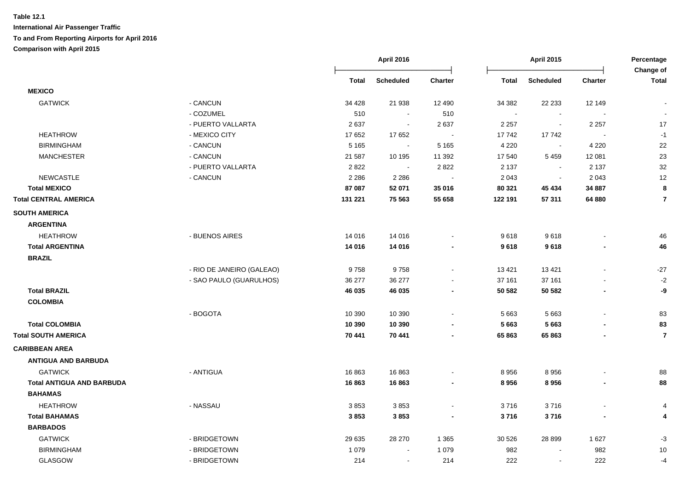|                                  |                           |              | April 2016       |                |              | <b>April 2015</b> |                          | Percentage<br>Change of |  |
|----------------------------------|---------------------------|--------------|------------------|----------------|--------------|-------------------|--------------------------|-------------------------|--|
|                                  |                           | <b>Total</b> | <b>Scheduled</b> | <b>Charter</b> | <b>Total</b> | Scheduled         | <b>Charter</b>           | <b>Total</b>            |  |
| <b>MEXICO</b>                    |                           |              |                  |                |              |                   |                          |                         |  |
| <b>GATWICK</b>                   | - CANCUN                  | 34 4 28      | 21 938           | 12 490         | 34 382       | 22 233            | 12 149                   |                         |  |
|                                  | - COZUMEL                 | 510          | $\sim$           | 510            | $\sim$       | $\sim$            |                          | $\sim$                  |  |
|                                  | - PUERTO VALLARTA         | 2637         | $\blacksquare$   | 2 6 3 7        | 2 2 5 7      |                   | 2 2 5 7                  | 17                      |  |
| <b>HEATHROW</b>                  | - MEXICO CITY             | 17652        | 17 652           |                | 17742        | 17742             |                          | $-1$                    |  |
| <b>BIRMINGHAM</b>                | - CANCUN                  | 5 1 6 5      | $\sim$           | 5 1 6 5        | 4 2 2 0      | $\blacksquare$    | 4 2 2 0                  | 22                      |  |
| <b>MANCHESTER</b>                | - CANCUN                  | 21 587       | 10 195           | 11 392         | 17 540       | 5 4 5 9           | 12 081                   | 23                      |  |
|                                  | - PUERTO VALLARTA         | 2822         |                  | 2 8 2 2        | 2 1 3 7      |                   | 2 1 3 7                  | 32                      |  |
| <b>NEWCASTLE</b>                 | - CANCUN                  | 2 2 8 6      | 2 2 8 6          |                | 2 0 4 3      |                   | 2 0 4 3                  | 12                      |  |
| <b>Total MEXICO</b>              |                           | 87 087       | 52 071           | 35 016         | 80 321       | 45 434            | 34 887                   | 8                       |  |
| <b>Total CENTRAL AMERICA</b>     |                           | 131 221      | 75 563           | 55 658         | 122 191      | 57 311            | 64 880                   | $\overline{7}$          |  |
| <b>SOUTH AMERICA</b>             |                           |              |                  |                |              |                   |                          |                         |  |
| <b>ARGENTINA</b>                 |                           |              |                  |                |              |                   |                          |                         |  |
| <b>HEATHROW</b>                  | - BUENOS AIRES            | 14 016       | 14 016           |                | 9618         | 9618              |                          | 46                      |  |
| <b>Total ARGENTINA</b>           |                           | 14 016       | 14 016           |                | 9618         | 9618              |                          | 46                      |  |
| <b>BRAZIL</b>                    |                           |              |                  |                |              |                   |                          |                         |  |
|                                  | - RIO DE JANEIRO (GALEAO) | 9758         | 9758             |                | 13 4 21      | 13 4 21           |                          | $-27$                   |  |
|                                  | - SAO PAULO (GUARULHOS)   | 36 277       | 36 277           |                | 37 161       | 37 161            |                          | $-2$                    |  |
| <b>Total BRAZIL</b>              |                           | 46 035       | 46 035           |                | 50 582       | 50 582            |                          | -9                      |  |
| <b>COLOMBIA</b>                  |                           |              |                  |                |              |                   |                          |                         |  |
|                                  | - BOGOTA                  | 10 390       | 10 390           |                | 5 6 6 3      | 5 6 6 3           |                          | 83                      |  |
| <b>Total COLOMBIA</b>            |                           | 10 390       | 10 390           |                | 5 6 6 3      | 5 6 6 3           |                          | 83                      |  |
| <b>Total SOUTH AMERICA</b>       |                           | 70 441       | 70 441           |                | 65 863       | 65 863            |                          | $\overline{7}$          |  |
| <b>CARIBBEAN AREA</b>            |                           |              |                  |                |              |                   |                          |                         |  |
| <b>ANTIGUA AND BARBUDA</b>       |                           |              |                  |                |              |                   |                          |                         |  |
| <b>GATWICK</b>                   | - ANTIGUA                 | 16863        | 16863            |                | 8956         | 8956              |                          | 88                      |  |
| <b>Total ANTIGUA AND BARBUDA</b> |                           | 16863        | 16863            |                | 8956         | 8956              | $\overline{\phantom{a}}$ | 88                      |  |
| <b>BAHAMAS</b>                   |                           |              |                  |                |              |                   |                          |                         |  |
| <b>HEATHROW</b>                  | - NASSAU                  | 3853         | 3853             |                | 3716         | 3716              |                          | 4                       |  |
| <b>Total BAHAMAS</b>             |                           | 3853         | 3853             |                | 3716         | 3716              |                          | 4                       |  |
| <b>BARBADOS</b>                  |                           |              |                  |                |              |                   |                          |                         |  |
| <b>GATWICK</b>                   | - BRIDGETOWN              | 29 635       | 28 270           | 1 3 6 5        | 30 5 26      | 28 8 9 9          | 1 6 2 7                  | $-3$                    |  |
| <b>BIRMINGHAM</b>                | - BRIDGETOWN              | 1 0 7 9      | $\sim$           | 1 0 7 9        | 982          |                   | 982                      | 10                      |  |
| GLASGOW                          | - BRIDGETOWN              | 214          | $\blacksquare$   | 214            | 222          | $\blacksquare$    | 222                      | $-4$                    |  |
|                                  |                           |              |                  |                |              |                   |                          |                         |  |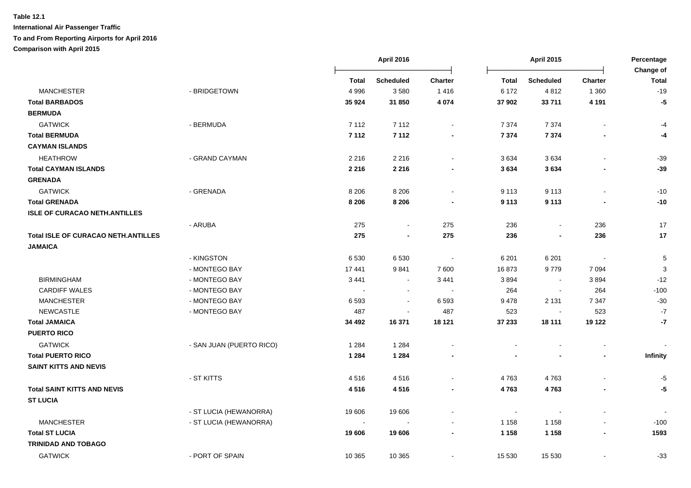|                                            |                          |              | April 2016               |                | <b>April 2015</b> |                          |                          | Percentage<br>Change of |  |
|--------------------------------------------|--------------------------|--------------|--------------------------|----------------|-------------------|--------------------------|--------------------------|-------------------------|--|
|                                            |                          | <b>Total</b> | <b>Scheduled</b>         | <b>Charter</b> | <b>Total</b>      | <b>Scheduled</b>         | <b>Charter</b>           | <b>Total</b>            |  |
| <b>MANCHESTER</b>                          | - BRIDGETOWN             | 4 9 9 6      | 3580                     | 1416           | 6 172             | 4812                     | 1 3 6 0                  | $-19$                   |  |
| <b>Total BARBADOS</b>                      |                          | 35 9 24      | 31 850                   | 4 0 7 4        | 37 902            | 33711                    | 4 1 9 1                  | $-5$                    |  |
| <b>BERMUDA</b>                             |                          |              |                          |                |                   |                          |                          |                         |  |
| <b>GATWICK</b>                             | - BERMUDA                | 7 1 1 2      | 7 1 1 2                  | $\blacksquare$ | 7 3 7 4           | 7 3 7 4                  |                          | -4                      |  |
| <b>Total BERMUDA</b>                       |                          | 7 1 1 2      | 7 1 1 2                  | $\blacksquare$ | 7 3 7 4           | 7 3 7 4                  |                          | -4                      |  |
| <b>CAYMAN ISLANDS</b>                      |                          |              |                          |                |                   |                          |                          |                         |  |
| <b>HEATHROW</b>                            | - GRAND CAYMAN           | 2 2 1 6      | 2 2 1 6                  | $\blacksquare$ | 3634              | 3634                     |                          | $-39$                   |  |
| <b>Total CAYMAN ISLANDS</b>                |                          | 2 2 1 6      | 2 2 1 6                  |                | 3634              | 3634                     |                          | $-39$                   |  |
| <b>GRENADA</b>                             |                          |              |                          |                |                   |                          |                          |                         |  |
| <b>GATWICK</b>                             | - GRENADA                | 8 2 0 6      | 8 2 0 6                  | $\blacksquare$ | 9 1 1 3           | 9 1 1 3                  | $\overline{\phantom{a}}$ | $-10$                   |  |
| <b>Total GRENADA</b>                       |                          | 8 2 0 6      | 8 2 0 6                  |                | 9 1 1 3           | 9 1 1 3                  |                          | $-10$                   |  |
| <b>ISLE OF CURACAO NETH.ANTILLES</b>       |                          |              |                          |                |                   |                          |                          |                         |  |
|                                            | - ARUBA                  | 275          | $\sim$                   | 275            | 236               | $\blacksquare$           | 236                      | 17                      |  |
| <b>Total ISLE OF CURACAO NETH.ANTILLES</b> |                          | 275          | $\blacksquare$           | 275            | 236               | $\blacksquare$           | 236                      | 17                      |  |
| <b>JAMAICA</b>                             |                          |              |                          |                |                   |                          |                          |                         |  |
|                                            | - KINGSTON               | 6530         | 6530                     |                | 6 2 0 1           | 6 2 0 1                  |                          | $\sqrt{5}$              |  |
|                                            | - MONTEGO BAY            | 17441        | 9841                     | 7 600          | 16873             | 9779                     | 7 0 9 4                  | 3                       |  |
| <b>BIRMINGHAM</b>                          | - MONTEGO BAY            | 3 4 4 1      | $\sim$                   | 3 4 4 1        | 3894              | $\overline{\phantom{a}}$ | 3894                     | $-12$                   |  |
| <b>CARDIFF WALES</b>                       | - MONTEGO BAY            | $\sim$       | $\overline{\phantom{a}}$ | $\sim$         | 264               | $\blacksquare$           | 264                      | $-100$                  |  |
| <b>MANCHESTER</b>                          | - MONTEGO BAY            | 6593         | $\sim$                   | 6 5 9 3        | 9478              | 2 1 3 1                  | 7 3 4 7                  | $-30$                   |  |
| <b>NEWCASTLE</b>                           | - MONTEGO BAY            | 487          | $\blacksquare$           | 487            | 523               | $\blacksquare$           | 523                      | $-7$                    |  |
| <b>Total JAMAICA</b>                       |                          | 34 492       | 16 371                   | 18 121         | 37 233            | 18 111                   | 19 122                   | $-7$                    |  |
| <b>PUERTO RICO</b>                         |                          |              |                          |                |                   |                          |                          |                         |  |
| <b>GATWICK</b>                             | - SAN JUAN (PUERTO RICO) | 1 2 8 4      | 1 2 8 4                  |                |                   |                          |                          |                         |  |
| <b>Total PUERTO RICO</b>                   |                          | 1 2 8 4      | 1 2 8 4                  |                |                   |                          |                          | <b>Infinity</b>         |  |
| <b>SAINT KITTS AND NEVIS</b>               |                          |              |                          |                |                   |                          |                          |                         |  |
|                                            | - ST KITTS               | 4516         | 4516                     |                | 4763              | 4763                     |                          | $-5$                    |  |
| <b>Total SAINT KITTS AND NEVIS</b>         |                          | 4516         | 4516                     |                | 4763              | 4763                     |                          | $-5$                    |  |
| <b>ST LUCIA</b>                            |                          |              |                          |                |                   |                          |                          |                         |  |
|                                            | - ST LUCIA (HEWANORRA)   | 19 606       | 19 606                   | $\blacksquare$ | $\sim$            |                          |                          |                         |  |
| <b>MANCHESTER</b>                          | - ST LUCIA (HEWANORRA)   |              |                          |                | 1 1 5 8           | 1 1 5 8                  |                          | $-100$                  |  |
| <b>Total ST LUCIA</b>                      |                          | 19 606       | 19 606                   | $\blacksquare$ | 1 1 5 8           | 1 1 5 8                  |                          | 1593                    |  |
| <b>TRINIDAD AND TOBAGO</b>                 |                          |              |                          |                |                   |                          |                          |                         |  |
| <b>GATWICK</b>                             | - PORT OF SPAIN          | 10 365       | 10 365                   | $\blacksquare$ | 15 530            | 15 530                   |                          | $-33$                   |  |
|                                            |                          |              |                          |                |                   |                          |                          |                         |  |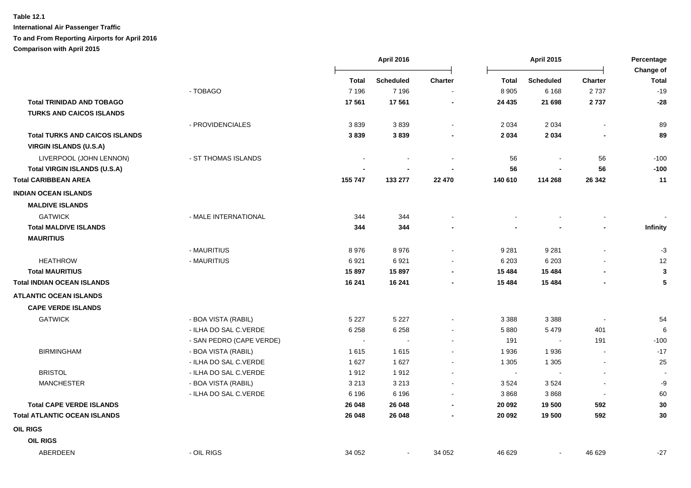|                                       |                          |              | <b>April 2016</b> |                          | <b>April 2015</b>        |                  |                          | Percentage                       |
|---------------------------------------|--------------------------|--------------|-------------------|--------------------------|--------------------------|------------------|--------------------------|----------------------------------|
|                                       |                          | <b>Total</b> | <b>Scheduled</b>  | <b>Charter</b>           | <b>Total</b>             | <b>Scheduled</b> | <b>Charter</b>           | <b>Change of</b><br><b>Total</b> |
|                                       | - TOBAGO                 | 7 1 9 6      | 7 1 9 6           | $\blacksquare$           | 8 9 0 5                  | 6 1 6 8          | 2737                     | $-19$                            |
| <b>Total TRINIDAD AND TOBAGO</b>      |                          | 17561        | 17 561            |                          | 24 4 35                  | 21 698           | 2737                     | $-28$                            |
| <b>TURKS AND CAICOS ISLANDS</b>       |                          |              |                   |                          |                          |                  |                          |                                  |
|                                       | - PROVIDENCIALES         | 3839         | 3839              | $\sim$                   | 2 0 3 4                  | 2 0 3 4          |                          | 89                               |
| <b>Total TURKS AND CAICOS ISLANDS</b> |                          | 3839         | 3839              |                          | 2 0 3 4                  | 2 0 3 4          |                          | 89                               |
| <b>VIRGIN ISLANDS (U.S.A)</b>         |                          |              |                   |                          |                          |                  |                          |                                  |
| LIVERPOOL (JOHN LENNON)               | - ST THOMAS ISLANDS      |              |                   |                          | 56                       | $\blacksquare$   | 56                       | $-100$                           |
| <b>Total VIRGIN ISLANDS (U.S.A)</b>   |                          |              |                   |                          | 56                       |                  | 56                       | $-100$                           |
| <b>Total CARIBBEAN AREA</b>           |                          | 155 747      | 133 277           | 22 470                   | 140 610                  | 114 268          | 26 342                   | 11                               |
| <b>INDIAN OCEAN ISLANDS</b>           |                          |              |                   |                          |                          |                  |                          |                                  |
| <b>MALDIVE ISLANDS</b>                |                          |              |                   |                          |                          |                  |                          |                                  |
| <b>GATWICK</b>                        | - MALE INTERNATIONAL     | 344          | 344               |                          |                          |                  |                          |                                  |
| <b>Total MALDIVE ISLANDS</b>          |                          | 344          | 344               |                          |                          |                  |                          | Infinity                         |
| <b>MAURITIUS</b>                      |                          |              |                   |                          |                          |                  |                          |                                  |
|                                       | - MAURITIUS              | 8976         | 8976              |                          | 9 2 8 1                  | 9 2 8 1          |                          | $-3$                             |
| <b>HEATHROW</b>                       | - MAURITIUS              | 6921         | 6921              |                          | 6 2 0 3                  | 6 2 0 3          |                          | 12                               |
| <b>Total MAURITIUS</b>                |                          | 15897        | 15897             |                          | 15 4 84                  | 15 4 84          |                          | $\mathbf{3}$                     |
| <b>Total INDIAN OCEAN ISLANDS</b>     |                          | 16 241       | 16 241            | $\blacksquare$           | 15 4 84                  | 15 4 84          |                          | 5                                |
| <b>ATLANTIC OCEAN ISLANDS</b>         |                          |              |                   |                          |                          |                  |                          |                                  |
| <b>CAPE VERDE ISLANDS</b>             |                          |              |                   |                          |                          |                  |                          |                                  |
| <b>GATWICK</b>                        | - BOA VISTA (RABIL)      | 5 2 2 7      | 5 2 2 7           |                          | 3 3 8 8                  | 3 3 8 8          |                          | 54                               |
|                                       | - ILHA DO SAL C.VERDE    | 6 2 5 8      | 6 2 5 8           |                          | 5 8 8 0                  | 5 4 7 9          | 401                      | $\,6$                            |
|                                       | - SAN PEDRO (CAPE VERDE) |              |                   |                          | 191                      | $\blacksquare$   | 191                      | $-100$                           |
| <b>BIRMINGHAM</b>                     | - BOA VISTA (RABIL)      | 1615         | 1615              | $\overline{\phantom{a}}$ | 1936                     | 1936             | $\overline{\phantom{a}}$ | $-17$                            |
|                                       | - ILHA DO SAL C.VERDE    | 1627         | 1627              |                          | 1 3 0 5                  | 1 3 0 5          |                          | 25                               |
| <b>BRISTOL</b>                        | - ILHA DO SAL C.VERDE    | 1912         | 1912              |                          | $\overline{\phantom{a}}$ |                  |                          | $\overline{\phantom{a}}$         |
| <b>MANCHESTER</b>                     | - BOA VISTA (RABIL)      | 3 2 1 3      | 3 2 1 3           | $\sim$                   | 3524                     | 3524             |                          | -9                               |
|                                       | - ILHA DO SAL C.VERDE    | 6 1 9 6      | 6 1 9 6           |                          | 3868                     | 3868             | $\blacksquare$           | 60                               |
| <b>Total CAPE VERDE ISLANDS</b>       |                          | 26 048       | 26 048            |                          | 20 092                   | 19 500           | 592                      | 30                               |
| <b>Total ATLANTIC OCEAN ISLANDS</b>   |                          | 26 048       | 26 048            |                          | 20 092                   | 19 500           | 592                      | 30                               |
| <b>OIL RIGS</b>                       |                          |              |                   |                          |                          |                  |                          |                                  |
| <b>OIL RIGS</b>                       |                          |              |                   |                          |                          |                  |                          |                                  |
| ABERDEEN                              | - OIL RIGS               | 34 052       | $\blacksquare$    | 34 052                   | 46 629                   | $\blacksquare$   | 46 629                   | $-27$                            |
|                                       |                          |              |                   |                          |                          |                  |                          |                                  |